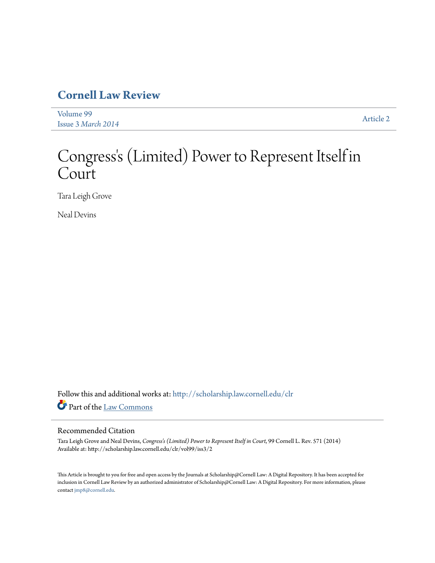## **[Cornell Law Review](http://scholarship.law.cornell.edu/clr?utm_source=scholarship.law.cornell.edu%2Fclr%2Fvol99%2Fiss3%2F2&utm_medium=PDF&utm_campaign=PDFCoverPages)**

[Volume 99](http://scholarship.law.cornell.edu/clr/vol99?utm_source=scholarship.law.cornell.edu%2Fclr%2Fvol99%2Fiss3%2F2&utm_medium=PDF&utm_campaign=PDFCoverPages) Issue 3 *[March 2014](http://scholarship.law.cornell.edu/clr/vol99/iss3?utm_source=scholarship.law.cornell.edu%2Fclr%2Fvol99%2Fiss3%2F2&utm_medium=PDF&utm_campaign=PDFCoverPages)* [Article 2](http://scholarship.law.cornell.edu/clr/vol99/iss3/2?utm_source=scholarship.law.cornell.edu%2Fclr%2Fvol99%2Fiss3%2F2&utm_medium=PDF&utm_campaign=PDFCoverPages)

# Congress 's (Limited) Power to Represent Itself in Court

Tara Leigh Grove

Neal Devins

Follow this and additional works at: [http://scholarship.law.cornell.edu/clr](http://scholarship.law.cornell.edu/clr?utm_source=scholarship.law.cornell.edu%2Fclr%2Fvol99%2Fiss3%2F2&utm_medium=PDF&utm_campaign=PDFCoverPages) Part of the [Law Commons](http://network.bepress.com/hgg/discipline/578?utm_source=scholarship.law.cornell.edu%2Fclr%2Fvol99%2Fiss3%2F2&utm_medium=PDF&utm_campaign=PDFCoverPages)

#### Recommended Citation

Tara Leigh Grove and Neal Devins, *Congress's (Limited) Power to Represent Itself in Court*, 99 Cornell L. Rev. 571 (2014) Available at: http://scholarship.law.cornell.edu/clr/vol99/iss3/2

This Article is brought to you for free and open access by the Journals at Scholarship@Cornell Law: A Digital Repository. It has been accepted for inclusion in Cornell Law Review by an authorized administrator of Scholarship@Cornell Law: A Digital Repository. For more information, please contact [jmp8@cornell.edu.](mailto:jmp8@cornell.edu)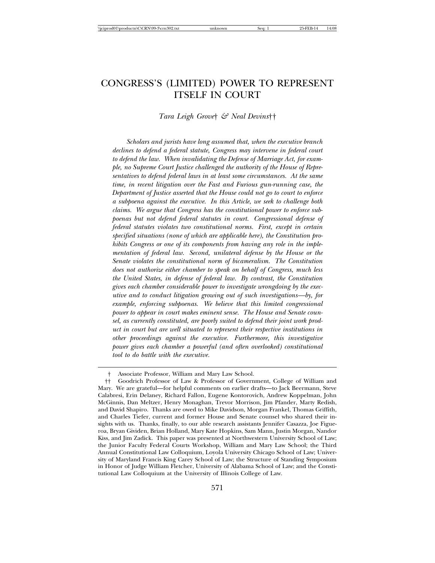### CONGRESS'S (LIMITED) POWER TO REPRESENT ITSELF IN COURT

*Tara Leigh Grove*† *& Neal Devins*††

*Scholars and jurists have long assumed that, when the executive branch declines to defend a federal statute, Congress may intervene in federal court to defend the law. When invalidating the Defense of Marriage Act, for example, no Supreme Court Justice challenged the authority of the House of Representatives to defend federal laws in at least some circumstances. At the same time, in recent litigation over the Fast and Furious gun-running case, the Department of Justice asserted that the House could not go to court to enforce a subpoena against the executive. In this Article*, *we seek to challenge both claims. We argue that Congress has the constitutional power to enforce subpoenas but not defend federal statutes in court. Congressional defense of federal statutes violates two constitutional norms. First, except in certain specified situations (none of which are applicable here), the Constitution prohibits Congress or one of its components from having any role in the implementation of federal law. Second, unilateral defense by the House or the Senate violates the constitutional norm of bicameralism. The Constitution does not authorize either chamber to speak on behalf of Congress, much less the United States, in defense of federal law. By contrast, the Constitution gives each chamber considerable power to investigate wrongdoing by the executive and to conduct litigation growing out of such investigations—by, for example, enforcing subpoenas. We believe that this limited congressional power to appear in court makes eminent sense. The House and Senate counsel, as currently constituted, are poorly suited to defend their joint work product in court but are well situated to represent their respective institutions in other proceedings against the executive. Furthermore, this investigative power gives each chamber a powerful (and often overlooked) constitutional tool to do battle with the executive.*

<sup>†</sup> Associate Professor, William and Mary Law School.

<sup>††</sup> Goodrich Professor of Law & Professor of Government, College of William and Mary. We are grateful—for helpful comments on earlier drafts—to Jack Beermann, Steve Calabresi, Erin Delaney, Richard Fallon, Eugene Kontorovich, Andrew Koppelman, John McGinnis, Dan Meltzer, Henry Monaghan, Trevor Morrison, Jim Pfander, Marty Redish, and David Shapiro. Thanks are owed to Mike Davidson, Morgan Frankel, Thomas Griffith, and Charles Tiefer, current and former House and Senate counsel who shared their insights with us. Thanks, finally, to our able research assistants Jennifer Casazza, Joe Figueroa, Bryan Gividen, Brian Holland, Mary Kate Hopkins, Sam Mann, Justin Morgan, Nandor Kiss, and Jim Zadick. This paper was presented at Northwestern University School of Law; the Junior Faculty Federal Courts Workshop, William and Mary Law School; the Third Annual Constitutional Law Colloquium, Loyola University Chicago School of Law; University of Maryland Francis King Carey School of Law; the Structure of Standing Symposium in Honor of Judge William Fletcher, University of Alabama School of Law; and the Constitutional Law Colloquium at the University of Illinois College of Law.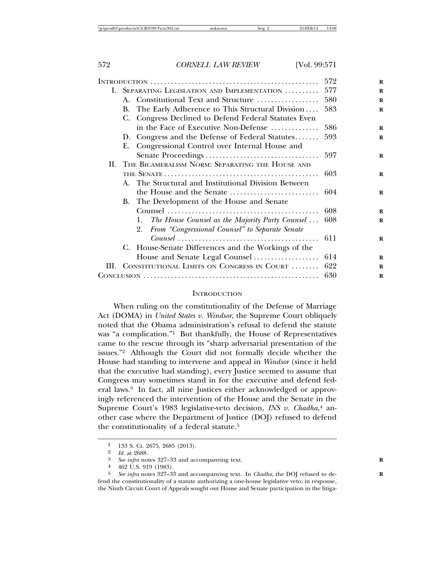|    | I. SEPARATING LEGISLATION AND IMPLEMENTATION  577 |                                                                                                  |     |
|----|---------------------------------------------------|--------------------------------------------------------------------------------------------------|-----|
|    |                                                   | A. Constitutional Text and Structure                                                             | 580 |
|    | В.                                                | The Early Adherence to This Structural Division                                                  | 583 |
|    | C.                                                | Congress Declined to Defend Federal Statutes Even                                                |     |
|    |                                                   | in the Face of Executive Non-Defense                                                             | 586 |
|    |                                                   | D. Congress and the Defense of Federal Statutes                                                  | 593 |
|    | Е.                                                | Congressional Control over Internal House and                                                    |     |
|    |                                                   |                                                                                                  |     |
| Н. |                                                   | THE BICAMERALISM NORM: SEPARATING THE HOUSE AND                                                  |     |
|    |                                                   |                                                                                                  | 603 |
|    |                                                   | A. The Structural and Institutional Division Between                                             |     |
|    |                                                   |                                                                                                  |     |
|    |                                                   | B. The Development of the House and Senate                                                       |     |
|    |                                                   |                                                                                                  | 608 |
|    |                                                   | The House Counsel as the Majority Party Counsel<br>1.                                            | 608 |
|    |                                                   | From "Congressional Counsel" to Separate Senate<br>2.                                            |     |
|    |                                                   | $\mathit{Course}\ \dots \dots \dots \dots \dots \dots \dots \dots \dots \dots \dots \dots \dots$ | 611 |
|    |                                                   | C. House-Senate Differences and the Workings of the                                              |     |
|    |                                                   | House and Senate Legal Counsel                                                                   | 614 |
|    |                                                   | III. CONSTITUTIONAL LIMITS ON CONGRESS IN COURT  622                                             |     |
|    |                                                   |                                                                                                  | 630 |

#### **INTRODUCTION**

When ruling on the constitutionality of the Defense of Marriage Act (DOMA) in *United States v. Windsor*, the Supreme Court obliquely noted that the Obama administration's refusal to defend the statute was "a complication."1 But thankfully, the House of Representatives came to the rescue through its "sharp adversarial presentation of the issues."2 Although the Court did not formally decide whether the House had standing to intervene and appeal in *Windsor* (since it held that the executive had standing), every Justice seemed to assume that Congress may sometimes stand in for the executive and defend federal laws.3 In fact, all nine Justices either acknowledged or approvingly referenced the intervention of the House and the Senate in the Supreme Court's 1983 legislative-veto decision, *INS v. Chadha*, 4 another case where the Department of Justice (DOJ) refused to defend the constitutionality of a federal statute.<sup>5</sup>

<sup>1 133</sup> S. Ct. 2675, 2685 (2013).<br>
2 Id. at 2688.

<sup>&</sup>lt;sup>3</sup> *See infra* notes 327–33 and accompanying text.<br>4 *A69*  $\overline{115}$  **Q10**  $(1083)$ 

<sup>4 462</sup> U.S. 919 (1983).<br>5 See infra notes 397–39

<sup>5</sup> *See infra* notes 327–33 and accompanying text. In *Chadha*, the DOJ refused to de- **R** fend the constitutionality of a statute authorizing a one-house legislative veto; in response, the Ninth Circuit Court of Appeals sought out House and Senate participation in the litiga-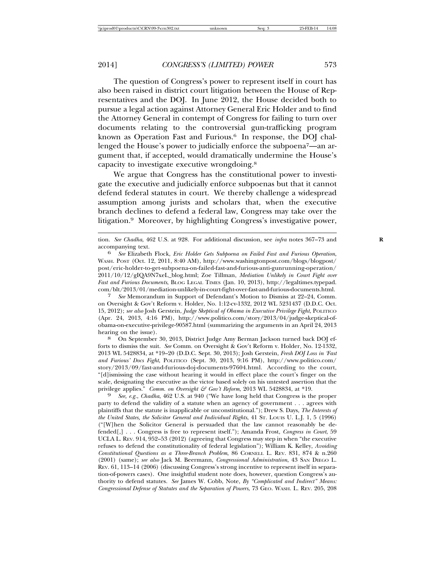The question of Congress's power to represent itself in court has also been raised in district court litigation between the House of Representatives and the DOJ. In June 2012, the House decided both to pursue a legal action against Attorney General Eric Holder and to find the Attorney General in contempt of Congress for failing to turn over documents relating to the controversial gun-trafficking program known as Operation Fast and Furious.6 In response, the DOJ challenged the House's power to judicially enforce the subpoena7—an argument that, if accepted, would dramatically undermine the House's capacity to investigate executive wrongdoing.8

We argue that Congress has the constitutional power to investigate the executive and judicially enforce subpoenas but that it cannot defend federal statutes in court. We thereby challenge a widespread assumption among jurists and scholars that, when the executive branch declines to defend a federal law, Congress may take over the litigation.9 Moreover, by highlighting Congress's investigative power,

7 *See* Memorandum in Support of Defendant's Motion to Dismiss at 22–24, Comm. on Oversight & Gov't Reform v. Holder, No. 1:12-cv-1332, 2012 WL 5231437 (D.D.C. Oct. 15, 2012); *see also* Josh Gerstein, *Judge Skeptical of Obama in Executive Privilege Fight*, POLITICO (Apr. 24, 2013, 4:16 PM), http://www.politico.com/story/2013/04/judge-skeptical-ofobama-on-executive-privilege-90587.html (summarizing the arguments in an April 24, 2013 hearing on the issue).<br><sup>8</sup> On September 30, 2013, District Judge Amy Berman Jackson turned back DOJ ef-

forts to dismiss the suit. *See* Comm. on Oversight & Gov't Reform v. Holder, No. 12-1332, 2013 WL 5428834, at \*19–20 (D.D.C. Sept. 30, 2013); Josh Gerstein, *Fresh DOJ Loss in 'Fast and Furious' Docs Fight*, POLITICO (Sept. 30, 2013, 9:16 PM), http://www.politico.com/ story/2013/09/fast-and-furious-doj-documents-97604.html. According to the court, "[d]ismissing the case without hearing it would in effect place the court's finger on the scale, designating the executive as the victor based solely on his untested assertion that the privilege applies." *Comm. on Oversight & Gov't Reform*, 2013 WL 5428834, at \*19.

*See, e.g., Chadha,* 462 U.S. at 940 ("We have long held that Congress is the proper party to defend the validity of a statute when an agency of government . . . agrees with plaintiffs that the statute is inapplicable or unconstitutional."); Drew S. Days, *The Interests of the United States, the Solicitor General and Individual Rights*, 41 ST. LOUIS U. L.J. 1, 5 (1996) ("[W]hen the Solicitor General is persuaded that the law cannot reasonably be defended[,] . . . Congress is free to represent itself."); Amanda Frost, *Congress in Court*, 59 UCLA L. REV. 914, 952–53 (2012) (agreeing that Congress may step in when "the executive refuses to defend the constitutionality of federal legislation"); William K. Kelley, *Avoiding Constitutional Questions as a Three-Branch Problem*, 86 CORNELL L. REV. 831, 874 & n.260 (2001) (same); *see also* Jack M. Beermann, *Congressional Administration*, 43 SAN DIEGO L. REV. 61, 113–14 (2006) (discussing Congress's strong incentive to represent itself in separation-of-powers cases). One insightful student note does, however, question Congress's authority to defend statutes. *See* James W. Cobb, Note, *By "Complicated and Indirect" Means: Congressional Defense of Statutes and the Separation of Powers*, 73 GEO. WASH. L. REV. 205, 208

tion. *See Chadha*, 462 U.S. at 928. For additional discussion, see *infra* notes 367–73 and **R**

accompanying text. <sup>6</sup> *See* Elizabeth Flock, *Eric Holder Gets Subpoena on Failed Fast and Furious Operation*, WASH. POST (Oct. 12, 2011, 8:40 AM), http://www.washingtonpost.com/blogs/blogpost/ post/eric-holder-to-get-subpoena-on-failed-fast-and-furious-anti-gunrunning-operation/ 2011/10/12/gIQA9N7xeL\_blog.html; Zoe Tillman, *Mediation Unlikely in Court Fight over Fast and Furious Documents*, BLOG LEGAL TIMES (Jan. 10, 2013), http://legaltimes.typepad. com/blt/2013/01/mediation-unlikely-in-court-fight-over-fast-and-furious-documents.html.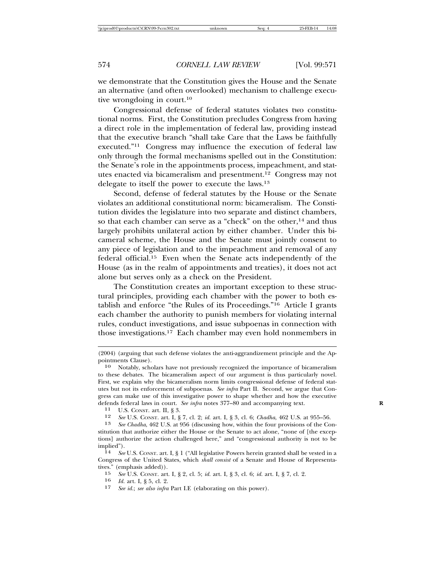we demonstrate that the Constitution gives the House and the Senate an alternative (and often overlooked) mechanism to challenge executive wrongdoing in court.10

Congressional defense of federal statutes violates two constitutional norms. First, the Constitution precludes Congress from having a direct role in the implementation of federal law, providing instead that the executive branch "shall take Care that the Laws be faithfully executed."11 Congress may influence the execution of federal law only through the formal mechanisms spelled out in the Constitution: the Senate's role in the appointments process, impeachment, and statutes enacted via bicameralism and presentment.12 Congress may not delegate to itself the power to execute the laws.13

Second, defense of federal statutes by the House or the Senate violates an additional constitutional norm: bicameralism. The Constitution divides the legislature into two separate and distinct chambers, so that each chamber can serve as a "check" on the other,<sup>14</sup> and thus largely prohibits unilateral action by either chamber. Under this bicameral scheme, the House and the Senate must jointly consent to any piece of legislation and to the impeachment and removal of any federal official.15 Even when the Senate acts independently of the House (as in the realm of appointments and treaties), it does not act alone but serves only as a check on the President.

The Constitution creates an important exception to these structural principles, providing each chamber with the power to both establish and enforce "the Rules of its Proceedings."16 Article I grants each chamber the authority to punish members for violating internal rules, conduct investigations, and issue subpoenas in connection with those investigations.17 Each chamber may even hold nonmembers in

12 *See* U.S. CONST. art. I, § 7, cl. 2; *id.* art. I, § 3, cl. 6; *Chadha*, 462 U.S. at 955–56.

13 *See Chadha*, 462 U.S. at 956 (discussing how, within the four provisions of the Constitution that authorize either the House or the Senate to act alone, "none of [the exceptions] authorize the action challenged here," and "congressional authority is not to be implied"). <sup>14</sup> *See* U.S. CONST. art. I, § 1 ("All legislative Powers herein granted shall be vested in a

Congress of the United States, which *shall consist* of a Senate and House of Representatives." (emphasis added)).<br> $15 \text{ See } \text{US } \text{ Const art}$ 

15 *See* U.S. CONST. art. I, § 2, cl. 5; *id.* art. I, § 3, cl. 6; *id.* art. I, § 7, cl. 2.

16 *Id.* art. I, § 5, cl. 2.

17 *See id.*; *see also infra* Part I.E (elaborating on this power).

<sup>(2004) (</sup>arguing that such defense violates the anti-aggrandizement principle and the Appointments Clause).

<sup>10</sup> Notably, scholars have not previously recognized the importance of bicameralism to these debates. The bicameralism aspect of our argument is thus particularly novel. First, we explain why the bicameralism norm limits congressional defense of federal statutes but not its enforcement of subpoenas. *See infra* Part II. Second, we argue that Congress can make use of this investigative power to shape whether and how the executive defends federal laws in court. *See infra* notes 377–80 and accompanying text. <sup>11</sup> U.S. Const. art. II, § 3.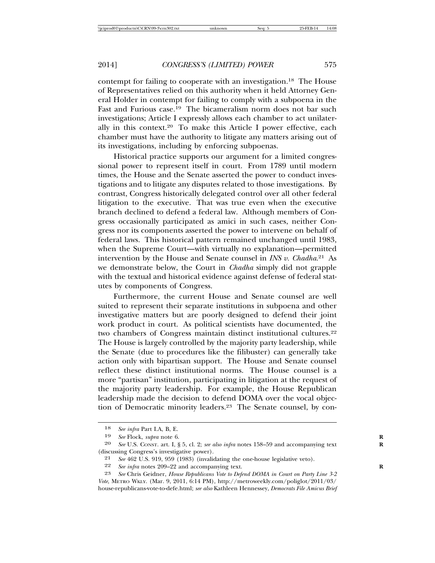contempt for failing to cooperate with an investigation.18 The House of Representatives relied on this authority when it held Attorney General Holder in contempt for failing to comply with a subpoena in the Fast and Furious case.<sup>19</sup> The bicameralism norm does not bar such investigations; Article I expressly allows each chamber to act unilaterally in this context.<sup>20</sup> To make this Article I power effective, each chamber must have the authority to litigate any matters arising out of its investigations, including by enforcing subpoenas.

Historical practice supports our argument for a limited congressional power to represent itself in court. From 1789 until modern times, the House and the Senate asserted the power to conduct investigations and to litigate any disputes related to those investigations. By contrast, Congress historically delegated control over all other federal litigation to the executive. That was true even when the executive branch declined to defend a federal law. Although members of Congress occasionally participated as amici in such cases, neither Congress nor its components asserted the power to intervene on behalf of federal laws. This historical pattern remained unchanged until 1983, when the Supreme Court—with virtually no explanation—permitted intervention by the House and Senate counsel in *INS v. Chadha*. 21 As we demonstrate below, the Court in *Chadha* simply did not grapple with the textual and historical evidence against defense of federal statutes by components of Congress.

Furthermore, the current House and Senate counsel are well suited to represent their separate institutions in subpoena and other investigative matters but are poorly designed to defend their joint work product in court. As political scientists have documented, the two chambers of Congress maintain distinct institutional cultures.<sup>22</sup> The House is largely controlled by the majority party leadership, while the Senate (due to procedures like the filibuster) can generally take action only with bipartisan support. The House and Senate counsel reflect these distinct institutional norms. The House counsel is a more "partisan" institution, participating in litigation at the request of the majority party leadership. For example, the House Republican leadership made the decision to defend DOMA over the vocal objection of Democratic minority leaders.23 The Senate counsel, by con-

<sup>18</sup> *See infra* Part I.A, B, E.

<sup>19</sup> *See* Flock, *supra* note 6. **R**

<sup>20</sup> *See* U.S. CONST. art. I, § 5, cl. 2; *see also infra* notes 158–59 and accompanying text **R** (discussing Congress's investigative power).

<sup>21</sup> *See* 462 U.S. 919, 959 (1983) (invalidating the one-house legislative veto).<br>22 *See infra* notes 209–22 and accompanying text.

See infra notes 209–22 and accompanying text.

<sup>23</sup> *See* Chris Geidner, *House Republicans Vote to Defend DOMA in Court on Party Line 3-2 Vote*, METRO WKLY. (Mar. 9, 2011, 6:14 PM), http://metroweekly.com/poliglot/2011/03/ house-republicans-vote-to-defe.html; *see also* Kathleen Hennessey, *Democrats File Amicus Brief*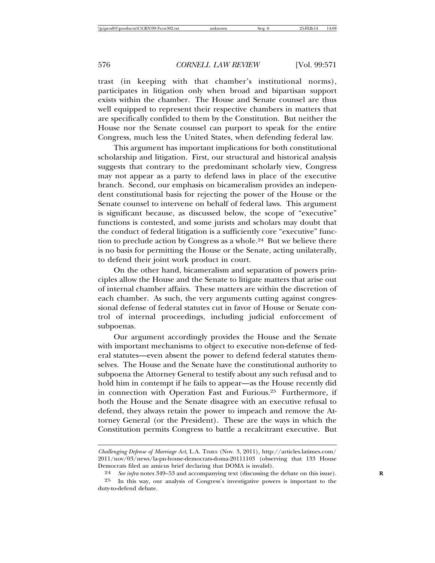trast (in keeping with that chamber's institutional norms), participates in litigation only when broad and bipartisan support exists within the chamber. The House and Senate counsel are thus well equipped to represent their respective chambers in matters that are specifically confided to them by the Constitution. But neither the House nor the Senate counsel can purport to speak for the entire Congress, much less the United States, when defending federal law.

This argument has important implications for both constitutional scholarship and litigation. First, our structural and historical analysis suggests that contrary to the predominant scholarly view, Congress may not appear as a party to defend laws in place of the executive branch. Second, our emphasis on bicameralism provides an independent constitutional basis for rejecting the power of the House or the Senate counsel to intervene on behalf of federal laws. This argument is significant because, as discussed below, the scope of "executive" functions is contested, and some jurists and scholars may doubt that the conduct of federal litigation is a sufficiently core "executive" function to preclude action by Congress as a whole.<sup>24</sup> But we believe there is no basis for permitting the House or the Senate, acting unilaterally, to defend their joint work product in court.

On the other hand, bicameralism and separation of powers principles allow the House and the Senate to litigate matters that arise out of internal chamber affairs. These matters are within the discretion of each chamber. As such, the very arguments cutting against congressional defense of federal statutes cut in favor of House or Senate control of internal proceedings, including judicial enforcement of subpoenas.

Our argument accordingly provides the House and the Senate with important mechanisms to object to executive non-defense of federal statutes—even absent the power to defend federal statutes themselves. The House and the Senate have the constitutional authority to subpoena the Attorney General to testify about any such refusal and to hold him in contempt if he fails to appear—as the House recently did in connection with Operation Fast and Furious.25 Furthermore, if both the House and the Senate disagree with an executive refusal to defend, they always retain the power to impeach and remove the Attorney General (or the President). These are the ways in which the Constitution permits Congress to battle a recalcitrant executive. But

*Challenging Defense of Marriage Act*, L.A. TIMES (Nov. 3, 2011), http://articles.latimes.com/ 2011/nov/03/news/la-pn-house-democrats-doma-20111103 (observing that 133 House Democrats filed an amicus brief declaring that DOMA is invalid).

<sup>24</sup> *See infra* notes 349–53 and accompanying text (discussing the debate on this issue). **R**

<sup>25</sup> In this way, our analysis of Congress's investigative powers is important to the duty-to-defend debate.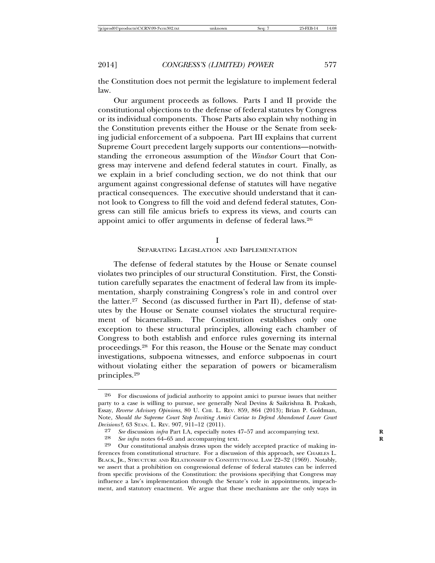the Constitution does not permit the legislature to implement federal law.

Our argument proceeds as follows. Parts I and II provide the constitutional objections to the defense of federal statutes by Congress or its individual components. Those Parts also explain why nothing in the Constitution prevents either the House or the Senate from seeking judicial enforcement of a subpoena. Part III explains that current Supreme Court precedent largely supports our contentions—notwithstanding the erroneous assumption of the *Windsor* Court that Congress may intervene and defend federal statutes in court. Finally, as we explain in a brief concluding section, we do not think that our argument against congressional defense of statutes will have negative practical consequences. The executive should understand that it cannot look to Congress to fill the void and defend federal statutes, Congress can still file amicus briefs to express its views, and courts can appoint amici to offer arguments in defense of federal laws.26

I

#### SEPARATING LEGISLATION AND IMPLEMENTATION

The defense of federal statutes by the House or Senate counsel violates two principles of our structural Constitution. First, the Constitution carefully separates the enactment of federal law from its implementation, sharply constraining Congress's role in and control over the latter.<sup>27</sup> Second (as discussed further in Part II), defense of statutes by the House or Senate counsel violates the structural requirement of bicameralism. The Constitution establishes only one exception to these structural principles, allowing each chamber of Congress to both establish and enforce rules governing its internal proceedings.28 For this reason, the House or the Senate may conduct investigations, subpoena witnesses, and enforce subpoenas in court without violating either the separation of powers or bicameralism principles.29

<sup>26</sup> For discussions of judicial authority to appoint amici to pursue issues that neither party to a case is willing to pursue, see generally Neal Devins & Saikrishna B. Prakash, Essay, *Reverse Advisory Opinions*, 80 U. CHI. L. REV. 859, 864 (2013); Brian P. Goldman, Note, *Should the Supreme Court Stop Inviting Amici Curiae to Defend Abandoned Lower Court Decisions*<sup>2</sup>, 63 STAN. L. REV. 907, 911–12 (2011).<br><sup>27</sup> *See* discussion *infra* Part J.A. especially no

<sup>27</sup> *See* discussion *infra* Part I.A, especially notes 47–57 and accompanying text.<br>28 *See infra* notes 64–65 and accompanying text

<sup>28</sup> *See infra* notes 64–65 and accompanying text.<br>29 Our constitutional analysis draws upon the wi

Our constitutional analysis draws upon the widely accepted practice of making inferences from constitutional structure. For a discussion of this approach, see CHARLES L. BLACK, JR., STRUCTURE AND RELATIONSHIP IN CONSTITUTIONAL LAW 22–32 (1969). Notably, we assert that a prohibition on congressional defense of federal statutes can be inferred from specific provisions of the Constitution: the provisions specifying that Congress may influence a law's implementation through the Senate's role in appointments, impeachment, and statutory enactment. We argue that these mechanisms are the only ways in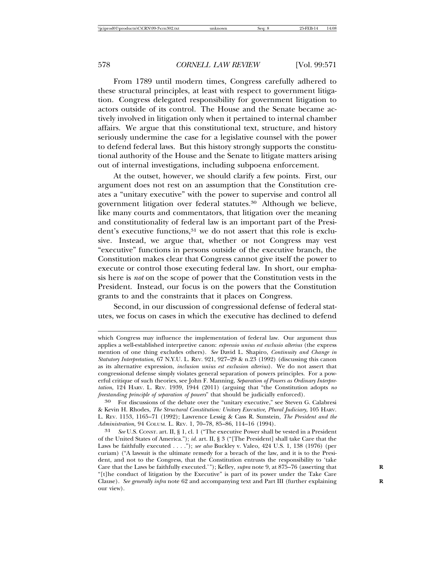From 1789 until modern times, Congress carefully adhered to these structural principles, at least with respect to government litigation. Congress delegated responsibility for government litigation to actors outside of its control. The House and the Senate became actively involved in litigation only when it pertained to internal chamber affairs. We argue that this constitutional text, structure, and history seriously undermine the case for a legislative counsel with the power to defend federal laws. But this history strongly supports the constitutional authority of the House and the Senate to litigate matters arising out of internal investigations, including subpoena enforcement.

At the outset, however, we should clarify a few points. First, our argument does not rest on an assumption that the Constitution creates a "unitary executive" with the power to supervise and control all government litigation over federal statutes.30 Although we believe, like many courts and commentators, that litigation over the meaning and constitutionality of federal law is an important part of the President's executive functions,<sup>31</sup> we do not assert that this role is exclusive. Instead, we argue that, whether or not Congress may vest "executive" functions in persons outside of the executive branch, the Constitution makes clear that Congress cannot give itself the power to execute or control those executing federal law. In short, our emphasis here is *not* on the scope of power that the Constitution vests in the President. Instead, our focus is on the powers that the Constitution grants to and the constraints that it places on Congress.

Second, in our discussion of congressional defense of federal statutes, we focus on cases in which the executive has declined to defend

30 For discussions of the debate over the "unitary executive," see Steven G. Calabresi & Kevin H. Rhodes, *The Structural Constitution: Unitary Executive, Plural Judiciary*, 105 HARV. L. REV. 1153, 1165–71 (1992); Lawrence Lessig & Cass R. Sunstein, *The President and the Administration*, 94 COLUM. L. REV. 1, 70–78, 85–86, 114–16 (1994).

which Congress may influence the implementation of federal law. Our argument thus applies a well-established interpretive canon: *expressio unius est exclusio alterius* (the express mention of one thing excludes others). *See* David L. Shapiro, *Continuity and Change in Statutory Interpretation*, 67 N.Y.U. L. REV. 921, 927–29 & n.23 (1992) (discussing this canon as its alternative expression, *inclusion unius est exclusion alterius*). We do not assert that congressional defense simply violates general separation of powers principles. For a powerful critique of such theories, see John F. Manning, *Separation of Powers as Ordinary Interpretation*, 124 HARV. L. REV. 1939, 1944 (2011) (arguing that "the Constitution adopts *no freestanding principle of separation of powers*" that should be judicially enforced).

<sup>31</sup> *See* U.S. CONST. art. II, § 1, cl. 1 ("The executive Power shall be vested in a President of the United States of America."); *id.* art. II, § 3 ("[The President] shall take Care that the Laws be faithfully executed . . . ."); *see also* Buckley v. Valeo, 424 U.S. 1, 138 (1976) (per curiam) ("A lawsuit is the ultimate remedy for a breach of the law, and it is to the President, and not to the Congress, that the Constitution entrusts the responsibility to 'take Care that the Laws be faithfully executed.'"); Kelley, *supra* note 9, at 875-76 (asserting that "[t]he conduct of litigation by the Executive" is part of its power under the Take Care Clause). *See generally infra* note 62 and accompanying text and Part III (further explaining **R** our view).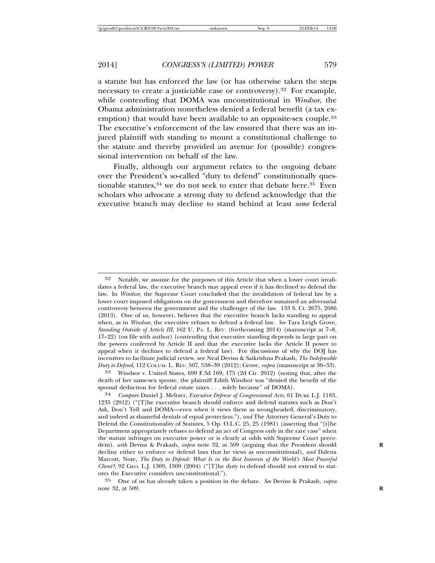a statute but has enforced the law (or has otherwise taken the steps necessary to create a justiciable case or controversy).<sup>32</sup> For example, while contending that DOMA was unconstitutional in *Windsor*, the Obama administration nonetheless denied a federal benefit (a tax exemption) that would have been available to an opposite-sex couple.<sup>33</sup> The executive's enforcement of the law ensured that there was an injured plaintiff with standing to mount a constitutional challenge to the statute and thereby provided an avenue for (possible) congressional intervention on behalf of the law.

Finally, although our argument relates to the ongoing debate over the President's so-called "duty to defend" constitutionally questionable statutes,<sup>34</sup> we do not seek to enter that debate here.<sup>35</sup> Even scholars who advocate a strong duty to defend acknowledge that the executive branch may decline to stand behind at least *some* federal

33 Windsor v. United States, 699 F.3d 169, 175 (2d Cir. 2012) (noting that, after the death of her same-sex spouse, the plaintiff Edith Windsor was "denied the benefit of the spousal deduction for federal estate taxes . . . solely because" of DOMA).

34 *Compare* Daniel J. Meltzer, *Executive Defense of Congressional Acts*, 61 DUKE L.J. 1183, 1235 (2012) ("[T]he executive branch should enforce and defend statutes such as Don't Ask, Don't Tell and DOMA—even when it views them as wrongheaded, discriminatory, and indeed as shameful denials of equal protection."), *and* The Attorney General's Duty to Defend the Constitutionality of Statutes, 5 Op. O.L.C. 25, 25 (1981) (asserting that "[t]he Department appropriately refuses to defend an act of Congress only in the rare case" when the statute infringes on executive power or is clearly at odds with Supreme Court precedent), *with* Devins & Prakash, *supra* note 32, at 509 (arguing that the President should decline either to enforce or defend laws that he views as unconstitutional), *and* Dalena Marcott, Note, *The Duty to Defend: What Is in the Best Interests of the World's Most Powerful Client?*, 92 GEO. L.J. 1309, 1309 (2004) ("[T]he duty to defend should not extend to statutes the Executive considers unconstitutional.").

35 One of us has already taken a position in the debate. *See* Devins & Prakash, *supra* note 32, at 509. **R**

<sup>32</sup> Notably, we assume for the purposes of this Article that when a lower court invalidates a federal law, the executive branch may appeal even if it has declined to defend the law. In *Windsor*, the Supreme Court concluded that the invalidation of federal law by a lower court imposed obligations on the government and therefore sustained an adversarial controversy between the government and the challenger of the law. 133 S. Ct. 2675, 2686 (2013). One of us, however, believes that the executive branch lacks standing to appeal when, as in *Windsor*, the executive refuses to defend a federal law. *See* Tara Leigh Grove, *Standing Outside of Article III*, 162 U. PA. L. REV. (forthcoming 2014) (manuscript at 7–8, 17–22) (on file with author) (contending that executive standing depends in large part on the powers conferred by Article II and that the executive lacks the Article II power to appeal when it declines to defend a federal law). For discussions of why the DOJ has incentives to facilitate judicial review, see Neal Devins & Saikrishna Prakash, *The Indefensible Duty to Defend*, 112 COLUM. L. REV. 507, 538–39 (2012); Grove, *supra* (manuscript at 30–33).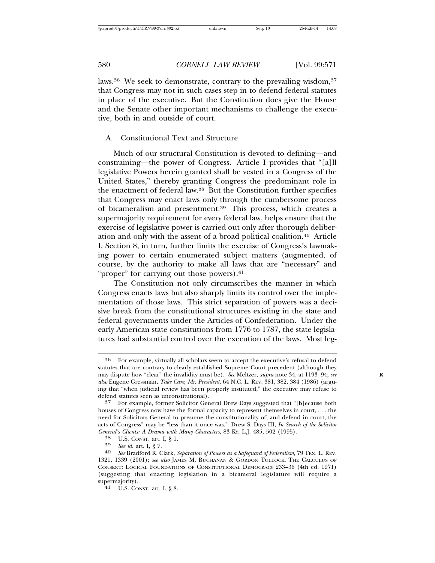laws.<sup>36</sup> We seek to demonstrate, contrary to the prevailing wisdom,<sup>37</sup> that Congress may not in such cases step in to defend federal statutes in place of the executive. But the Constitution does give the House and the Senate other important mechanisms to challenge the executive, both in and outside of court.

#### A. Constitutional Text and Structure

Much of our structural Constitution is devoted to defining—and constraining—the power of Congress. Article I provides that "[a]ll legislative Powers herein granted shall be vested in a Congress of the United States," thereby granting Congress the predominant role in the enactment of federal law.38 But the Constitution further specifies that Congress may enact laws only through the cumbersome process of bicameralism and presentment.<sup>39</sup> This process, which creates a supermajority requirement for every federal law, helps ensure that the exercise of legislative power is carried out only after thorough deliberation and only with the assent of a broad political coalition.40 Article I, Section 8, in turn, further limits the exercise of Congress's lawmaking power to certain enumerated subject matters (augmented, of course, by the authority to make all laws that are "necessary" and "proper" for carrying out those powers).<sup>41</sup>

The Constitution not only circumscribes the manner in which Congress enacts laws but also sharply limits its control over the implementation of those laws. This strict separation of powers was a decisive break from the constitutional structures existing in the state and federal governments under the Articles of Confederation. Under the early American state constitutions from 1776 to 1787, the state legislatures had substantial control over the execution of the laws. Most leg-

<sup>36</sup> For example, virtually all scholars seem to accept the executive's refusal to defend statutes that are contrary to clearly established Supreme Court precedent (although they may dispute how "clear" the invalidity must be). *See* Meltzer, *supra* note 34, at 1193–94; *see* **R** *also* Eugene Gressman, *Take Care, Mr. President*, 64 N.C. L. REV. 381, 382, 384 (1986) (arguing that "when judicial review has been properly instituted," the executive may refuse to defend statutes seen as unconstitutional).

<sup>37</sup> For example, former Solicitor General Drew Days suggested that "[b]ecause both houses of Congress now have the formal capacity to represent themselves in court, . . . the need for Solicitors General to presume the constitutionality of, and defend in court, the acts of Congress" may be "less than it once was." Drew S. Days III, *In Search of the Solicitor*

<sup>&</sup>lt;sup>38</sup> U.S. CONST. art. I, § 1.<br><sup>39</sup> See id. art. I, § 7.<br><sup>40</sup> See Bradford R. Clark, Separation of Powers as a Safeguard of Federalism, 79 TEX. L. REV. 1321, 1339 (2001); *see also* JAMES M. BUCHANAN & GORDON TULLOCK, THE CALCULUS OF CONSENT: LOGICAL FOUNDATIONS OF CONSTITUTIONAL DEMOCRACY 233–36 (4th ed. 1971) (suggesting that enacting legislation in a bicameral legislature will require a supermajority).<br>41 U.S. CONST. art. I, § 8.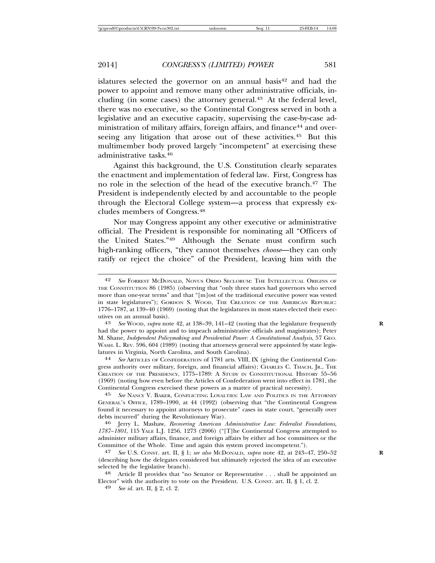islatures selected the governor on an annual basis<sup>42</sup> and had the power to appoint and remove many other administrative officials, including (in some cases) the attorney general. $43$  At the federal level, there was no executive, so the Continental Congress served in both a legislative and an executive capacity, supervising the case-by-case administration of military affairs, foreign affairs, and finance<sup>44</sup> and overseeing any litigation that arose out of these activities.<sup>45</sup> But this multimember body proved largely "incompetent" at exercising these administrative tasks.46

Against this background, the U.S. Constitution clearly separates the enactment and implementation of federal law. First, Congress has no role in the selection of the head of the executive branch.<sup>47</sup> The President is independently elected by and accountable to the people through the Electoral College system—a process that expressly excludes members of Congress.48

Nor may Congress appoint any other executive or administrative official. The President is responsible for nominating all "Officers of the United States."49 Although the Senate must confirm such high-ranking officers, "they cannot themselves *choose*—they can only ratify or reject the choice" of the President, leaving him with the

had the power to appoint and to impeach administrative officials and magistrates); Peter M. Shane, *Independent Policymaking and Presidential Power: A Constitutional Analysis*, 57 GEO. WASH. L. REV. 596, 604 (1989) (noting that attorneys general were appointed by state legis-<br>latures in Virginia, North Carolina, and South Carolina).

latures in Virginia, North Carolina, and South Carolina). <sup>44</sup> *See* ARTICLES OF CONFEDERATION of 1781 arts. VIII, IX (giving the Continental Congress authority over military, foreign, and financial affairs); CHARLES C. THACH, JR., THE CREATION OF THE PRESIDENCY, 1775–1789: A STUDY IN CONSTITUTIONAL HISTORY 55–56 (1969) (noting how even before the Articles of Confederation went into effect in 1781, the Continental Congress exercised these powers as a matter of practical necessity).

45 *See* NANCY V. BAKER, CONFLICTING LOYALTIES: LAW AND POLITICS IN THE ATTORNEY GENERAL'S OFFICE, 1789–1990, at 44 (1992) (observing that "the Continental Congress found it necessary to appoint attorneys to prosecute" cases in state court, "generally over debts incurred" during the Revolutionary War).

<sup>46</sup> Jerry L. Mashaw, *Recovering American Administrative Law: Federalist Foundations, 1787–1801*, 115 YALE L.J. 1256, 1273 (2006) ("[T]he Continental Congress attempted to administer military affairs, finance, and foreign affairs by either ad hoc committees or the Committee of the Whole. Time and again this system proved incompetent.").<br><sup>47</sup> See U.S. CONST. art. II. § 1: see also MCDONALD. subra note 42. at 243–4

47 *See* U.S. CONST. art. II, § 1; *see also* MCDONALD, *supra* note 42, at 243–47, 250–52 **R** (describing how the delegates considered but ultimately rejected the idea of an executive selected by the legislative branch).<br><sup>48</sup> Article II provides that "no Senator or Representative . . . shall be appointed an

Elector" with the authority to vote on the President. U.S. CONST. art. II, § 1, cl. 2. <sup>49</sup> *See id.* art. II, § 2, cl. 2.

<sup>42</sup> *See* FORREST MCDONALD, NOVUS ORDO SECLORUM: THE INTELLECTUAL ORIGINS OF THE CONSTITUTION 86 (1985) (observing that "only three states had governors who served more than one-year terms" and that "[m]ost of the traditional executive power was vested in state legislatures"); GORDON S. WOOD, THE CREATION OF THE AMERICAN REPUBLIC: 1776–1787, at 139–40 (1969) (noting that the legislatures in most states elected their executives on an annual basis). <sup>43</sup> *See* WOOD, *supra* note 42, at 138–39, 141–42 (noting that the legislature frequently **<sup>R</sup>**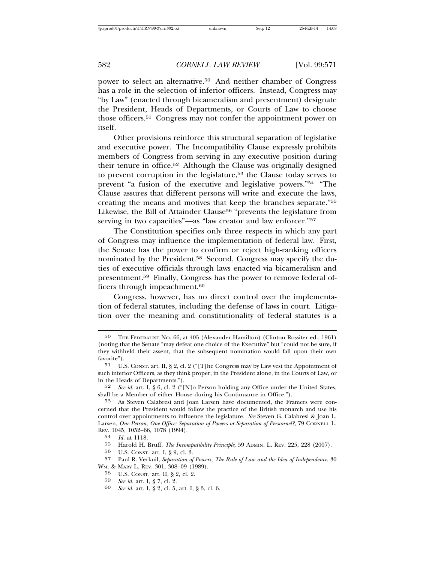power to select an alternative.50 And neither chamber of Congress has a role in the selection of inferior officers. Instead, Congress may "by Law" (enacted through bicameralism and presentment) designate the President, Heads of Departments, or Courts of Law to choose those officers.51 Congress may not confer the appointment power on itself.

Other provisions reinforce this structural separation of legislative and executive power. The Incompatibility Clause expressly prohibits members of Congress from serving in any executive position during their tenure in office.52 Although the Clause was originally designed to prevent corruption in the legislature,53 the Clause today serves to prevent "a fusion of the executive and legislative powers."54 "The Clause assures that different persons will write and execute the laws, creating the means and motives that keep the branches separate."55 Likewise, the Bill of Attainder Clause<sup>56</sup> "prevents the legislature from serving in two capacities"—as "law creator and law enforcer."<sup>57</sup>

The Constitution specifies only three respects in which any part of Congress may influence the implementation of federal law. First, the Senate has the power to confirm or reject high-ranking officers nominated by the President.58 Second, Congress may specify the duties of executive officials through laws enacted via bicameralism and presentment.59 Finally, Congress has the power to remove federal officers through impeachment.<sup>60</sup>

Congress, however, has no direct control over the implementation of federal statutes, including the defense of laws in court. Litigation over the meaning and constitutionality of federal statutes is a

<sup>50</sup> THE FEDERALIST NO. 66, at 405 (Alexander Hamilton) (Clinton Rossiter ed., 1961) (noting that the Senate "may defeat one choice of the Executive" but "could not be sure, if they withheld their assent, that the subsequent nomination would fall upon their own favorite").

<sup>51</sup> U.S. CONST. art. II, § 2, cl. 2 ("[T]he Congress may by Law vest the Appointment of such inferior Officers, as they think proper, in the President alone, in the Courts of Law, or in the Heads of Departments.").

<sup>52</sup> *See id.* art. I, § 6, cl. 2 ("[N]o Person holding any Office under the United States, shall be a Member of either House during his Continuance in Office.").

<sup>53</sup> As Steven Calabresi and Joan Larsen have documented, the Framers were concerned that the President would follow the practice of the British monarch and use his control over appointments to influence the legislature. *See* Steven G. Calabresi & Joan L. Larsen, *One Person, One Office: Separation of Powers or Separation of Personnel?*, 79 CORNELL L. REV. 1045, 1052–66, 1078 (1994).

<sup>54</sup> *Id.* at 1118.

<sup>55</sup> Harold H. Bruff, *The Incompatibility Principle*, 59 ADMIN. L. REV. 225, 228 (2007).

<sup>56</sup> U.S. CONST. art. I, § 9, cl. 3.<br>57 Paul R. Verkuil, Sebaration of

<sup>57</sup> Paul R. Verkuil, *Separation of Powers, The Rule of Law and the Idea of Independence*, 30 WM. & MARY L. REV. 301, 308–09 (1989).

<sup>58</sup> U.S. CONST. art. II, § 2, cl. 2.

<sup>59</sup> *See id.* art. I, § 7, cl. 2. <sup>60</sup> *See id.* art. I, § 2, cl. 5, art. I, § 3, cl. 6.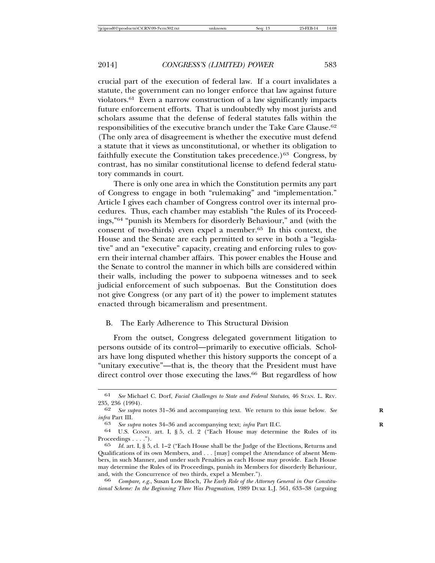crucial part of the execution of federal law. If a court invalidates a statute, the government can no longer enforce that law against future violators.61 Even a narrow construction of a law significantly impacts future enforcement efforts. That is undoubtedly why most jurists and scholars assume that the defense of federal statutes falls within the responsibilities of the executive branch under the Take Care Clause.62 (The only area of disagreement is whether the executive must defend a statute that it views as unconstitutional, or whether its obligation to faithfully execute the Constitution takes precedence.)<sup>63</sup> Congress, by contrast, has no similar constitutional license to defend federal statutory commands in court.

There is only one area in which the Constitution permits any part of Congress to engage in both "rulemaking" and "implementation." Article I gives each chamber of Congress control over its internal procedures. Thus, each chamber may establish "the Rules of its Proceedings,"64 "punish its Members for disorderly Behaviour," and (with the consent of two-thirds) even expel a member.65 In this context, the House and the Senate are each permitted to serve in both a "legislative" and an "executive" capacity, creating and enforcing rules to govern their internal chamber affairs. This power enables the House and the Senate to control the manner in which bills are considered within their walls, including the power to subpoena witnesses and to seek judicial enforcement of such subpoenas. But the Constitution does not give Congress (or any part of it) the power to implement statutes enacted through bicameralism and presentment.

#### B. The Early Adherence to This Structural Division

From the outset, Congress delegated government litigation to persons outside of its control—primarily to executive officials. Scholars have long disputed whether this history supports the concept of a "unitary executive"—that is, the theory that the President must have direct control over those executing the laws.<sup>66</sup> But regardless of how

<sup>61</sup> *See* Michael C. Dorf, *Facial Challenges to State and Federal Statutes*, 46 STAN. L. REV. 235, 236 (1994).

<sup>62</sup> *See supra* notes 31–36 and accompanying text. We return to this issue below. *See* **R** *infra* Part III.

<sup>63</sup> *See supra* notes 34–36 and accompanying text; *infra* Part II.C. **R**

<sup>64</sup> U.S. CONST. art. I, § 5, cl. 2 ("Each House may determine the Rules of its Proceedings . . . .").

*Id.* art. I, § 5, cl. 1–2 ("Each House shall be the Judge of the Elections, Returns and Qualifications of its own Members, and . . . [may] compel the Attendance of absent Members, in such Manner, and under such Penalties as each House may provide. Each House may determine the Rules of its Proceedings, punish its Members for disorderly Behaviour, and, with the Concurrence of two thirds, expel a Member.").

<sup>66</sup> *Compare, e.g.*, Susan Low Bloch, *The Early Role of the Attorney General in Our Constitutional Scheme: In the Beginning There Was Pragmatism*, 1989 DUKE L.J. 561, 633–38 (arguing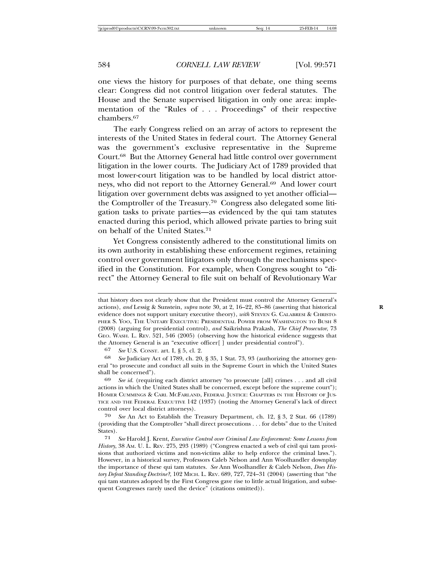one views the history for purposes of that debate, one thing seems clear: Congress did not control litigation over federal statutes. The House and the Senate supervised litigation in only one area: implementation of the "Rules of . . . Proceedings" of their respective chambers.67

The early Congress relied on an array of actors to represent the interests of the United States in federal court. The Attorney General was the government's exclusive representative in the Supreme Court.68 But the Attorney General had little control over government litigation in the lower courts. The Judiciary Act of 1789 provided that most lower-court litigation was to be handled by local district attorneys, who did not report to the Attorney General.<sup>69</sup> And lower court litigation over government debts was assigned to yet another official the Comptroller of the Treasury.70 Congress also delegated some litigation tasks to private parties—as evidenced by the qui tam statutes enacted during this period, which allowed private parties to bring suit on behalf of the United States.71

Yet Congress consistently adhered to the constitutional limits on its own authority in establishing these enforcement regimes, retaining control over government litigators only through the mechanisms specified in the Constitution. For example, when Congress sought to "direct" the Attorney General to file suit on behalf of Revolutionary War

that history does not clearly show that the President must control the Attorney General's actions), *and* Lessig & Sunstein, *supra* note 30, at 2, 16–22, 85–86 (asserting that historical **R** evidence does not support unitary executive theory), *with* STEVEN G. CALABRESI & CHRISTO-PHER S. YOO, THE UNITARY EXECUTIVE: PRESIDENTIAL POWER FROM WASHINGTON TO BUSH 8 (2008) (arguing for presidential control), *and* Saikrishna Prakash, *The Chief Prosecutor*, 73 GEO. WASH. L. REV. 521, 546 (2005) (observing how the historical evidence suggests that the Attorney General is an "executive officer[ ] under presidential control").

<sup>67</sup> *See* U.S. CONST. art. I, § 5, cl. 2.

<sup>68</sup> *See* Judiciary Act of 1789, ch. 20, § 35, 1 Stat. 73, 93 (authorizing the attorney general "to prosecute and conduct all suits in the Supreme Court in which the United States shall be concerned").

<sup>69</sup> *See id.* (requiring each district attorney "to prosecute [all] crimes . . . and all civil actions in which the United States shall be concerned, except before the supreme court"); HOMER CUMMINGS & CARL MCFARLAND, FEDERAL JUSTICE: CHAPTERS IN THE HISTORY OF JUS-TICE AND THE FEDERAL EXECUTIVE 142 (1937) (noting the Attorney General's lack of direct control over local district attorneys).

<sup>70</sup> *See* An Act to Establish the Treasury Department, ch. 12, § 3, 2 Stat. 66 (1789) (providing that the Comptroller "shall direct prosecutions . . . for debts" due to the United States).

<sup>71</sup> *See* Harold J. Krent, *Executive Control over Criminal Law Enforcement: Some Lessons from History*, 38 AM. U. L. REV. 275, 293 (1989) ("Congress enacted a web of civil qui tam provisions that authorized victims and non-victims alike to help enforce the criminal laws."). However, in a historical survey, Professors Caleb Nelson and Ann Woolhandler downplay the importance of these qui tam statutes. *See* Ann Woolhandler & Caleb Nelson, *Does History Defeat Standing Doctrine?*, 102 MICH. L. REV. 689, 727, 724–31 (2004) (asserting that "the qui tam statutes adopted by the First Congress gave rise to little actual litigation, and subsequent Congresses rarely used the device" (citations omitted)).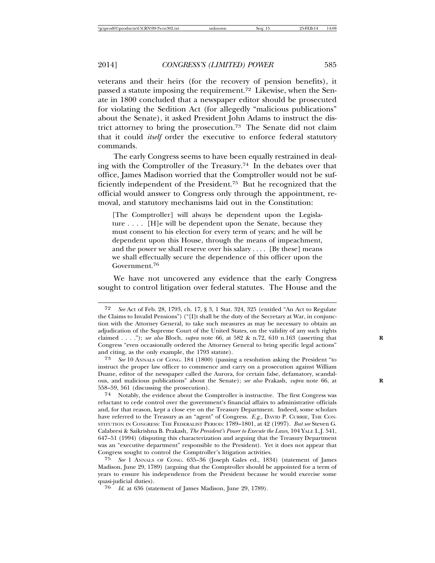veterans and their heirs (for the recovery of pension benefits), it passed a statute imposing the requirement.72 Likewise, when the Senate in 1800 concluded that a newspaper editor should be prosecuted for violating the Sedition Act (for allegedly "malicious publications" about the Senate), it asked President John Adams to instruct the district attorney to bring the prosecution.73 The Senate did not claim that it could *itself* order the executive to enforce federal statutory commands.

The early Congress seems to have been equally restrained in dealing with the Comptroller of the Treasury.74 In the debates over that office, James Madison worried that the Comptroller would not be sufficiently independent of the President.75 But he recognized that the official would answer to Congress only through the appointment, removal, and statutory mechanisms laid out in the Constitution:

[The Comptroller] will always be dependent upon the Legislature . . . . [H]e will be dependent upon the Senate, because they must consent to his election for every term of years; and he will be dependent upon this House, through the means of impeachment, and the power we shall reserve over his salary  $\dots$  [By these] means we shall effectually secure the dependence of this officer upon the Government.76

We have not uncovered any evidence that the early Congress sought to control litigation over federal statutes. The House and the

74 Notably, the evidence about the Comptroller is instructive. The first Congress was reluctant to cede control over the government's financial affairs to administrative officials and, for that reason, kept a close eye on the Treasury Department. Indeed, some scholars have referred to the Treasury as an "agent" of Congress. *E.g.*, DAVID P. CURRIE, THE CON-STITUTION IN CONGRESS: THE FEDERALIST PERIOD: 1789–1801, at 42 (1997). *But see* Steven G. Calabresi & Saikrishna B. Prakash, *The President's Power to Execute the Laws*, 104 YALE L.J. 541, 647–51 (1994) (disputing this characterization and arguing that the Treasury Department was an "executive department" responsible to the President). Yet it does not appear that Congress sought to control the Comptroller's litigation activities.

76 *Id.* at 636 (statement of James Madison, June 29, 1789).

<sup>72</sup> *See* Act of Feb. 28, 1793, ch. 17, § 3, 1 Stat. 324, 325 (entitled "An Act to Regulate the Claims to Invalid Pensions") ("[I]t shall be the duty of the Secretary at War, in conjunction with the Attorney General, to take such measures as may be necessary to obtain an adjudication of the Supreme Court of the United States, on the validity of any such rights claimed . . . ."); *see also* Bloch, *supra* note 66, at 582 & n.72, 610 n.163 (asserting that **R** Congress "even occasionally ordered the Attorney General to bring specific legal actions" and citing, as the only example, the 1793 statute).

<sup>73</sup> *See* 10 ANNALS OF CONG. 184 (1800) (passing a resolution asking the President "to instruct the proper law officer to commence and carry on a prosecution against William Duane, editor of the newspaper called the Aurora, for certain false, defamatory, scandalous, and malicious publications" about the Senate); *see also* Prakash, *supra* note 66, at **R** 558–59, 561 (discussing the prosecution).

<sup>75</sup> *See* 1 ANNALS OF CONG. 635–36 (Joseph Gales ed., 1834) (statement of James Madison, June 29, 1789) (arguing that the Comptroller should be appointed for a term of years to ensure his independence from the President because he would exercise some quasi-judicial duties).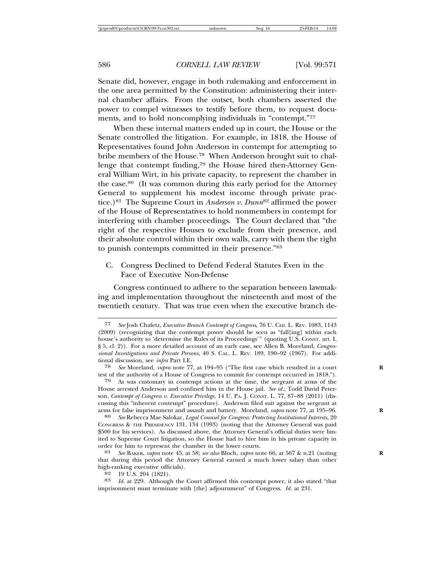Senate did, however, engage in both rulemaking and enforcement in the one area permitted by the Constitution: administering their internal chamber affairs. From the outset, both chambers asserted the power to compel witnesses to testify before them, to request documents, and to hold noncomplying individuals in "contempt."77

When these internal matters ended up in court, the House or the Senate controlled the litigation. For example, in 1818, the House of Representatives found John Anderson in contempt for attempting to bribe members of the House.78 When Anderson brought suit to challenge that contempt finding,79 the House hired then-Attorney General William Wirt, in his private capacity, to represent the chamber in the case.80 (It was common during this early period for the Attorney General to supplement his modest income through private practice.)81 The Supreme Court in *Anderson v. Dunn*82 affirmed the power of the House of Representatives to hold nonmembers in contempt for interfering with chamber proceedings. The Court declared that "the right of the respective Houses to exclude from their presence, and their absolute control within their own walls, carry with them the right to punish contempts committed in their presence."83

C. Congress Declined to Defend Federal Statutes Even in the Face of Executive Non-Defense

Congress continued to adhere to the separation between lawmaking and implementation throughout the nineteenth and most of the twentieth century. That was true even when the executive branch de-

83 Id. at 229. Although the Court affirmed this contempt power, it also stated "that imprisonment must terminate with [the] adjournment" of Congress. *Id.* at 231.

<sup>77</sup> *See* Josh Chafetz, *Executive Branch Contempt of Congress*, 76 U. CHI. L. REV. 1083, 1143 (2009) (recognizing that the contempt power should be seen as "fall[ing] within each house's authority to 'determine the Rules of its Proceedings'" (quoting U.S. CONST. art. I, § 5, cl. 2)). For a more detailed account of an early case, see Allen B. Moreland, *Congressional Investigations and Private Persons*, 40 S. CAL. L. REV. 189, 190–92 (1967). For additional discussion, see *infra* Part I.E.

See Moreland, *supra* note 77, at 194–95 ("The first case which resulted in a court test of the authority of a House of Congress to commit for contempt occurred in 1818.").

<sup>79</sup> As was customary in contempt actions at the time, the sergeant at arms of the House arrested Anderson and confined him in the House jail. *See id.*; Todd David Peterson, *Contempt of Congress v. Executive Privilege*, 14 U. PA. J. CONST. L. 77, 87–88 (2011) (discussing this "inherent contempt" procedure). Anderson filed suit against the sergeant at arms for false imprisonment and assault and battery. Moreland, *supra* note 77, at 195–96. **R**

<sup>80</sup> *See* Rebecca Mae Salokar, *Legal Counsel for Congress: Protecting Institutional Interests*, 20 CONGRESS & THE PRESIDENCY 131, 134 (1993) (noting that the Attorney General was paid \$500 for his services). As discussed above, the Attorney General's official duties were limited to Supreme Court litigation, so the House had to hire him in his private capacity in order for him to represent the chamber in the lower courts.

<sup>81</sup> *See* BAKER, *supra* note 45, at 58; *see also* Bloch, *supra* note 66, at 567 & n.21 (noting **R** that during this period the Attorney General earned a much lower salary than other high-ranking executive officials).<br><sup>82</sup> 19 U.S. 204 (1821).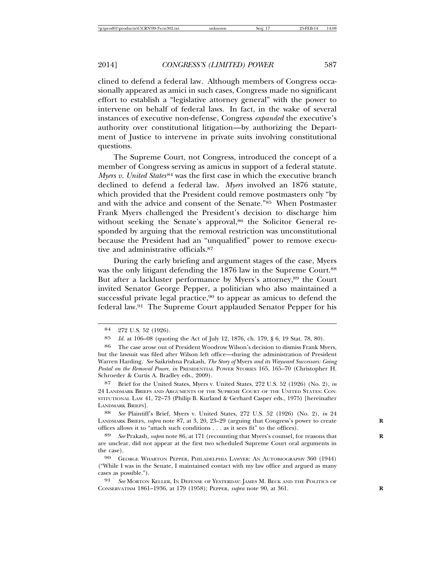clined to defend a federal law. Although members of Congress occasionally appeared as amici in such cases, Congress made no significant effort to establish a "legislative attorney general" with the power to intervene on behalf of federal laws. In fact, in the wake of several instances of executive non-defense, Congress *expanded* the executive's authority over constitutional litigation—by authorizing the Department of Justice to intervene in private suits involving constitutional questions.

The Supreme Court, not Congress, introduced the concept of a member of Congress serving as amicus in support of a federal statute. *Myers v. United States*<sup>84</sup> was the first case in which the executive branch declined to defend a federal law. *Myers* involved an 1876 statute, which provided that the President could remove postmasters only "by and with the advice and consent of the Senate."85 When Postmaster Frank Myers challenged the President's decision to discharge him without seeking the Senate's approval,<sup>86</sup> the Solicitor General responded by arguing that the removal restriction was unconstitutional because the President had an "unqualified" power to remove executive and administrative officials.87

During the early briefing and argument stages of the case, Myers was the only litigant defending the 1876 law in the Supreme Court.<sup>88</sup> But after a lackluster performance by Myers's attorney,<sup>89</sup> the Court invited Senator George Pepper, a politician who also maintained a successful private legal practice,  $90$  to appear as amicus to defend the federal law.91 The Supreme Court applauded Senator Pepper for his

88 *See* Plaintiff's Brief, Myers v. United States, 272 U.S. 52 (1926) (No. 2), *in* 24 LANDMARK BRIEFS, *supra* note 87, at 3, 20, 23–29 (arguing that Congress's power to create **R** offices allows it to "attach such conditions . . . as it sees fit" to the offices).

89 *See* Prakash, *supra* note 86, at 171 (recounting that Myers's counsel, for reasons that **R** are unclear, did not appear at the first two scheduled Supreme Court oral arguments in the case).

90 GEORGE WHARTON PEPPER, PHILADELPHIA LAWYER: AN AUTOBIOGRAPHY 360 (1944) ("While I was in the Senate, I maintained contact with my law office and argued as many cases as possible.").

91 *See* MORTON KELLER, IN DEFENSE OF YESTERDAY: JAMES M. BECK AND THE POLITICS OF CONSERVATISM 1861–1936, at 179 (1958); PEPPER, *supra* note 90, at 361. **R**

<sup>84</sup> 272 U.S. 52 (1926).

<sup>85</sup> *Id.* at 106–08 (quoting the Act of July 12, 1876, ch. 179, § 6, 19 Stat. 78, 80).

<sup>86</sup> The case arose out of President Woodrow Wilson's decision to dismiss Frank Myers, but the lawsuit was filed after Wilson left office—during the administration of President Warren Harding. *See* Saikrishna Prakash, *The Story of* Myers *and its Wayward Successors: Going Postal on the Removal Power*, *in* PRESIDENTIAL POWER STORIES 165, 165–70 (Christopher H. Schroeder & Curtis A. Bradley eds., 2009).

<sup>87</sup> Brief for the United States, Myers v. United States, 272 U.S. 52 (1926) (No. 2), *in* 24 LANDMARK BRIEFS AND ARGUMENTS OF THE SUPREME COURT OF THE UNITED STATES: CON-STITUTIONAL LAW 41, 72–73 (Philip B. Kurland & Gerhard Casper eds., 1975) [hereinafter LANDMARK BRIEFS].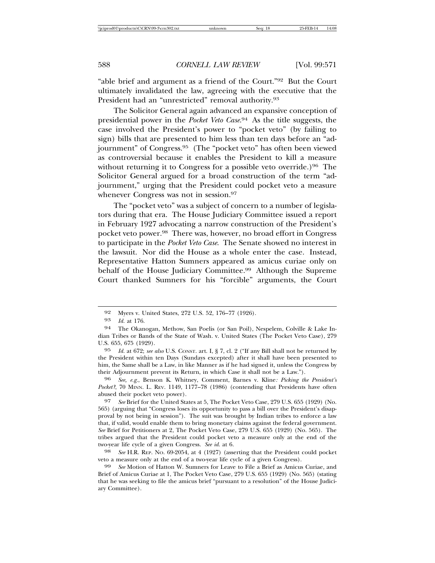"able brief and argument as a friend of the Court."92 But the Court ultimately invalidated the law, agreeing with the executive that the President had an "unrestricted" removal authority.<sup>93</sup>

The Solicitor General again advanced an expansive conception of presidential power in the *Pocket Veto Case*. 94 As the title suggests, the case involved the President's power to "pocket veto" (by failing to sign) bills that are presented to him less than ten days before an "adjournment" of Congress.95 (The "pocket veto" has often been viewed as controversial because it enables the President to kill a measure without returning it to Congress for a possible veto override.)<sup>96</sup> The Solicitor General argued for a broad construction of the term "adjournment," urging that the President could pocket veto a measure whenever Congress was not in session.<sup>97</sup>

The "pocket veto" was a subject of concern to a number of legislators during that era. The House Judiciary Committee issued a report in February 1927 advocating a narrow construction of the President's pocket veto power.98 There was, however, no broad effort in Congress to participate in the *Pocket Veto Case*. The Senate showed no interest in the lawsuit. Nor did the House as a whole enter the case. Instead, Representative Hatton Sumners appeared as amicus curiae only on behalf of the House Judiciary Committee.<sup>99</sup> Although the Supreme Court thanked Sumners for his "forcible" arguments, the Court

95 *Id.* at 672; *see also* U.S. CONST. art. I, § 7, cl. 2 ("If any Bill shall not be returned by the President within ten Days (Sundays excepted) after it shall have been presented to him, the Same shall be a Law, in like Manner as if he had signed it, unless the Congress by their Adjournment prevent its Return, in which Case it shall not be a Law.").

96 *See, e.g.*, Benson K. Whitney, Comment, Barnes v. Kline*: Picking the President's Pocket?*, 70 MINN. L. REV. 1149, 1177–78 (1986) (contending that Presidents have often abused their pocket veto power).

97 *See* Brief for the United States at 5, The Pocket Veto Case, 279 U.S. 655 (1929) (No. 565) (arguing that "Congress loses its opportunity to pass a bill over the President's disapproval by not being in session"). The suit was brought by Indian tribes to enforce a law that, if valid, would enable them to bring monetary claims against the federal government. *See* Brief for Petitioners at 2, The Pocket Veto Case, 279 U.S. 655 (1929) (No. 565). The tribes argued that the President could pocket veto a measure only at the end of the two-year life cycle of a given Congress. *See id.* at 6.

98 *See* H.R. REP. NO. 69-2054, at 4 (1927) (asserting that the President could pocket veto a measure only at the end of a two-year life cycle of a given Congress).

99 *See* Motion of Hatton W. Sumners for Leave to File a Brief as Amicus Curiae, and Brief of Amicus Curiae at 1, The Pocket Veto Case, 279 U.S. 655 (1929) (No. 565) (stating that he was seeking to file the amicus brief "pursuant to a resolution" of the House Judiciary Committee).

<sup>92</sup> Myers v. United States, 272 U.S. 52, 176–77 (1926).

<sup>93</sup> *Id.* at 176.

<sup>94</sup> The Okanogan, Methow, San Poelis (or San Poil), Nespelem, Colville & Lake Indian Tribes or Bands of the State of Wash. v. United States (The Pocket Veto Case), 279 U.S. 655, 675 (1929).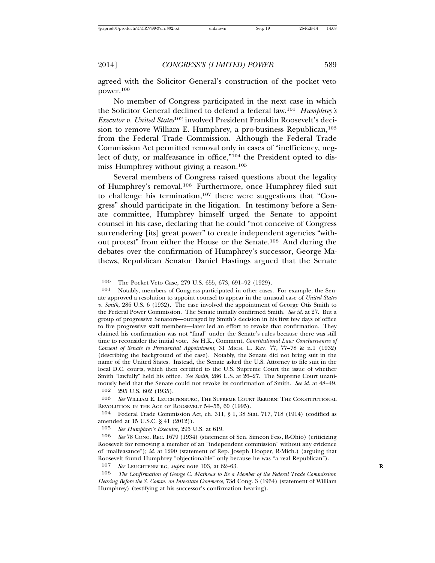agreed with the Solicitor General's construction of the pocket veto power.100

No member of Congress participated in the next case in which the Solicitor General declined to defend a federal law.101 *Humphrey's Executor v. United States*102 involved President Franklin Roosevelt's decision to remove William E. Humphrey, a pro-business Republican,<sup>103</sup> from the Federal Trade Commission. Although the Federal Trade Commission Act permitted removal only in cases of "inefficiency, neglect of duty, or malfeasance in office,"104 the President opted to dismiss Humphrey without giving a reason.105

Several members of Congress raised questions about the legality of Humphrey's removal.106 Furthermore, once Humphrey filed suit to challenge his termination,<sup>107</sup> there were suggestions that "Congress" should participate in the litigation. In testimony before a Senate committee, Humphrey himself urged the Senate to appoint counsel in his case, declaring that he could "not conceive of Congress surrendering [its] great power" to create independent agencies "without protest" from either the House or the Senate.108 And during the debates over the confirmation of Humphrey's successor, George Mathews, Republican Senator Daniel Hastings argued that the Senate

102 295 U.S. 602 (1935).

103 *See* WILLIAM E. LEUCHTENBURG, THE SUPREME COURT REBORN: THE CONSTITUTIONAL REVOLUTION IN THE AGE OF ROOSEVELT 54–55, 60 (1995).

104 Federal Trade Commission Act, ch. 311, § 1, 38 Stat. 717, 718 (1914) (codified as amended at 15 U.S.C. § 41 (2012)).

107 *See* LEUCHTENBURG, *supra* note 103, at 62–63. **R**

108 *The Confirmation of George C. Mathews to Be a Member of the Federal Trade Commission*: *Hearing Before the S. Comm. on Interstate Commerce*, 73d Cong. 3 (1934) (statement of William Humphrey) (testifying at his successor's confirmation hearing).

<sup>100</sup> The Pocket Veto Case, 279 U.S. 655, 673, 691–92 (1929).

<sup>101</sup> Notably, members of Congress participated in other cases. For example, the Senate approved a resolution to appoint counsel to appear in the unusual case of *United States v. Smith*, 286 U.S. 6 (1932). The case involved the appointment of George Otis Smith to the Federal Power Commission. The Senate initially confirmed Smith. *See id.* at 27. But a group of progressive Senators—outraged by Smith's decision in his first few days of office to fire progressive staff members—later led an effort to revoke that confirmation. They claimed his confirmation was not "final" under the Senate's rules because there was still time to reconsider the initial vote. *See* H.K., Comment, *Constitutional Law: Conclusiveness of Consent of Senate to Presidential Appointment*, 31 MICH. L. REV. 77, 77–78 & n.1 (1932) (describing the background of the case). Notably, the Senate did not bring suit in the name of the United States. Instead, the Senate asked the U.S. Attorney to file suit in the local D.C. courts, which then certified to the U.S. Supreme Court the issue of whether Smith "lawfully" held his office. *See Smith*, 286 U.S. at 26–27. The Supreme Court unanimously held that the Senate could not revoke its confirmation of Smith. *See id.* at 48–49.

<sup>105</sup> *See Humphrey's Executor*, 295 U.S. at 619.

<sup>106</sup> *See* 78 CONG. REC. 1679 (1934) (statement of Sen. Simeon Fess, R-Ohio) (criticizing Roosevelt for removing a member of an "independent commission" without any evidence of "malfeasance"); *id.* at 1290 (statement of Rep. Joseph Hooper, R-Mich.) (arguing that Roosevelt found Humphrey "objectionable" only because he was "a real Republican").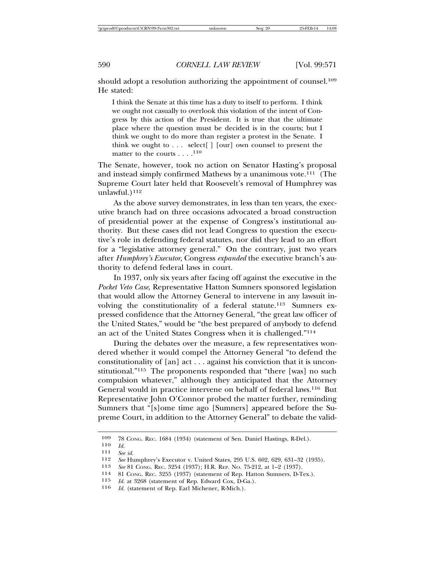should adopt a resolution authorizing the appointment of counsel.<sup>109</sup> He stated:

I think the Senate at this time has a duty to itself to perform. I think we ought not casually to overlook this violation of the intent of Congress by this action of the President. It is true that the ultimate place where the question must be decided is in the courts; but I think we ought to do more than register a protest in the Senate. I think we ought to  $\ldots$  select  $\lceil \cdot \rceil$  [our] own counsel to present the matter to the courts . . . .<sup>110</sup>

The Senate, however, took no action on Senator Hasting's proposal and instead simply confirmed Mathews by a unanimous vote.111 (The Supreme Court later held that Roosevelt's removal of Humphrey was unlawful. $)^{112}$ 

As the above survey demonstrates, in less than ten years, the executive branch had on three occasions advocated a broad construction of presidential power at the expense of Congress's institutional authority. But these cases did not lead Congress to question the executive's role in defending federal statutes, nor did they lead to an effort for a "legislative attorney general." On the contrary, just two years after *Humphrey's Executor*, Congress *expanded* the executive branch's authority to defend federal laws in court.

In 1937, only six years after facing off against the executive in the *Pocket Veto Case*, Representative Hatton Sumners sponsored legislation that would allow the Attorney General to intervene in any lawsuit involving the constitutionality of a federal statute.113 Sumners expressed confidence that the Attorney General, "the great law officer of the United States," would be "the best prepared of anybody to defend an act of the United States Congress when it is challenged."114

During the debates over the measure, a few representatives wondered whether it would compel the Attorney General "to defend the constitutionality of [an] act . . . against his conviction that it is unconstitutional."115 The proponents responded that "there [was] no such compulsion whatever," although they anticipated that the Attorney General would in practice intervene on behalf of federal laws.116 But Representative John O'Connor probed the matter further, reminding Sumners that "[s]ome time ago [Sumners] appeared before the Supreme Court, in addition to the Attorney General" to debate the valid-

<sup>109 78</sup> CONG. REC. 1684 (1934) (statement of Sen. Daniel Hastings, R-Del.).<br>110  $H$ 

<sup>110</sup> *Id.* <sup>111</sup> *See id.*

<sup>112</sup> *See* Humphrey's Executor v. United States, 295 U.S. 602, 629, 631–32 (1935).<br>113 *See* 81 CoNG REC 3954 (1937): H.R. REP. No. 75-919 at 1–9 (1937)

<sup>113</sup> *See* 81 Cong. REC. 3254 (1937); H.R. REP. No. 75-212, at 1–2 (1937).<br>
<sup>114</sup> 81 Cong. REC. 3255 (1937) (statement of Rep. Hatton Sumners, D-Tex.).<br>
<sup>115</sup> *Id* at 3968 (statement of Rep. Edward Cox. D-Ga.).

<sup>115</sup> *Id.* at 3268 (statement of Rep. Edward Cox, D-Ga.).<br>116 *Id.* (statement of Rep. Earl Michener, R-Mich.).

Id. (statement of Rep. Earl Michener, R-Mich.).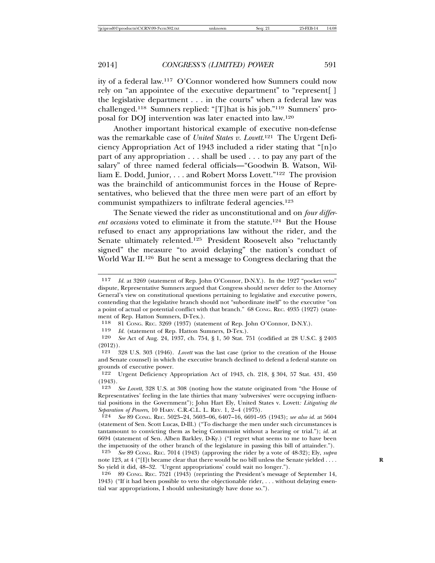ity of a federal law.117 O'Connor wondered how Sumners could now rely on "an appointee of the executive department" to "represent[ ] the legislative department . . . in the courts" when a federal law was challenged.118 Sumners replied: "[T]hat is his job."119 Sumners' proposal for DOJ intervention was later enacted into law.120

Another important historical example of executive non-defense was the remarkable case of *United States v. Lovett*. 121 The Urgent Deficiency Appropriation Act of 1943 included a rider stating that "[n]o part of any appropriation . . . shall be used . . . to pay any part of the salary" of three named federal officials—"Goodwin B. Watson, William E. Dodd, Junior, . . . and Robert Morss Lovett."122 The provision was the brainchild of anticommunist forces in the House of Representatives, who believed that the three men were part of an effort by communist sympathizers to infiltrate federal agencies.123

The Senate viewed the rider as unconstitutional and on *four different occasions* voted to eliminate it from the statute.124 But the House refused to enact any appropriations law without the rider, and the Senate ultimately relented.<sup>125</sup> President Roosevelt also "reluctantly signed" the measure "to avoid delaying" the nation's conduct of World War II.126 But he sent a message to Congress declaring that the

118 81 Cong. REC. 3269 (1937) (statement of Rep. John O'Connor, D-N.Y.).<br>119 Id (statement of Rep. Hatton Sumners, D-Tex.)

Id. (statement of Rep. Hatton Sumners, D-Tex.).

120 *See* Act of Aug. 24, 1937, ch. 754, § 1, 50 Stat. 751 (codified at 28 U.S.C. § 2403 (2012)).

121 328 U.S. 303 (1946). *Lovett* was the last case (prior to the creation of the House and Senate counsel) in which the executive branch declined to defend a federal statute on grounds of executive power.<br>122 Urgent Deficiency Au

Urgent Deficiency Appropriation Act of 1943, ch. 218, § 304, 57 Stat. 431, 450  $\begin{array}{c} (1943) \\ 123 \end{array}$ 

126 89 CONG. REC. 7521 (1943) (reprinting the President's message of September 14, 1943) ("If it had been possible to veto the objectionable rider, . . . without delaying essential war appropriations, I should unhesitatingly have done so.").

<sup>117</sup> *Id.* at 3269 (statement of Rep. John O'Connor, D-N.Y.). In the 1927 "pocket veto" dispute, Representative Sumners argued that Congress should never defer to the Attorney General's view on constitutional questions pertaining to legislative and executive powers, contending that the legislative branch should not "subordinate itself" to the executive "on a point of actual or potential conflict with that branch." 68 CONG. REC. 4935 (1927) (statement of Rep. Hatton Sumners, D-Tex.).<br>118 – 81 CONG, REC. 3969 (1937) (state

See Lovett, 328 U.S. at 308 (noting how the statute originated from "the House of Representatives' feeling in the late thirties that many 'subversives' were occupying influential positions in the Government"); John Hart Ely, United States v. Lovett*: Litigating the Separation of Powers*, 10 HARV. C.R.-C.L. L. REV. 1, 2–4 (1975).

<sup>124</sup> *See* 89 CONG. REC. 5023–24, 5603–06, 6407–16, 6691–95 (1943); *see also id.* at 5604 (statement of Sen. Scott Lucas, D-Ill.) ("To discharge the men under such circumstances is tantamount to convicting them as being Communist without a hearing or trial."); *id.* at 6694 (statement of Sen. Alben Barkley, D-Ky.) ("I regret what seems to me to have been the impetuosity of the other branch of the legislature in passing this bill of attainder.").<br>125 See 89 CoNg, REC, 7014 (1943) (approving the rider by a vote of 48-39): Ely, subra

<sup>125</sup> *See* 89 CONG. REC. 7014 (1943) (approving the rider by a vote of 48-32); Ely, *supra* note 123, at 4 ("[I]t became clear that there would be no bill unless the Senate yielded . . . . So yield it did, 48–32. 'Urgent appropriations' could wait no longer.").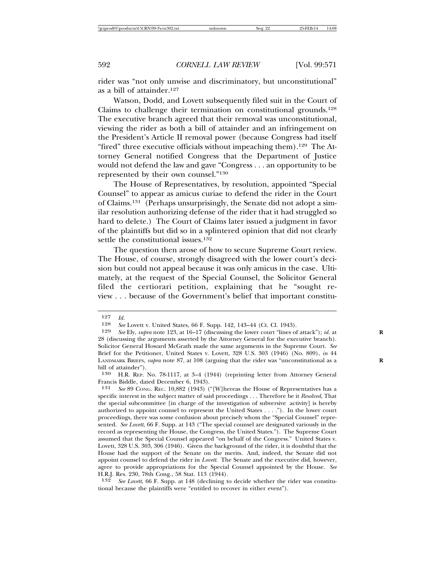rider was "not only unwise and discriminatory, but unconstitutional" as a bill of attainder.127

Watson, Dodd, and Lovett subsequently filed suit in the Court of Claims to challenge their termination on constitutional grounds.128 The executive branch agreed that their removal was unconstitutional, viewing the rider as both a bill of attainder and an infringement on the President's Article II removal power (because Congress had itself "fired" three executive officials without impeaching them).129 The Attorney General notified Congress that the Department of Justice would not defend the law and gave "Congress . . . an opportunity to be represented by their own counsel."130

The House of Representatives, by resolution, appointed "Special Counsel" to appear as amicus curiae to defend the rider in the Court of Claims.131 (Perhaps unsurprisingly, the Senate did not adopt a similar resolution authorizing defense of the rider that it had struggled so hard to delete.) The Court of Claims later issued a judgment in favor of the plaintiffs but did so in a splintered opinion that did not clearly settle the constitutional issues.<sup>132</sup>

The question then arose of how to secure Supreme Court review. The House, of course, strongly disagreed with the lower court's decision but could not appeal because it was only amicus in the case. Ultimately, at the request of the Special Counsel, the Solicitor General filed the certiorari petition, explaining that he "sought review . . . because of the Government's belief that important constitu-

132 *See Lovett*, 66 F. Supp. at 148 (declining to decide whether the rider was constitutional because the plaintiffs were "entitled to recover in either event").

 $\frac{127}{128}$  *Id.* 

<sup>128</sup> *See* Lovett v. United States, 66 F. Supp. 142, 143–44 (Ct. Cl. 1943).<br>129 *See* Fly *subra* note 123, at 16–17 (discussing the lower court "lines of

See Ely, *supra* note 123, at 16–17 (discussing the lower court "lines of attack"); *id.* at 28 (discussing the arguments asserted by the Attorney General for the executive branch). Solicitor General Howard McGrath made the same arguments in the Supreme Court. *See* Brief for the Petitioner, United States v. Lovett, 328 U.S. 303 (1946) (No. 809), *in* 44 LANDMARK BRIEFS, *supra* note 87, at 108 (arguing that the rider was "unconstitutional as a **R** bill of attainder").

<sup>130</sup> H.R. REP. No. 78-1117, at 3–4 (1944) (reprinting letter from Attorney General Francis Biddle, dated December 6, 1943).

<sup>131</sup> *See* 89 CONG. REC. 10,882 (1943) ("[W]hereas the House of Representatives has a specific interest in the subject matter of said proceedings . . . Therefore be it *Resolved*, That the special subcommittee [in charge of the investigation of subversive activity] is hereby authorized to appoint counsel to represent the United States . . . ."). In the lower court proceedings, there was some confusion about precisely whom the "Special Counsel" represented. *See Lovett*, 66 F. Supp. at 143 ("The special counsel are designated variously in the record as representing the House, the Congress, the United States."). The Supreme Court assumed that the Special Counsel appeared "on behalf of the Congress." United States v. Lovett, 328 U.S. 303, 306 (1946). Given the background of the rider, it is doubtful that the House had the support of the Senate on the merits. And, indeed, the Senate did not appoint counsel to defend the rider in *Lovett*. The Senate and the executive did, however, agree to provide appropriations for the Special Counsel appointed by the House. *See* H.R.J. Res. 230, 78th Cong., 58 Stat. 113 (1944).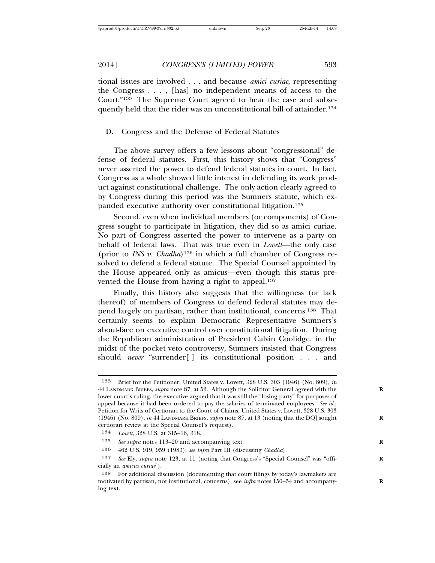tional issues are involved . . . and because *amici curiae*, representing the Congress . . . , [has] no independent means of access to the Court."133 The Supreme Court agreed to hear the case and subsequently held that the rider was an unconstitutional bill of attainder.<sup>134</sup>

#### D. Congress and the Defense of Federal Statutes

The above survey offers a few lessons about "congressional" defense of federal statutes. First, this history shows that "Congress" never asserted the power to defend federal statutes in court. In fact, Congress as a whole showed little interest in defending its work product against constitutional challenge. The only action clearly agreed to by Congress during this period was the Sumners statute, which expanded executive authority over constitutional litigation.135

Second, even when individual members (or components) of Congress sought to participate in litigation, they did so as amici curiae. No part of Congress asserted the power to intervene as a party on behalf of federal laws. That was true even in *Lovett*—the only case (prior to *INS v. Chadha*)136 in which a full chamber of Congress resolved to defend a federal statute. The Special Counsel appointed by the House appeared only as amicus—even though this status prevented the House from having a right to appeal.<sup>137</sup>

Finally, this history also suggests that the willingness (or lack thereof) of members of Congress to defend federal statutes may depend largely on partisan, rather than institutional, concerns.138 That certainly seems to explain Democratic Representative Sumners's about-face on executive control over constitutional litigation. During the Republican administration of President Calvin Coolidge, in the midst of the pocket veto controversy, Sumners insisted that Congress should *never* "surrender[ ] its constitutional position . . . and

<sup>133</sup> Brief for the Petitioner, United States v. Lovett, 328 U.S. 303 (1946) (No. 809), *in* 44 LANDMARK BRIEFS, *supra* note 87, at 53. Although the Solicitor General agreed with the **R** lower court's ruling, the executive argued that it was still the "losing party" for purposes of appeal because it had been ordered to pay the salaries of terminated employees. *See id.*; Petition for Writs of Certiorari to the Court of Claims, United States v. Lovett, 328 U.S. 303 (1946) (No. 809), *in* 44 LANDMARK BRIEFS, *supra* note 87, at 13 (noting that the DOJ sought **R** certiorari review at the Special Counsel's request).

<sup>134</sup> *Lovett*, 328 U.S. at 315–16, 318.

<sup>135</sup> *See supra* notes 113–20 and accompanying text. **R**

<sup>136</sup> 462 U.S. 919, 959 (1983); *see infra* Part III (discussing *Chadha*).

<sup>137</sup> *See* Ely, *supra* note 123, at 11 (noting that Congress's "Special Counsel" was "offi- **R** cially an *amicus curiae*").

<sup>138</sup> For additional discussion (documenting that court filings by today's lawmakers are motivated by partisan, not institutional, concerns), see *infra* notes 150–54 and accompany- **R** ing text.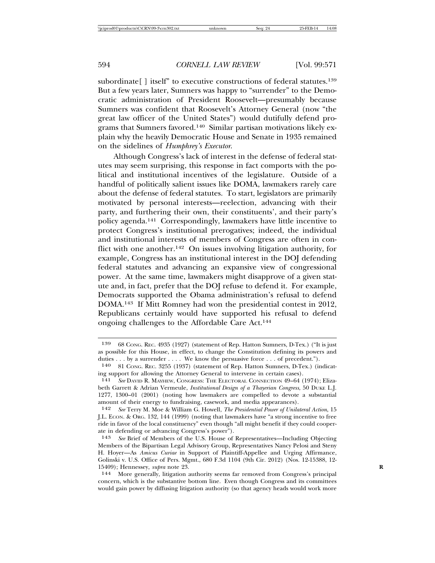subordinate<sup>[]</sup> itself" to executive constructions of federal statutes.<sup>139</sup> But a few years later, Sumners was happy to "surrender" to the Democratic administration of President Roosevelt—presumably because Sumners was confident that Roosevelt's Attorney General (now "the great law officer of the United States") would dutifully defend programs that Sumners favored.140 Similar partisan motivations likely explain why the heavily Democratic House and Senate in 1935 remained on the sidelines of *Humphrey's Executor*.

Although Congress's lack of interest in the defense of federal statutes may seem surprising, this response in fact comports with the political and institutional incentives of the legislature. Outside of a handful of politically salient issues like DOMA, lawmakers rarely care about the defense of federal statutes. To start, legislators are primarily motivated by personal interests—reelection, advancing with their party, and furthering their own, their constituents', and their party's policy agenda.141 Correspondingly, lawmakers have little incentive to protect Congress's institutional prerogatives; indeed, the individual and institutional interests of members of Congress are often in conflict with one another.<sup>142</sup> On issues involving litigation authority, for example, Congress has an institutional interest in the DOJ defending federal statutes and advancing an expansive view of congressional power. At the same time, lawmakers might disapprove of a given statute and, in fact, prefer that the DOJ refuse to defend it. For example, Democrats supported the Obama administration's refusal to defend DOMA.143 If Mitt Romney had won the presidential contest in 2012, Republicans certainly would have supported his refusal to defend ongoing challenges to the Affordable Care Act.144

<sup>139</sup> 68 CONG. REC. 4935 (1927) (statement of Rep. Hatton Sumners, D-Tex.) ("It is just as possible for this House, in effect, to change the Constitution defining its powers and duties . . . by a surrender . . . . We know the persuasive force . . . of precedent.").

<sup>140</sup> 81 CONG. REC. 3255 (1937) (statement of Rep. Hatton Sumners, D-Tex.) (indicating support for allowing the Attorney General to intervene in certain cases).<br>141 See DAVID R. MAYHEW, CONCERSS: THE FLECTORAL CONNECTION 49-64 (

<sup>141</sup> *See* DAVID R. MAYHEW, CONGRESS: THE ELECTORAL CONNECTION 49–64 (1974); Elizabeth Garrett & Adrian Vermeule, *Institutional Design of a Thayerian Congress*, 50 DUKE L.J. 1277, 1300–01 (2001) (noting how lawmakers are compelled to devote a substantial amount of their energy to fundraising, casework, and media appearances).

<sup>142</sup> *See* Terry M. Moe & William G. Howell, *The Presidential Power of Unilateral Action*, 15 J.L. ECON. & ORG. 132, 144 (1999) (noting that lawmakers have "a strong incentive to free ride in favor of the local constituency" even though "all might benefit if they could cooperate in defending or advancing Congress's power").<br>143 See Brief of Members of the U.S. House of

See Brief of Members of the U.S. House of Representatives—Including Objecting Members of the Bipartisan Legal Advisory Group, Representatives Nancy Pelosi and Steny H. Hoyer—As *Amicus Curiae* in Support of Plaintiff-Appellee and Urging Affirmance, Golinski v. U.S. Office of Pers. Mgmt., 680 F.3d 1104 (9th Cir. 2012) (Nos. 12-15388, 12- 15409); Hennessey, *supra* note 23. **R**

<sup>144</sup> More generally, litigation authority seems far removed from Congress's principal concern, which is the substantive bottom line. Even though Congress and its committees would gain power by diffusing litigation authority (so that agency heads would work more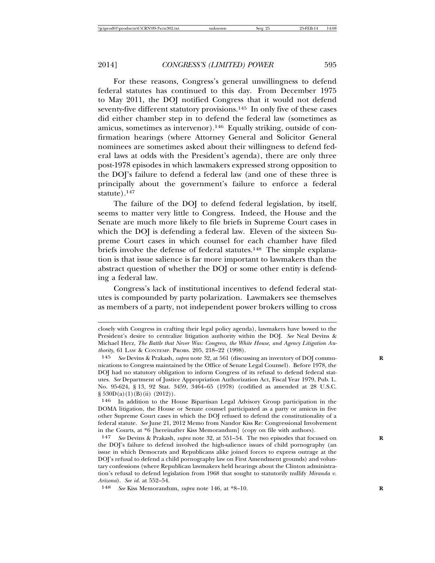For these reasons, Congress's general unwillingness to defend federal statutes has continued to this day. From December 1975 to May 2011, the DOJ notified Congress that it would not defend seventy-five different statutory provisions.<sup>145</sup> In only five of these cases did either chamber step in to defend the federal law (sometimes as amicus, sometimes as intervenor).146 Equally striking, outside of confirmation hearings (where Attorney General and Solicitor General nominees are sometimes asked about their willingness to defend federal laws at odds with the President's agenda), there are only three post-1978 episodes in which lawmakers expressed strong opposition to the DOJ's failure to defend a federal law (and one of these three is principally about the government's failure to enforce a federal statute). $147$ 

The failure of the DOJ to defend federal legislation, by itself, seems to matter very little to Congress. Indeed, the House and the Senate are much more likely to file briefs in Supreme Court cases in which the DOJ is defending a federal law. Eleven of the sixteen Supreme Court cases in which counsel for each chamber have filed briefs involve the defense of federal statutes.<sup>148</sup> The simple explanation is that issue salience is far more important to lawmakers than the abstract question of whether the DOJ or some other entity is defending a federal law.

Congress's lack of institutional incentives to defend federal statutes is compounded by party polarization. Lawmakers see themselves as members of a party, not independent power brokers willing to cross

closely with Congress in crafting their legal policy agenda), lawmakers have bowed to the President's desire to centralize litigation authority within the DOJ. *See* Neal Devins & Michael Herz, *The Battle that Never Was: Congress, the White House, and Agency Litigation Authority*, 61 LAW & CONTEMP. PROBS. 205, 218–22 (1998).

<sup>145</sup> *See* Devins & Prakash, *supra* note 32, at 561 (discussing an inventory of DOJ commu- **R** nications to Congress maintained by the Office of Senate Legal Counsel). Before 1978, the DOJ had no statutory obligation to inform Congress of its refusal to defend federal statutes. *See* Department of Justice Appropriation Authorization Act, Fiscal Year 1979, Pub. L. No. 95-624, § 13, 92 Stat. 3459, 3464–65 (1978) (codified as amended at 28 U.S.C.  $\S$  530D(a)(1)(B)(ii) (2012)).

<sup>146</sup> In addition to the House Bipartisan Legal Advisory Group participation in the DOMA litigation, the House or Senate counsel participated as a party or amicus in five other Supreme Court cases in which the DOJ refused to defend the constitutionality of a federal statute. *See* June 21, 2012 Memo from Nandor Kiss Re: Congressional Involvement in the Courts, at \*6 [hereinafter Kiss Memorandum] (copy on file with authors).

<sup>147</sup> *See* Devins & Prakash, *supra* note 32, at 551–54. The two episodes that focused on **R** the DOJ's failure to defend involved the high-salience issues of child pornography (an issue in which Democrats and Republicans alike joined forces to express outrage at the DOJ's refusal to defend a child pornography law on First Amendment grounds) and voluntary confessions (where Republican lawmakers held hearings about the Clinton administration's refusal to defend legislation from 1968 that sought to statutorily nullify *Miranda v. Arizona*). *See id.* at 552–54.

<sup>148</sup> *See* Kiss Memorandum, *supra* note 146, at \*8–10. **R**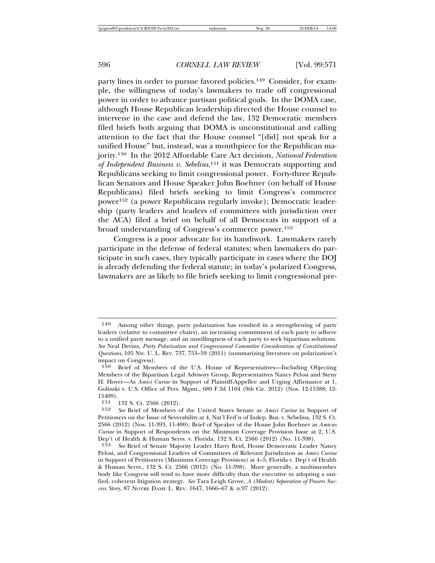party lines in order to pursue favored policies.<sup>149</sup> Consider, for example, the willingness of today's lawmakers to trade off congressional power in order to advance partisan political goals. In the DOMA case, although House Republican leadership directed the House counsel to intervene in the case and defend the law, 132 Democratic members filed briefs both arguing that DOMA is unconstitutional and calling attention to the fact that the House counsel "[did] not speak for a unified House" but, instead, was a mouthpiece for the Republican majority.150 In the 2012 Affordable Care Act decision, *National Federation of Independent Business v. Sebelius*, 151 it was Democrats supporting and Republicans seeking to limit congressional power. Forty-three Republican Senators and House Speaker John Boehner (on behalf of House Republicans) filed briefs seeking to limit Congress's commerce power152 (a power Republicans regularly invoke); Democratic leadership (party leaders and leaders of committees with jurisdiction over the ACA) filed a brief on behalf of all Democrats in support of a broad understanding of Congress's commerce power.153

Congress is a poor advocate for its handiwork. Lawmakers rarely participate in the defense of federal statutes; when lawmakers do participate in such cases, they typically participate in cases where the DOJ is already defending the federal statute; in today's polarized Congress, lawmakers are as likely to file briefs seeking to limit congressional pre-

<sup>149</sup> Among other things, party polarization has resulted in a strengthening of party leaders (relative to committee chairs), an increasing commitment of each party to adhere to a unified party message, and an unwillingness of each party to seek bipartisan solutions. *See* Neal Devins, *Party Polarization and Congressional Committee Consideration of Constitutional Questions*, 105 NW. U. L. REV. 737, 753–59 (2011) (summarizing literature on polarization's impact on Congress).

<sup>150</sup> Brief of Members of the U.S. House of Representatives—Including Objecting Members of the Bipartisan Legal Advisory Group, Representatives Nancy Pelosi and Steny H. Hoyer—As *Amici Curiae* in Support of Plaintiff-Appellee and Urging Affirmance at 1, Golinski v. U.S. Office of Pers. Mgmt., 680 F.3d 1104 (9th Cir. 2012) (Nos. 12-15388, 12-  $15409$ ).<br> $151$ 

<sup>151 132</sup> S. Ct. 2566 (2012).<br>152 See Brief of Members of

<sup>152</sup> *See* Brief of Members of the United States Senate as *Amici Curiae* in Support of Petitioners on the Issue of Severability at 4, Nat'l Fed'n of Indep. Bus. v. Sebelius, 132 S. Ct. 2566 (2012) (Nos. 11-393, 11-400); Brief of Speaker of the House John Boehner as *Amicus Curiae* in Support of Respondents on the Minimum Coverage Provision Issue at 2, U.S. Dep't of Health & Human Servs. v. Florida, 132 S. Ct. 2566 (2012) (No. 11-398).

<sup>153</sup> *See* Brief of Senate Majority Leader Harry Reid, House Democratic Leader Nancy Pelosi, and Congressional Leaders of Committees of Relevant Jurisdiction as *Amici Curiae* in Support of Petitioners (Minimum Coverage Provision) at 4–5, Florida v. Dep't of Health & Human Servs., 132 S. Ct. 2566 (2012) (No. 11-398). More generally, a multimember body like Congress will tend to have more difficulty than the executive in adopting a unified, coherent litigation strategy. *See* Tara Leigh Grove, *A (Modest) Separation of Powers Success Story*, 87 NOTRE DAME L. REV. 1647, 1666–67 & n.97 (2012).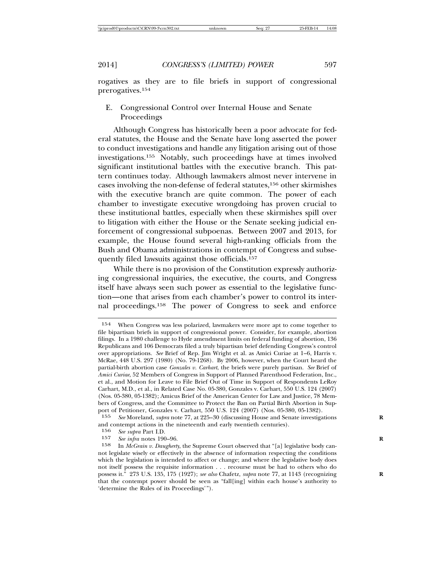rogatives as they are to file briefs in support of congressional prerogatives.154

E. Congressional Control over Internal House and Senate Proceedings

Although Congress has historically been a poor advocate for federal statutes, the House and the Senate have long asserted the power to conduct investigations and handle any litigation arising out of those investigations.155 Notably, such proceedings have at times involved significant institutional battles with the executive branch. This pattern continues today. Although lawmakers almost never intervene in cases involving the non-defense of federal statutes,156 other skirmishes with the executive branch are quite common. The power of each chamber to investigate executive wrongdoing has proven crucial to these institutional battles, especially when these skirmishes spill over to litigation with either the House or the Senate seeking judicial enforcement of congressional subpoenas. Between 2007 and 2013, for example, the House found several high-ranking officials from the Bush and Obama administrations in contempt of Congress and subsequently filed lawsuits against those officials.157

While there is no provision of the Constitution expressly authorizing congressional inquiries, the executive, the courts, and Congress itself have always seen such power as essential to the legislative function—one that arises from each chamber's power to control its internal proceedings.158 The power of Congress to seek and enforce

<sup>154</sup> When Congress was less polarized, lawmakers were more apt to come together to file bipartisan briefs in support of congressional power. Consider, for example, abortion filings. In a 1980 challenge to Hyde amendment limits on federal funding of abortion, 136 Republicans and 106 Democrats filed a truly bipartisan brief defending Congress's control over appropriations. *See* Brief of Rep. Jim Wright et al. as Amici Curiae at 1–6, Harris v. McRae, 448 U.S. 297 (1980) (No. 79-1268). By 2006, however, when the Court heard the partial-birth abortion case *Gonzales v. Carhart*, the briefs were purely partisan. *See* Brief of *Amici Curiae*, 52 Members of Congress in Support of Planned Parenthood Federation, Inc., et al., and Motion for Leave to File Brief Out of Time in Support of Respondents LeRoy Carhart, M.D., et al., in Related Case No. 05-380, Gonzales v. Carhart, 550 U.S. 124 (2007) (Nos. 05-380, 05-1382); Amicus Brief of the American Center for Law and Justice, 78 Members of Congress, and the Committee to Protect the Ban on Partial Birth Abortion in Support of Petitioner, Gonzales v. Carhart, 550 U.S. 124 (2007) (Nos. 05-380, 05-1382).

<sup>155</sup> *See* Moreland, *supra* note 77, at 225–30 (discussing House and Senate investigations **R** and contempt actions in the nineteenth and early twentieth centuries).<br> $156 \,$  See subra Part I D

<sup>156</sup> *See supra* Part I.D.

<sup>157</sup> *See infra* notes 190–96.<br>158 **In McGrain v. Daughert** 

<sup>158</sup> In *McGrain v. Daugherty*, the Supreme Court observed that "[a] legislative body cannot legislate wisely or effectively in the absence of information respecting the conditions which the legislation is intended to affect or change; and where the legislative body does not itself possess the requisite information . . . recourse must be had to others who do possess it." 273 U.S. 135, 175 (1927); *see also* Chafetz, *supra* note 77, at 1143 (recognizing **R** that the contempt power should be seen as "fall[ing] within each house's authority to 'determine the Rules of its Proceedings'").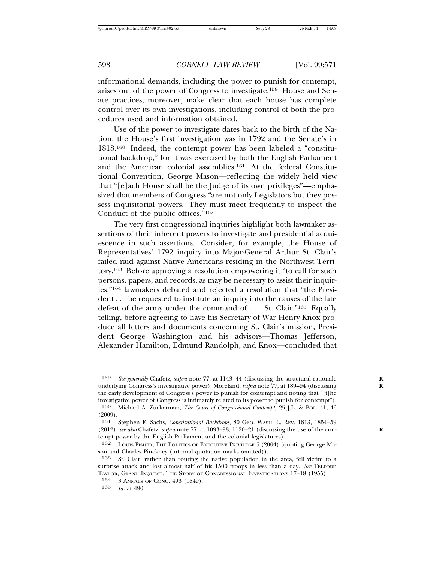informational demands, including the power to punish for contempt, arises out of the power of Congress to investigate.159 House and Senate practices, moreover, make clear that each house has complete control over its own investigations, including control of both the procedures used and information obtained.

Use of the power to investigate dates back to the birth of the Nation: the House's first investigation was in 1792 and the Senate's in 1818.160 Indeed, the contempt power has been labeled a "constitutional backdrop," for it was exercised by both the English Parliament and the American colonial assemblies.161 At the federal Constitutional Convention, George Mason—reflecting the widely held view that "[e]ach House shall be the Judge of its own privileges"—emphasized that members of Congress "are not only Legislators but they possess inquisitorial powers. They must meet frequently to inspect the Conduct of the public offices."162

The very first congressional inquiries highlight both lawmaker assertions of their inherent powers to investigate and presidential acquiescence in such assertions. Consider, for example, the House of Representatives' 1792 inquiry into Major-General Arthur St. Clair's failed raid against Native Americans residing in the Northwest Territory.163 Before approving a resolution empowering it "to call for such persons, papers, and records, as may be necessary to assist their inquiries,"164 lawmakers debated and rejected a resolution that "the President . . . be requested to institute an inquiry into the causes of the late defeat of the army under the command of . . . St. Clair."165 Equally telling, before agreeing to have his Secretary of War Henry Knox produce all letters and documents concerning St. Clair's mission, President George Washington and his advisors—Thomas Jefferson, Alexander Hamilton, Edmund Randolph, and Knox—concluded that

<sup>159</sup> *See generally* Chafetz, *supra* note 77, at 1143–44 (discussing the structural rationale **R** underlying Congress's investigative power); Moreland, *supra* note 77, at 189-94 (discussing the early development of Congress's power to punish for contempt and noting that "[t]he investigative power of Congress is intimately related to its power to punish for contempt").

<sup>160</sup> Michael A. Zuckerman, *The Court of Congressional Contempt*, 25 J.L. & POL. 41, 46 (2009).

<sup>161</sup> Stephen E. Sachs, *Constitutional Backdrops*, 80 GEO. WASH. L. REV. 1813, 1854–59 (2012); see also Chafetz, supra note 77, at 1093-98, 1120-21 (discussing the use of the contempt power by the English Parliament and the colonial legislatures).

<sup>162</sup> LOUIS FISHER, THE POLITICS OF EXECUTIVE PRIVILEGE 5 (2004) (quoting George Mason and Charles Pinckney (internal quotation marks omitted)).

<sup>163</sup> St. Clair, rather than routing the native population in the area, fell victim to a surprise attack and lost almost half of his 1500 troops in less than a day. *See* TELFORD TAYLOR, GRAND INQUEST: THE STORY OF CONGRESSIONAL INVESTIGATIONS 17–18 (1955).

<sup>164</sup> 3 ANNALS OF CONG. 493 (1849).

<sup>165</sup> *Id.* at 490.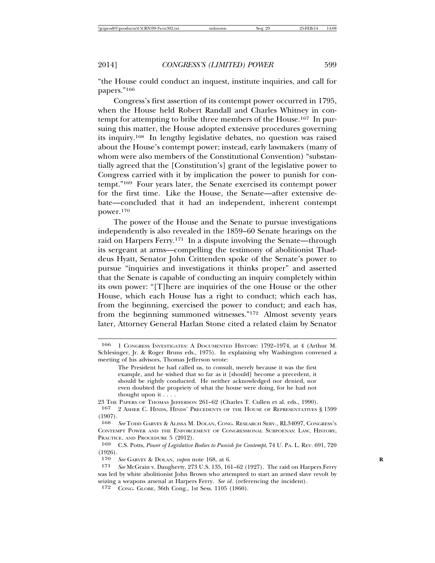"the House could conduct an inquest, institute inquiries, and call for papers."166

Congress's first assertion of its contempt power occurred in 1795, when the House held Robert Randall and Charles Whitney in contempt for attempting to bribe three members of the House.167 In pursuing this matter, the House adopted extensive procedures governing its inquiry.168 In lengthy legislative debates, no question was raised about the House's contempt power; instead, early lawmakers (many of whom were also members of the Constitutional Convention) "substantially agreed that the [Constitution's] grant of the legislative power to Congress carried with it by implication the power to punish for contempt."169 Four years later, the Senate exercised its contempt power for the first time. Like the House, the Senate—after extensive debate—concluded that it had an independent, inherent contempt power.170

The power of the House and the Senate to pursue investigations independently is also revealed in the 1859–60 Senate hearings on the raid on Harpers Ferry.<sup>171</sup> In a dispute involving the Senate—through its sergeant at arms—compelling the testimony of abolitionist Thaddeus Hyatt, Senator John Crittenden spoke of the Senate's power to pursue "inquiries and investigations it thinks proper" and asserted that the Senate is capable of conducting an inquiry completely within its own power: "[T]here are inquiries of the one House or the other House, which each House has a right to conduct; which each has, from the beginning, exercised the power to conduct; and each has, from the beginning summoned witnesses."172 Almost seventy years later, Attorney General Harlan Stone cited a related claim by Senator

167 2 ASHER C. HINDS, HINDS' PRECEDENTS OF THE HOUSE OF REPRESENTATIVES § 1599 (1907).

<sup>166</sup> 1 CONGRESS INVESTIGATES: A DOCUMENTED HISTORY: 1792–1974, at 4 (Arthur M. Schlesinger, Jr. & Roger Bruns eds., 1975). In explaining why Washington convened a meeting of his advisors, Thomas Jefferson wrote:

The President he had called us, to consult, merely because it was the first example, and he wished that so far as it [should] become a precedent, it should be rightly conducted. He neither acknowledged nor denied, nor even doubted the propriety of what the house were doing, for he had not thought upon it . . . .

<sup>23</sup> THE PAPERS OF THOMAS JEFFERSON 261–62 (Charles T. Cullen et al. eds., 1990).

<sup>168</sup> *See* TODD GARVEY & ALISSA M. DOLAN, CONG. RESEARCH SERV., RL34097, CONGRESS'S CONTEMPT POWER AND THE ENFORCEMENT OF CONGRESSIONAL SUBPOENAS: LAW, HISTORY, PRACTICE, AND PROCEDURE 5 (2012).<br>169 C.S. Potts. Power of Levislative

<sup>169</sup> C.S. Potts, *Power of Legislative Bodies to Punish for Contempt*, 74 U. PA. L. REV. 691, 720  $(1926).$ <br> $170$ 

<sup>170</sup> *See* GARVEY & DOLAN, *supra* note 168, at 6. **R**

<sup>171</sup> *See* McGrain v. Daugherty, 273 U.S. 135, 161–62 (1927). The raid on Harpers Ferry was led by white abolitionist John Brown who attempted to start an armed slave revolt by seizing a weapons arsenal at Harpers Ferry. *See id.* (referencing the incident).

<sup>172</sup> CONG. GLOBE, 36th Cong., 1st Sess. 1105 (1860).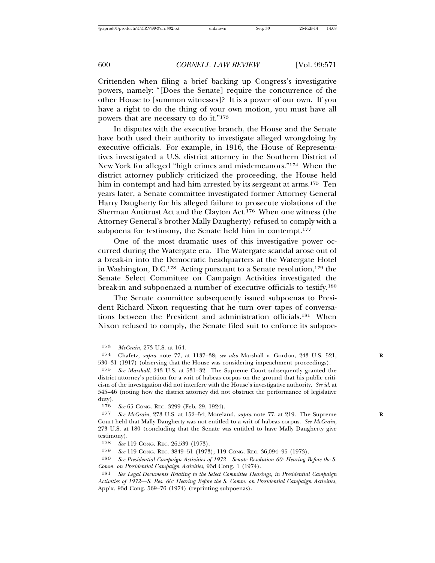Crittenden when filing a brief backing up Congress's investigative powers, namely: "[Does the Senate] require the concurrence of the other House to [summon witnesses]? It is a power of our own. If you have a right to do the thing of your own motion, you must have all powers that are necessary to do it."173

In disputes with the executive branch, the House and the Senate have both used their authority to investigate alleged wrongdoing by executive officials. For example, in 1916, the House of Representatives investigated a U.S. district attorney in the Southern District of New York for alleged "high crimes and misdemeanors."174 When the district attorney publicly criticized the proceeding, the House held him in contempt and had him arrested by its sergeant at arms.<sup>175</sup> Ten years later, a Senate committee investigated former Attorney General Harry Daugherty for his alleged failure to prosecute violations of the Sherman Antitrust Act and the Clayton Act.176 When one witness (the Attorney General's brother Mally Daugherty) refused to comply with a subpoena for testimony, the Senate held him in contempt.<sup>177</sup>

One of the most dramatic uses of this investigative power occurred during the Watergate era. The Watergate scandal arose out of a break-in into the Democratic headquarters at the Watergate Hotel in Washington, D.C.<sup>178</sup> Acting pursuant to a Senate resolution,<sup>179</sup> the Senate Select Committee on Campaign Activities investigated the break-in and subpoenaed a number of executive officials to testify.180

The Senate committee subsequently issued subpoenas to President Richard Nixon requesting that he turn over tapes of conversations between the President and administration officials.181 When Nixon refused to comply, the Senate filed suit to enforce its subpoe-

<sup>173</sup> *McGrain*, 273 U.S. at 164.

<sup>174</sup> Chafetz, *supra* note 77, at 1137–38; *see also* Marshall v. Gordon, 243 U.S. 521, **R** 530–31 (1917) (observing that the House was considering impeachment proceedings).

<sup>175</sup> *See Marshall*, 243 U.S. at 531–32. The Supreme Court subsequently granted the district attorney's petition for a writ of habeas corpus on the ground that his public criticism of the investigation did not interfere with the House's investigative authority. *See id.* at 545–46 (noting how the district attorney did not obstruct the performance of legislative duty).

<sup>176</sup> *See* 65 CONG. REC. 3299 (Feb. 29, 1924).

<sup>177</sup> *See McGrain*, 273 U.S. at 152–54; Moreland, *supra* note 77, at 219. The Supreme **R** Court held that Mally Daugherty was not entitled to a writ of habeas corpus. *See McGrain*, 273 U.S. at 180 (concluding that the Senate was entitled to have Mally Daugherty give testimony).

<sup>178</sup> *See* 119 CONG. REC. 26,539 (1973).

<sup>179</sup> *See* 119 CONG. REC. 3849–51 (1973); 119 CONG. REC. 36,094–95 (1973).

<sup>180</sup> *See Presidential Campaign Activities of 1972—Senate Resolution 60: Hearing Before the S. Comm. on Presidential Campaign Activities*, 93d Cong. 1 (1974).

<sup>181</sup> *See Legal Documents Relating to the Select Committee Hearings, in Presidential Campaign Activities of 1972—S. Res. 60: Hearing Before the S. Comm. on Presidential Campaign Activities*, App'x, 93d Cong. 569–76 (1974) (reprinting subpoenas).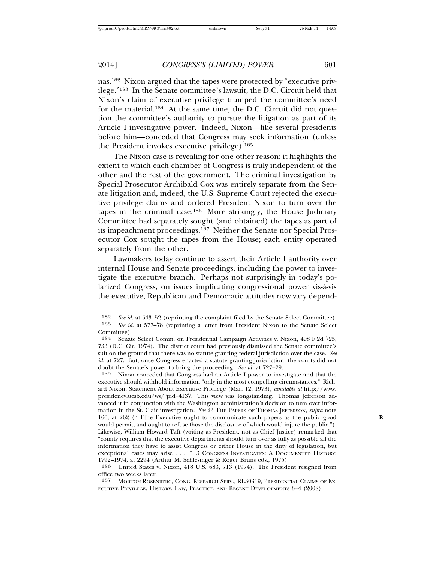nas.182 Nixon argued that the tapes were protected by "executive privilege."183 In the Senate committee's lawsuit, the D.C. Circuit held that Nixon's claim of executive privilege trumped the committee's need for the material.<sup>184</sup> At the same time, the D.C. Circuit did not question the committee's authority to pursue the litigation as part of its Article I investigative power. Indeed, Nixon—like several presidents before him—conceded that Congress may seek information (unless the President invokes executive privilege).185

The Nixon case is revealing for one other reason: it highlights the extent to which each chamber of Congress is truly independent of the other and the rest of the government. The criminal investigation by Special Prosecutor Archibald Cox was entirely separate from the Senate litigation and, indeed, the U.S. Supreme Court rejected the executive privilege claims and ordered President Nixon to turn over the tapes in the criminal case.186 More strikingly, the House Judiciary Committee had separately sought (and obtained) the tapes as part of its impeachment proceedings.187 Neither the Senate nor Special Prosecutor Cox sought the tapes from the House; each entity operated separately from the other.

Lawmakers today continue to assert their Article I authority over internal House and Senate proceedings, including the power to investigate the executive branch. Perhaps not surprisingly in today's polarized Congress, on issues implicating congressional power vis-a-vis ` the executive, Republican and Democratic attitudes now vary depend-

<sup>182</sup> *See id.* at 543–52 (reprinting the complaint filed by the Senate Select Committee).<br>183 *See id.* at 577–78 (reprinting a letter from President Nixon to the Senate Select See id. at 577–78 (reprinting a letter from President Nixon to the Senate Select Committee).<br>184 Senat

<sup>184</sup> Senate Select Comm. on Presidential Campaign Activities v. Nixon, 498 F.2d 725, 733 (D.C. Cir. 1974). The district court had previously dismissed the Senate committee's suit on the ground that there was no statute granting federal jurisdiction over the case. *See id.* at 727. But, once Congress enacted a statute granting jurisdiction, the courts did not doubt the Senate's power to bring the proceeding. *See id.* at 727–29.

<sup>185</sup> Nixon conceded that Congress had an Article I power to investigate and that the executive should withhold information "only in the most compelling circumstances." Richard Nixon, Statement About Executive Privilege (Mar. 12, 1973), *available at* http://www. presidency.ucsb.edu/ws/?pid=4137. This view was longstanding. Thomas Jefferson advanced it in conjunction with the Washington administration's decision to turn over information in the St. Clair investigation. *See* 23 THE PAPERS OF THOMAS JEFFERSON, *supra* note 166, at 262 ("[T]he Executive ought to communicate such papers as the public good **R** would permit, and ought to refuse those the disclosure of which would injure the public."). Likewise, William Howard Taft (writing as President, not as Chief Justice) remarked that "comity requires that the executive departments should turn over as fully as possible all the information they have to assist Congress or either House in the duty of legislation, but exceptional cases may arise . . . ." 3 CONGRESS INVESTIGATES: A DOCUMENTED HISTORY: 1792–1974, at 2294 (Arthur M. Schlesinger & Roger Bruns eds., 1975).

<sup>186</sup> United States v. Nixon, 418 U.S. 683, 713 (1974). The President resigned from office two weeks later.

<sup>187</sup> MORTON ROSENBERG, CONG. RESEARCH SERV., RL30319, PRESIDENTIAL CLAIMS OF EX-ECUTIVE PRIVILEGE: HISTORY, LAW, PRACTICE, AND RECENT DEVELOPMENTS 3–4 (2008).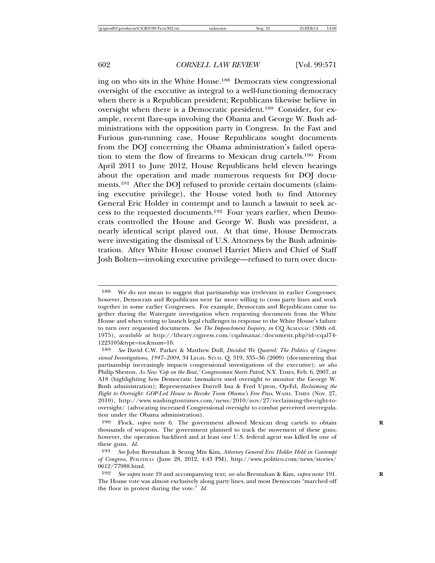ing on who sits in the White House.188 Democrats view congressional oversight of the executive as integral to a well-functioning democracy when there is a Republican president; Republicans likewise believe in oversight when there is a Democratic president.189 Consider, for example, recent flare-ups involving the Obama and George W. Bush administrations with the opposition party in Congress. In the Fast and Furious gun-running case, House Republicans sought documents from the DOJ concerning the Obama administration's failed operation to stem the flow of firearms to Mexican drug cartels.190 From April 2011 to June 2012, House Republicans held eleven hearings about the operation and made numerous requests for DOJ documents.191 After the DOJ refused to provide certain documents (claiming executive privilege), the House voted both to find Attorney General Eric Holder in contempt and to launch a lawsuit to seek access to the requested documents.192 Four years earlier, when Democrats controlled the House and George W. Bush was president, a nearly identical script played out. At that time, House Democrats were investigating the dismissal of U.S. Attorneys by the Bush administration. After White House counsel Harriet Miers and Chief of Staff Josh Bolten—invoking executive privilege—refused to turn over docu-

<sup>188</sup> We do not mean to suggest that partisanship was irrelevant in earlier Congresses; however, Democrats and Republicans were far more willing to cross party lines and work together in some earlier Congresses. For example, Democrats and Republicans came together during the Watergate investigation when requesting documents from the White House and when voting to launch legal challenges in response to the White House's failure to turn over requested documents. *See The Impeachment Inquiry*, *in* CQ ALMANAC (30th ed. 1975), *available at* http://library.cqpress.com/cqalmanac/document.php?id=cqal74- 1223105&type=toc&num=10.

<sup>189</sup> *See* David C.W. Parker & Matthew Dull, *Divided We Quarrel: The Politics of Congressional Investigations, 1947–2004*, 34 LEGIS. STUD. Q. 319, 335–36 (2009) (documenting that partisanship increasingly impacts congressional investigations of the executive); *see also* Philip Shenon, *As New 'Cop on the Beat,' Congressman Starts Patrol*, N.Y. TIMES, Feb. 6, 2007, at A18 (highlighting how Democratic lawmakers used oversight to monitor the George W. Bush administration); Representatives Darrell Issa & Fred Upton, Op-Ed, *Reclaiming the Right to Oversight: GOP-Led House to Revoke Team Obama's Free Pass*, WASH. TIMES (Nov. 27, 2010), http://www.washingtontimes.com/news/2010/nov/27/reclaiming-the-right-tooversight/ (advocating increased Congressional oversight to combat perceived overregulation under the Obama administration).

<sup>190</sup> Flock, *supra* note 6. The government allowed Mexican drug cartels to obtain **R** thousands of weapons. The government planned to track the movement of these guns; however, the operation backfired and at least one U.S. federal agent was killed by one of these guns. *Id*.

<sup>191</sup> *See* John Bresnahan & Seung Min Kim, *Attorney General Eric Holder Held in Contempt of Congress*, POLITICO (June 28, 2012, 4:43 PM), http://www.politico.com/news/stories/ 0612/77988.html.

<sup>192</sup> *See supra* note 19 and accompanying text; *see also* Bresnahan & Kim, *supra* note 191. **R** The House vote was almost exclusively along party lines, and most Democrats "marched off the floor in protest during the vote." *Id.*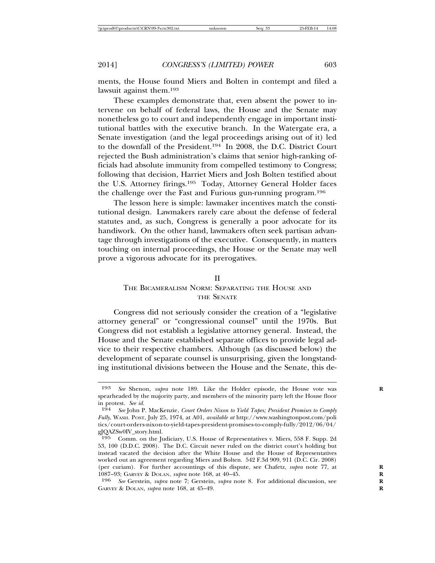ments, the House found Miers and Bolten in contempt and filed a lawsuit against them.193

These examples demonstrate that, even absent the power to intervene on behalf of federal laws, the House and the Senate may nonetheless go to court and independently engage in important institutional battles with the executive branch. In the Watergate era, a Senate investigation (and the legal proceedings arising out of it) led to the downfall of the President.194 In 2008, the D.C. District Court rejected the Bush administration's claims that senior high-ranking officials had absolute immunity from compelled testimony to Congress; following that decision, Harriet Miers and Josh Bolten testified about the U.S. Attorney firings.195 Today, Attorney General Holder faces the challenge over the Fast and Furious gun-running program.196

The lesson here is simple: lawmaker incentives match the constitutional design. Lawmakers rarely care about the defense of federal statutes and, as such, Congress is generally a poor advocate for its handiwork. On the other hand, lawmakers often seek partisan advantage through investigations of the executive. Consequently, in matters touching on internal proceedings, the House or the Senate may well prove a vigorous advocate for its prerogatives.

#### II

#### THE BICAMERALISM NORM: SEPARATING THE HOUSE AND THE SENATE

Congress did not seriously consider the creation of a "legislative attorney general" or "congressional counsel" until the 1970s. But Congress did not establish a legislative attorney general. Instead, the House and the Senate established separate offices to provide legal advice to their respective chambers. Although (as discussed below) the development of separate counsel is unsurprising, given the longstanding institutional divisions between the House and the Senate, this de-

<sup>193</sup> *See* Shenon, *supra* note 189. Like the Holder episode, the House vote was **R** spearheaded by the majority party, and members of the minority party left the House floor in protest. *See id.*

<sup>194</sup> *See* John P. MacKenzie, *Court Orders Nixon to Yield Tapes; President Promises to Comply Fully*, WASH. POST, July 25, 1974, at A01, *available at* http://www.washingtonpost.com/poli tics/court-orders-nixon-to-yield-tapes-president-promises-to-comply-fully/2012/06/04/ gJQAZSw0IV\_story.html.

<sup>195</sup> Comm. on the Judiciary, U.S. House of Representatives v. Miers, 558 F. Supp. 2d 53, 100 (D.D.C. 2008). The D.C. Circuit never ruled on the district court's holding but instead vacated the decision after the White House and the House of Representatives worked out an agreement regarding Miers and Bolten. 542 F.3d 909, 911 (D.C. Cir. 2008) (per curiam). For further accountings of this dispute, see Chafetz, *supra* note 77, at 1087–93; GARVEY & DOLAN, *supra* note 168, at 40–45. **R**

<sup>196</sup> *See* Gerstein, *supra* note 7; Gerstein, *supra* note 8. For additional discussion, see **R** GARVEY & DOLAN, *supra* note 168, at 45–49. **R**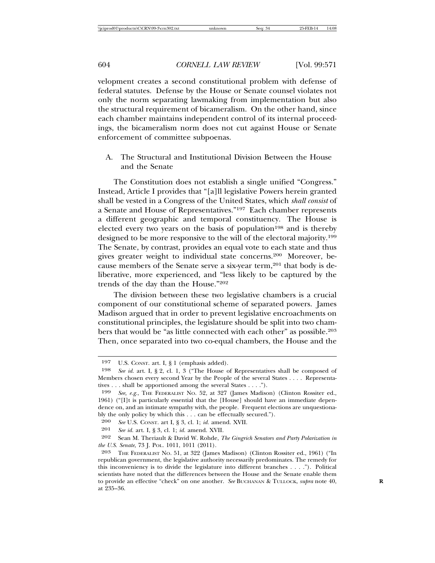velopment creates a second constitutional problem with defense of federal statutes. Defense by the House or Senate counsel violates not only the norm separating lawmaking from implementation but also the structural requirement of bicameralism. On the other hand, since each chamber maintains independent control of its internal proceedings, the bicameralism norm does not cut against House or Senate enforcement of committee subpoenas.

A. The Structural and Institutional Division Between the House and the Senate

The Constitution does not establish a single unified "Congress." Instead, Article I provides that "[a]ll legislative Powers herein granted shall be vested in a Congress of the United States, which *shall consist* of a Senate and House of Representatives."197 Each chamber represents a different geographic and temporal constituency. The House is elected every two years on the basis of population<sup>198</sup> and is thereby designed to be more responsive to the will of the electoral majority.199 The Senate, by contrast, provides an equal vote to each state and thus gives greater weight to individual state concerns.200 Moreover, because members of the Senate serve a six-year term,<sup>201</sup> that body is deliberative, more experienced, and "less likely to be captured by the trends of the day than the House."202

The division between these two legislative chambers is a crucial component of our constitutional scheme of separated powers. James Madison argued that in order to prevent legislative encroachments on constitutional principles, the legislature should be split into two chambers that would be "as little connected with each other" as possible.203 Then, once separated into two co-equal chambers, the House and the

<sup>197</sup> U.S. CONST. art. I, § 1 (emphasis added).

<sup>198</sup> *See id.* art. I, § 2, cl. 1, 3 ("The House of Representatives shall be composed of Members chosen every second Year by the People of the several States . . . . Representatives . . . shall be apportioned among the several States . . . .").

<sup>199</sup> *See, e.g.*, THE FEDERALIST NO. 52, at 327 (James Madison) (Clinton Rossiter ed., 1961) ("[I]t is particularly essential that the [House] should have an immediate dependence on, and an intimate sympathy with, the people. Frequent elections are unquestionably the only policy by which this . . . can be effectually secured.").

<sup>200</sup> *See* U.S. CONST. art I, § 3, cl. 1; *id.* amend. XVII.

<sup>201</sup> *See id.* art. I, § 3, cl. 1; *id.* amend. XVII.

<sup>202</sup> Sean M. Theriault & David W. Rohde, *The Gingrich Senators and Party Polarization in the U.S. Senate*, 73 J. POL. 1011, 1011 (2011).

<sup>203</sup> THE FEDERALIST NO. 51, at 322 (James Madison) (Clinton Rossiter ed., 1961) ("In republican government, the legislative authority necessarily predominates. The remedy for this inconveniency is to divide the legislature into different branches . . . ."). Political scientists have noted that the differences between the House and the Senate enable them to provide an effective "check" on one another. *See* BUCHANAN & TULLOCK, *supra* note 40, **R** at 235–36.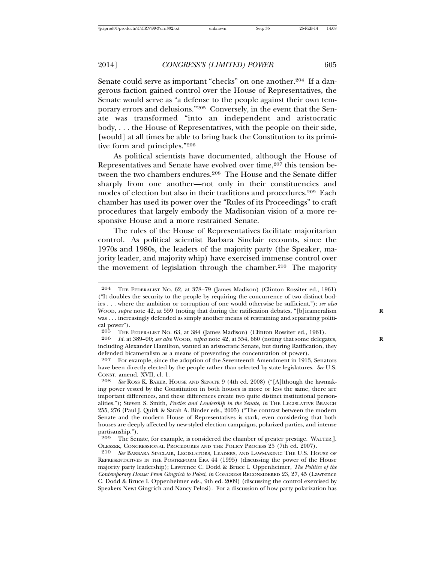Senate could serve as important "checks" on one another.<sup>204</sup> If a dangerous faction gained control over the House of Representatives, the Senate would serve as "a defense to the people against their own temporary errors and delusions."205 Conversely, in the event that the Senate was transformed "into an independent and aristocratic body, . . . the House of Representatives, with the people on their side, [would] at all times be able to bring back the Constitution to its primitive form and principles."206

As political scientists have documented, although the House of Representatives and Senate have evolved over time,<sup>207</sup> this tension between the two chambers endures.<sup>208</sup> The House and the Senate differ sharply from one another—not only in their constituencies and modes of election but also in their traditions and procedures.209 Each chamber has used its power over the "Rules of its Proceedings" to craft procedures that largely embody the Madisonian vision of a more responsive House and a more restrained Senate.

The rules of the House of Representatives facilitate majoritarian control. As political scientist Barbara Sinclair recounts, since the 1970s and 1980s, the leaders of the majority party (the Speaker, majority leader, and majority whip) have exercised immense control over the movement of legislation through the chamber.<sup>210</sup> The majority

<sup>204</sup> THE FEDERALIST NO. 62, at 378–79 (James Madison) (Clinton Rossiter ed., 1961) ("It doubles the security to the people by requiring the concurrence of two distinct bodies . . . where the ambition or corruption of one would otherwise be sufficient."); *see also* WOOD, *supra* note 42, at 559 (noting that during the ratification debates, "[b]icameralism **R** was . . . increasingly defended as simply another means of restraining and separating political power").<br> $205$  THE

<sup>205</sup> THE FEDERALIST NO. 63, at 384 (James Madison) (Clinton Rossiter ed., 1961).<br>206 Id at 389–90: see also WOOD, subra note 42, at 554, 660 (noting that some delega

Id. at  $389-90$ ; *see also* Woop, *supra* note 42, at  $554$ , 660 (noting that some delegates, including Alexander Hamilton, wanted an aristocratic Senate, but during Ratification, they defended bicameralism as a means of preventing the concentration of power).

<sup>207</sup> For example, since the adoption of the Seventeenth Amendment in 1913, Senators have been directly elected by the people rather than selected by state legislatures. *See* U.S. CONST. amend. XVII, cl. 1.

<sup>208</sup> *See* ROSS K. BAKER, HOUSE AND SENATE 9 (4th ed. 2008) ("[A]lthough the lawmaking power vested by the Constitution in both houses is more or less the same, there are important differences, and these differences create two quite distinct institutional personalities."); Steven S. Smith, *Parties and Leadership in the Senate*, *in* THE LEGISLATIVE BRANCH 255, 276 (Paul J. Quirk & Sarah A. Binder eds., 2005) ("The contrast between the modern Senate and the modern House of Representatives is stark, even considering that both houses are deeply affected by new-styled election campaigns, polarized parties, and intense partisanship.").<br>209 The Ser

The Senate, for example, is considered the chamber of greater prestige. WALTER J. OLESZEK, CONGRESSIONAL PROCEDURES AND THE POLICY PROCESS 25 (7th ed. 2007).<br>210 See Barbara Sinclair Legislators Leaders and Lawmaking: The U.S. Ho

<sup>210</sup> *See* BARBARA SINCLAIR, LEGISLATORS, LEADERS, AND LAWMAKING: THE U.S. HOUSE OF REPRESENTATIVES IN THE POSTREFORM ERA 44 (1995) (discussing the power of the House majority party leadership); Lawrence C. Dodd & Bruce I. Oppenheimer, *The Politics of the Contemporary House: From Gingrich to Pelosi*, *in* CONGRESS RECONSIDERED 23, 27, 45 (Lawrence C. Dodd & Bruce I. Oppenheimer eds., 9th ed. 2009) (discussing the control exercised by Speakers Newt Gingrich and Nancy Pelosi). For a discussion of how party polarization has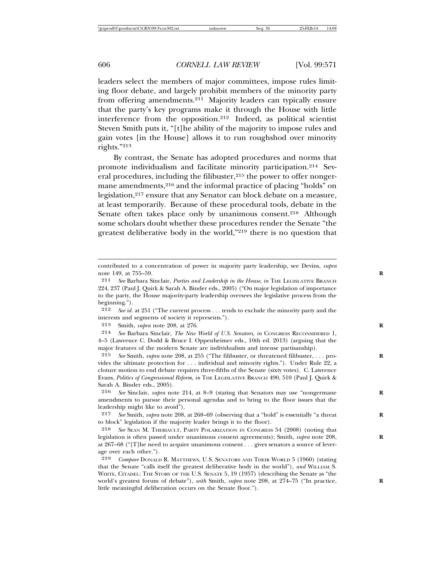leaders select the members of major committees, impose rules limiting floor debate, and largely prohibit members of the minority party from offering amendments.<sup>211</sup> Majority leaders can typically ensure that the party's key programs make it through the House with little interference from the opposition.212 Indeed, as political scientist Steven Smith puts it, "[t]he ability of the majority to impose rules and gain votes [in the House] allows it to run roughshod over minority rights."213

By contrast, the Senate has adopted procedures and norms that promote individualism and facilitate minority participation.214 Several procedures, including the filibuster,<sup>215</sup> the power to offer nongermane amendments,<sup>216</sup> and the informal practice of placing "holds" on legislation,<sup>217</sup> ensure that any Senator can block debate on a measure, at least temporarily. Because of these procedural tools, debate in the Senate often takes place only by unanimous consent.<sup>218</sup> Although some scholars doubt whether these procedures render the Senate "the greatest deliberative body in the world,"219 there is no question that

212 *See id.* at 251 ("The current process . . . tends to exclude the minority party and the interests and segments of society it represents.").

213 Smith, *supra* note 208, at 276. **R**

214 *See* Barbara Sinclair, *The New World of U.S. Senators*, *in* CONGRESS RECONSIDERED 1, 4–5 (Lawrence C. Dodd & Bruce I. Oppenheimer eds., 10th ed. 2013) (arguing that the major features of the modern Senate are individualism and intense partisanship).

215 *See* Smith, *supra* note 208, at 255 ("The filibuster, or threatened filibuster, . . . pro- **R** vides the ultimate protection for . . . individual and minority rights."). Under Rule 22, a cloture motion to end debate requires three-fifths of the Senate (sixty votes). C. Lawrence Evans, *Politics of Congressional Reform*, *in* THE LEGISLATIVE BRANCH 490, 510 (Paul J. Quirk & Sarah A. Binder eds., 2005).

216 *See* Sinclair, *supra* note 214, at 8–9 (stating that Senators may use "nongermane **R** amendments to pursue their personal agendas and to bring to the floor issues that the leadership might like to avoid").

217 *See* Smith, *supra* note 208, at 268–69 (observing that a "hold" is essentially "a threat **R** to block" legislation if the majority leader brings it to the floor).

218 *See* SEAN M. THERIAULT, PARTY POLARIZATION IN CONGRESS 54 (2008) (noting that legislation is often passed under unanimous consent agreements); Smith, *supra* note 208, **R** at 267–68 ("[T]he need to acquire unanimous consent . . . gives senators a source of leverage over each other.").

contributed to a concentration of power in majority party leadership, see Devins, *supra* note 149, at 755–59. **R**

<sup>211</sup> *See* Barbara Sinclair, *Parties and Leadership in the House*, *in* THE LEGISLATIVE BRANCH 224, 237 (Paul J. Quirk & Sarah A. Binder eds., 2005) ("On major legislation of importance to the party, the House majority-party leadership oversees the legislative process from the beginning.").

<sup>219</sup> *Compare* DONALD R. MATTHEWS, U.S. SENATORS AND THEIR WORLD 5 (1960) (stating that the Senate "calls itself the greatest deliberative body in the world"), *and* WILLIAM S. WHITE, CITADEL: THE STORY OF THE U.S. SENATE 5, 19 (1957) (describing the Senate as "the world's greatest forum of debate"), *with* Smith, *supra* note 208, at 274–75 ("In practice, **R** little meaningful deliberation occurs on the Senate floor.").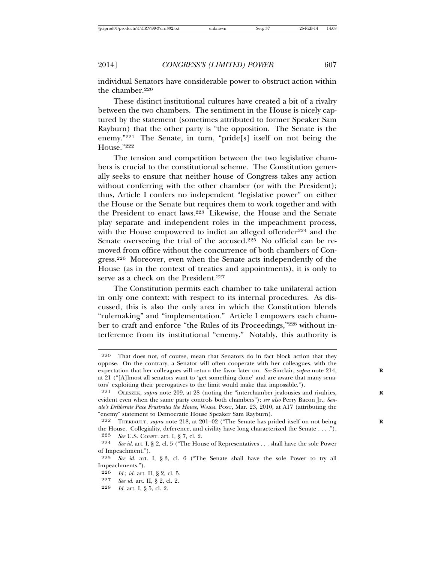individual Senators have considerable power to obstruct action within the chamber.<sup>220</sup>

These distinct institutional cultures have created a bit of a rivalry between the two chambers. The sentiment in the House is nicely captured by the statement (sometimes attributed to former Speaker Sam Rayburn) that the other party is "the opposition. The Senate is the enemy."221 The Senate, in turn, "pride[s] itself on not being the House."222

The tension and competition between the two legislative chambers is crucial to the constitutional scheme. The Constitution generally seeks to ensure that neither house of Congress takes any action without conferring with the other chamber (or with the President); thus, Article I confers no independent "legislative power" on either the House or the Senate but requires them to work together and with the President to enact laws.223 Likewise, the House and the Senate play separate and independent roles in the impeachment process, with the House empowered to indict an alleged offender<sup>224</sup> and the Senate overseeing the trial of the accused.<sup>225</sup> No official can be removed from office without the concurrence of both chambers of Congress.226 Moreover, even when the Senate acts independently of the House (as in the context of treaties and appointments), it is only to serve as a check on the President.<sup>227</sup>

The Constitution permits each chamber to take unilateral action in only one context: with respect to its internal procedures. As discussed, this is also the only area in which the Constitution blends "rulemaking" and "implementation." Article I empowers each chamber to craft and enforce "the Rules of its Proceedings,"228 without interference from its institutional "enemy." Notably, this authority is

*Id.* art. I, § 5, cl. 2.

<sup>220</sup> That does not, of course, mean that Senators do in fact block action that they oppose. On the contrary, a Senator will often cooperate with her colleagues, with the expectation that her colleagues will return the favor later on. *See* Sinclair, *supra* note 214, at 21 ("[A]lmost all senators want to 'get something done' and are aware that many senators' exploiting their prerogatives to the limit would make that impossible.").

<sup>221</sup> OLESZEK, *supra* note 209, at 28 (noting the "interchamber jealousies and rivalries, **R** evident even when the same party controls both chambers"); *see also* Perry Bacon Jr., *Senate's Deliberate Pace Frustrates the House*, WASH. POST, Mar. 23, 2010, at A17 (attributing the "enemy" statement to Democratic House Speaker Sam Rayburn).

<sup>222</sup> THERIAULT, *supra* note 218, at 201–02 ("The Senate has prided itself on not being **R** the House. Collegiality, deference, and civility have long characterized the Senate . . . ."). 223 *See* U.S. CONST. art. I, § 7, cl. 2.

See id. art. I, § 2, cl. 5 ("The House of Representatives . . . shall have the sole Power of Impeachment.").

<sup>225</sup> *See id.* art. I, § 3, cl. 6 ("The Senate shall have the sole Power to try all Impeachments.").

<sup>226</sup> *Id.*; *id.* art. II, § 2, cl. 5.<br>227 *See id.* art. II, § 9, cl. 9.

<sup>227</sup> *See id.* art. II, § 2, cl. 2.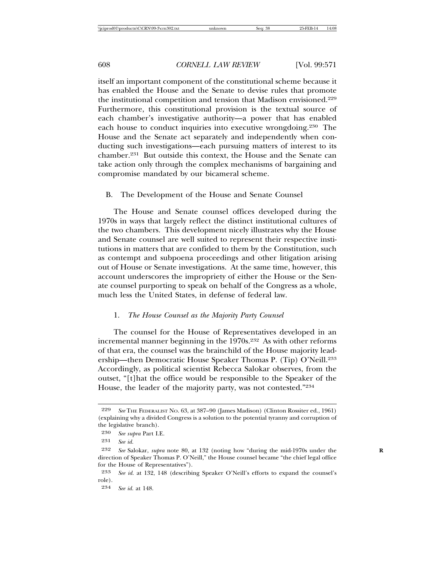itself an important component of the constitutional scheme because it has enabled the House and the Senate to devise rules that promote the institutional competition and tension that Madison envisioned.229 Furthermore, this constitutional provision is the textual source of each chamber's investigative authority—a power that has enabled each house to conduct inquiries into executive wrongdoing.230 The House and the Senate act separately and independently when conducting such investigations—each pursuing matters of interest to its chamber.231 But outside this context, the House and the Senate can take action only through the complex mechanisms of bargaining and compromise mandated by our bicameral scheme.

#### B. The Development of the House and Senate Counsel

The House and Senate counsel offices developed during the 1970s in ways that largely reflect the distinct institutional cultures of the two chambers. This development nicely illustrates why the House and Senate counsel are well suited to represent their respective institutions in matters that are confided to them by the Constitution, such as contempt and subpoena proceedings and other litigation arising out of House or Senate investigations. At the same time, however, this account underscores the impropriety of either the House or the Senate counsel purporting to speak on behalf of the Congress as a whole, much less the United States, in defense of federal law.

#### 1. *The House Counsel as the Majority Party Counsel*

The counsel for the House of Representatives developed in an incremental manner beginning in the 1970s.232 As with other reforms of that era, the counsel was the brainchild of the House majority leadership—then Democratic House Speaker Thomas P. (Tip) O'Neill.233 Accordingly, as political scientist Rebecca Salokar observes, from the outset, "[t]hat the office would be responsible to the Speaker of the House, the leader of the majority party, was not contested."234

<sup>229</sup> *See* THE FEDERALIST NO. 63, at 387–90 (James Madison) (Clinton Rossiter ed., 1961) (explaining why a divided Congress is a solution to the potential tyranny and corruption of the legislative branch).

<sup>230</sup> *See supra* Part I.E.

<sup>231</sup> *See id.*

<sup>232</sup> *See* Salokar, *supra* note 80, at 132 (noting how "during the mid-1970s under the **R** direction of Speaker Thomas P. O'Neill," the House counsel became "the chief legal office for the House of Representatives").

<sup>233</sup> *See id.* at 132, 148 (describing Speaker O'Neill's efforts to expand the counsel's role).

<sup>234</sup> *See id.* at 148.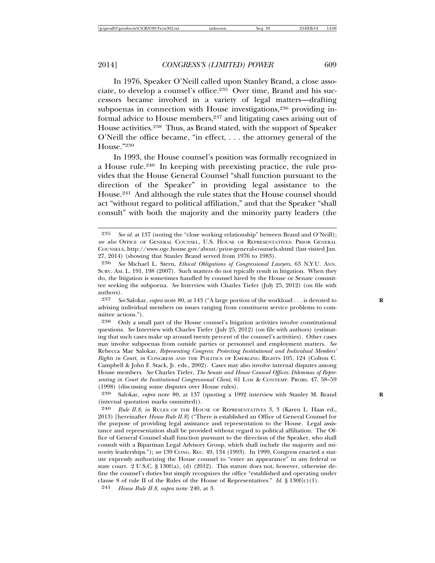In 1976, Speaker O'Neill called upon Stanley Brand, a close associate, to develop a counsel's office.235 Over time, Brand and his successors became involved in a variety of legal matters—drafting subpoenas in connection with House investigations,<sup>236</sup> providing informal advice to House members,237 and litigating cases arising out of House activities.238 Thus, as Brand stated, with the support of Speaker O'Neill the office became, "in effect, . . . the attorney general of the House."239

In 1993, the House counsel's position was formally recognized in a House rule.240 In keeping with preexisting practice, the rule provides that the House General Counsel "shall function pursuant to the direction of the Speaker" in providing legal assistance to the House.241 And although the rule states that the House counsel should act "without regard to political affiliation," and that the Speaker "shall consult" with both the majority and the minority party leaders (the

241 *House Rule II.8*, *supra* note 240, at 3.

<sup>235</sup> *See id.* at 137 (noting the "close working relationship" between Brand and O'Neill); *see also* OFFICE OF GENERAL COUNSEL, U.S. HOUSE OF REPRESENTATIVES: PRIOR GENERAL COUNSELS, http://www.ogc.house.gov/about/prior-general-counsels.shtml (last visited Jan. 27, 2014) (showing that Stanley Brand served from 1976 to 1983).

<sup>236</sup> *See* Michael L. Stern, *Ethical Obligations of Congressional Lawyers*, 63 N.Y.U. ANN. SURV. AM. L. 191, 198 (2007). Such matters do not typically result in litigation. When they do, the litigation is sometimes handled by counsel hired by the House or Senate committee seeking the subpoena. *See* Interview with Charles Tiefer (July 25, 2012) (on file with authors).

<sup>237</sup> *See* Salokar, *supra* note 80, at 143 ("A large portion of the workload . . . is devoted to **R** advising individual members on issues ranging from constituent service problems to committee actions.").

<sup>238</sup> Only a small part of the House counsel's litigation activities involve constitutional questions. See Interview with Charles Tiefer (July 25, 2012) (on file with authors) (estimating that such cases make up around twenty percent of the counsel's activities). Other cases may involve subpoenas from outside parties or personnel and employment matters. *See* Rebecca Mae Salokar, *Representing Congress*: *Protecting Institutional and Individual Members' Rights in Court*, *in* CONGRESS AND THE POLITICS OF EMERGING RIGHTS 105, 124 (Colton C. Campbell & John F. Stack, Jr. eds., 2002). Cases may also involve internal disputes among House members. *See* Charles Tiefer, *The Senate and House Counsel Offices: Dilemmas of Representing in Court the Institutional Congressional Client*, 61 LAW & CONTEMP. PROBS. 47, 58–59 (1998) (discussing some disputes over House rules).

<sup>239</sup> Salokar, *supra* note 80, at 137 (quoting a 1992 interview with Stanley M. Brand **R** (internal quotation marks ommitted)).

<sup>240</sup> *Rule II.8*, *in* RULES OF THE HOUSE OF REPRESENTATIVES 3, 3 (Karen L. Haas ed., 2013) [hereinafter *House Rule II.8*] ("There is established an Office of General Counsel for the purpose of providing legal assistance and representation to the House. Legal assistance and representation shall be provided without regard to political affiliation. The Office of General Counsel shall function pursuant to the direction of the Speaker, who shall consult with a Bipartisan Legal Advisory Group, which shall include the majority and minority leaderships."); *see* 139 CONG. REC. 49, 134 (1993). In 1999, Congress enacted a statute expressly authorizing the House counsel to "enter an appearance" in any federal or state court. 2 U.S.C. § 130 $f(a)$ , (d) (2012). This statute does not, however, otherwise define the counsel's duties but simply recognizes the office "established and operating under clause 8 of rule II of the Rules of the House of Representatives." *Id.*  $\S 130f(c)(1)$ .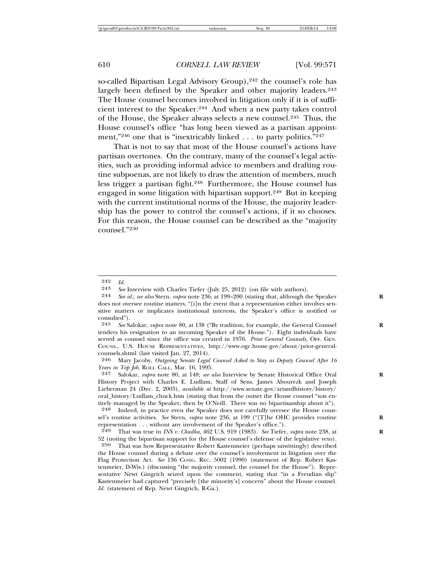so-called Bipartisan Legal Advisory Group),<sup>242</sup> the counsel's role has largely been defined by the Speaker and other majority leaders.<sup>243</sup> The House counsel becomes involved in litigation only if it is of sufficient interest to the Speaker.244 And when a new party takes control of the House, the Speaker always selects a new counsel.245 Thus, the House counsel's office "has long been viewed as a partisan appointment,"<sup>246</sup> one that is "inextricably linked  $\dots$  to party politics."<sup>247</sup>

That is not to say that most of the House counsel's actions have partisan overtones. On the contrary, many of the counsel's legal activities, such as providing informal advice to members and drafting routine subpoenas, are not likely to draw the attention of members, much less trigger a partisan fight.<sup>248</sup> Furthermore, the House counsel has engaged in some litigation with bipartisan support.249 But in keeping with the current institutional norms of the House, the majority leadership has the power to control the counsel's actions, if it so chooses. For this reason, the House counsel can be described as the "majority counsel."250

 $\begin{array}{cc} 242 & Id. \\ 243 & So. \end{array}$ 

<sup>243</sup> *See* Interview with Charles Tiefer (July 25, 2012) (on file with authors).<br>244 *See id: see also* Stern, *subra* note 236 at 199–200 (stating that, although the

See id.; see also Stern, *supra* note 236, at 199–200 (stating that, although the Speaker does not oversee routine matters, "[i]n the event that a representation either involves sensitive matters or implicates institutional interests, the Speaker's office is notified or consulted").<br> $245$  See Sa

See Salokar, *supra* note 80, at 138 ("By tradition, for example, the General Counsel tenders his resignation to an incoming Speaker of the House."). Eight individuals have served as counsel since the office was created in 1976. *Prior General Counsels*, OFF. GEN. COUNS., U.S. HOUSE REPRESENTATIVES, http://www.ogc.house.gov/about/prior-generalcounsels.shtml (last visited Jan. 27, 2014).

<sup>246</sup> Mary Jacoby, *Outgoing Senate Legal Counsel Asked to Stay as Deputy Counsel After 16 Years in Top Job*, ROLL CALL, Mar. 16, 1995.

<sup>247</sup> Salokar, *supra* note 80, at 148; *see also* Interview by Senate Historical Office Oral **R** History Project with Charles E. Ludlam, Staff of Sens. James Abourezk and Joseph Lieberman 24 (Dec. 2, 2003), *available at* http://www.senate.gov/artandhistory/history/ oral\_history/Ludlam\_chuck.htm (stating that from the outset the House counsel "was entirely managed by the Speaker, then by O'Neill. There was no bipartisanship about it").

<sup>248</sup> Indeed, in practice even the Speaker does not carefully oversee the House counsel's routine activities. *See* Stern, *supra* note 236, at 199 ("[T]he OHC provides routine **R** representation . . . without any involvement of the Speaker's office.").<br>  $^{249}$  That was true in *INS v. Chadha* 469 U.S. 919 (1983). See Tiefer

<sup>249</sup> That was true in *INS v. Chadha*, 462 U.S. 919 (1983). *See* Tiefer, *supra* note 238, at **R** 52 (noting the bipartisan support for the House counsel's defense of the legislative veto).

<sup>250</sup> That was how Representative Robert Kastenmeier (perhaps unwittingly) described the House counsel during a debate over the counsel's involvement in litigation over the Flag Protection Act. *See* 136 CONG. REC. 5002 (1990) (statement of Rep. Robert Kastenmeier, D-Wis.) (discussing "the majority counsel, the counsel for the House"). Representative Newt Gingrich seized upon the comment, stating that "in a Freudian slip" Kastenmeier had captured "precisely [the minority's] concern" about the House counsel. *Id.* (statement of Rep. Newt Gingrich, R-Ga.).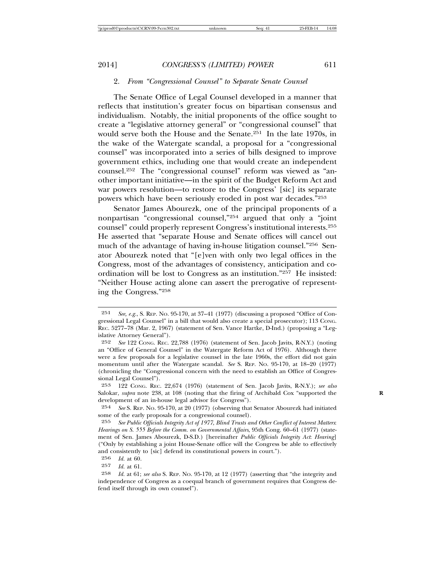#### 2. *From "Congressional Counsel" to Separate Senate Counsel*

The Senate Office of Legal Counsel developed in a manner that reflects that institution's greater focus on bipartisan consensus and individualism. Notably, the initial proponents of the office sought to create a "legislative attorney general" or "congressional counsel" that would serve both the House and the Senate.<sup>251</sup> In the late 1970s, in the wake of the Watergate scandal, a proposal for a "congressional counsel" was incorporated into a series of bills designed to improve government ethics, including one that would create an independent counsel.252 The "congressional counsel" reform was viewed as "another important initiative—in the spirit of the Budget Reform Act and war powers resolution—to restore to the Congress' [sic] its separate powers which have been seriously eroded in post war decades."253

Senator James Abourezk, one of the principal proponents of a nonpartisan "congressional counsel,"254 argued that only a "joint counsel" could properly represent Congress's institutional interests.255 He asserted that "separate House and Senate offices will cancel out much of the advantage of having in-house litigation counsel."256 Senator Abourezk noted that "[e]ven with only two legal offices in the Congress, most of the advantages of consistency, anticipation and coordination will be lost to Congress as an institution."257 He insisted: "Neither House acting alone can assert the prerogative of representing the Congress."258

<sup>251</sup> *See, e.g.*, S. REP. NO. 95-170, at 37–41 (1977) (discussing a proposed "Office of Congressional Legal Counsel" in a bill that would also create a special prosecutor); 113 CONG. REC. 5277–78 (Mar. 2, 1967) (statement of Sen. Vance Hartke, D-Ind.) (proposing a "Legislative Attorney General").

<sup>252</sup> *See* 122 CONG. REC. 22,788 (1976) (statement of Sen. Jacob Javits, R-N.Y.) (noting an "Office of General Counsel" in the Watergate Reform Act of 1976). Although there were a few proposals for a legislative counsel in the late 1960s, the effort did not gain momentum until after the Watergate scandal. *See* S. REP. NO. 95-170, at 18–20 (1977) (chronicling the "Congressional concern with the need to establish an Office of Congressional Legal Counsel").

<sup>253</sup> 122 CONG. REC. 22,674 (1976) (statement of Sen. Jacob Javits, R-N.Y.); *see also* Salokar, *supra* note 238, at 108 (noting that the firing of Archibald Cox "supported the development of an in-house legal advisor for Congress").

<sup>254</sup> *See* S. REP. NO. 95-170, at 20 (1977) (observing that Senator Abourezk had initiated some of the early proposals for a congressional counsel).

<sup>255</sup> *See Public Officials Integrity Act of 1977, Blind Trusts and Other Conflict of Interest Matters*: *Hearings on S. 555 Before the Comm. on Governmental Affairs*, 95th Cong. 60–61 (1977) (statement of Sen. James Abourezk, D-S.D.) [hereinafter *Public Officials Integrity Act*: *Hearing*] ("Only by establishing a joint House-Senate office will the Congress be able to effectively and consistently to [sic] defend its constitutional powers in court.").

<sup>256</sup> *Id.* at 60.

*Id.* at 61.

<sup>258</sup> *Id.* at 61; *see also* S. REP. NO. 95-170, at 12 (1977) (asserting that "the integrity and independence of Congress as a coequal branch of government requires that Congress defend itself through its own counsel").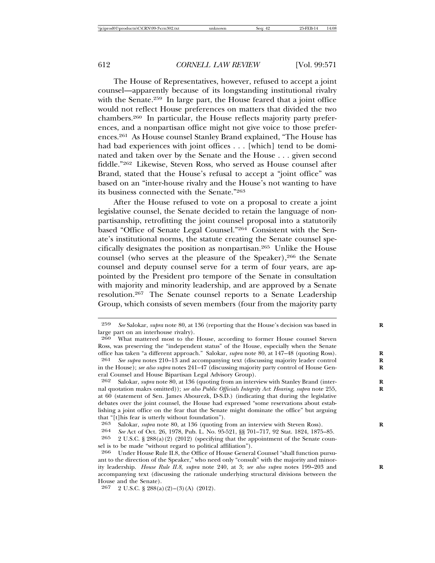The House of Representatives, however, refused to accept a joint counsel—apparently because of its longstanding institutional rivalry with the Senate.<sup>259</sup> In large part, the House feared that a joint office would not reflect House preferences on matters that divided the two chambers.260 In particular, the House reflects majority party preferences, and a nonpartisan office might not give voice to those preferences.261 As House counsel Stanley Brand explained, "The House has had bad experiences with joint offices . . . [which] tend to be dominated and taken over by the Senate and the House . . . given second fiddle."262 Likewise, Steven Ross, who served as House counsel after Brand, stated that the House's refusal to accept a "joint office" was based on an "inter-house rivalry and the House's not wanting to have its business connected with the Senate."263

After the House refused to vote on a proposal to create a joint legislative counsel, the Senate decided to retain the language of nonpartisanship, retrofitting the joint counsel proposal into a statutorily based "Office of Senate Legal Counsel."264 Consistent with the Senate's institutional norms, the statute creating the Senate counsel specifically designates the position as nonpartisan.265 Unlike the House counsel (who serves at the pleasure of the Speaker),<sup>266</sup> the Senate counsel and deputy counsel serve for a term of four years, are appointed by the President pro tempore of the Senate in consultation with majority and minority leadership, and are approved by a Senate resolution.267 The Senate counsel reports to a Senate Leadership Group, which consists of seven members (four from the majority party

267 2 U.S.C.  $\S 288(a)(2)-(3)(A)(2012)$ .

<sup>259</sup> *See* Salokar, *supra* note 80, at 136 (reporting that the House's decision was based in **R** large part on an interhouse rivalry).

<sup>260</sup> What mattered most to the House, according to former House counsel Steven Ross, was preserving the "independent status" of the House, especially when the Senate office has taken "a different approach." Salokar, *supra* note 80, at 147–48 (quoting Ross). **R**

<sup>261</sup> *See supra* notes 210–13 and accompanying text (discussing majority leader control **R** in the House); *see also supra* notes 241–47 (discussing majority party control of House General Counsel and House Bipartisan Legal Advisory Group).<br>262 Salokar, subra note 80, at 136 (quoting from an inter-

Salokar, *supra* note 80, at 136 (quoting from an interview with Stanley Brand (internal quotation makrs omitted)); *see also Public Officials Integrity Act*: *Hearing*, *supra* note 255, **R** at 60 (statement of Sen. James Abourezk, D-S.D.) (indicating that during the legislative debates over the joint counsel, the House had expressed "some reservations about establishing a joint office on the fear that the Senate might dominate the office" but arguing that "[t]his fear is utterly without foundation").<br> $263$  Salokar *subra* note 80 at 136 (quoting f

<sup>263</sup> Salokar, *supra* note 80, at 136 (quoting from an interview with Steven Ross).<br>264 See Act of Oct 26, 1978 Pub L, No. 95-521, 88, 701–717, 92 Stat, 1824, 1875

<sup>264</sup> *See* Act of Oct. 26, 1978, Pub. L. No. 95-521, §§ 701–717, 92 Stat. 1824, 1875–85.

<sup>2</sup> U.S.C. § 288(a)(2) (2012) (specifying that the appointment of the Senate counsel is to be made "without regard to political affiliation").<br>266 LInder House Rule II 8, the Office of House Genera

Under House Rule II.8, the Office of House General Counsel "shall function pursuant to the direction of the Speaker," who need only "consult" with the majority and minority leadership. *House Rule II.8*, *supra* note 240, at 3; *see also supra* notes 199-203 and accompanying text (discussing the rationale underlying structural divisions between the House and the Senate).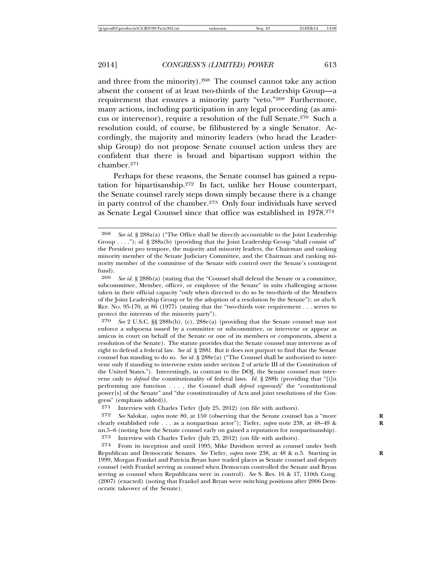and three from the minority).268 The counsel cannot take any action absent the consent of at least two-thirds of the Leadership Group—a requirement that ensures a minority party "veto."<sup>269</sup> Furthermore, many actions, including participation in any legal proceeding (as amicus or intervenor), require a resolution of the full Senate.270 Such a resolution could, of course, be filibustered by a single Senator. Accordingly, the majority and minority leaders (who head the Leadership Group) do not propose Senate counsel action unless they are confident that there is broad and bipartisan support within the chamber.271

Perhaps for these reasons, the Senate counsel has gained a reputation for bipartisanship.272 In fact, unlike her House counterpart, the Senate counsel rarely steps down simply because there is a change in party control of the chamber.273 Only four individuals have served as Senate Legal Counsel since that office was established in 1978.274

270 *See* 2 U.S.C. §§ 288b(b), (c), 288e(a) (providing that the Senate counsel may not enforce a subpoena issued by a committee or subcommittee, or intervene or appear as amicus in court on behalf of the Senate or one of its members or components, absent a resolution of the Senate). The statute provides that the Senate counsel may intervene as of right to defend a federal law. *See id.* § 288*l*. But it does not purport to find that the Senate counsel has standing to do so. *See id.* § 288e(a) ("The Counsel shall be authorized to intervene only if standing to intervene exists under section 2 of article III of the Constitution of the United States."). Interestingly, in contrast to the DOJ, the Senate counsel may intervene only to *defend* the constitutionality of federal laws. *Id.* § 288h (providing that "[i]n performing any function . . . , the Counsel shall *defend vigorously*" the "constitutional power[s] of the Senate" and "the constitutionality of Acts and joint resolutions of the Congress" (emphasis added)).<br>271 Interview with Cha

Interview with Charles Tiefer (July 25, 2012) (on file with authors).

272 *See* Salokar, *supra* note 80, at 150 (observing that the Senate counsel has a "more **R** clearly established role . . . as a nonpartisan actor"); Tiefer, *supra* note 238, at 48–49 & **R** nn.5–6 (noting how the Senate counsel early on gained a reputation for nonpartisanship).

273 Interview with Charles Tiefer (July 25, 2012) (on file with authors).

274 From its inception and until 1995, Mike Davidson served as counsel under both Republican and Democratic Senates. *See* Tiefer, *supra* note 238, at 48 & n.5. Starting in **R** 1999, Morgan Frankel and Patricia Bryan have traded places as Senate counsel and deputy counsel (with Frankel serving as counsel when Democrats controlled the Senate and Bryan serving as counsel when Republicans were in control). *See* S. Res. 16 & 17, 110th Cong. (2007) (enacted) (noting that Frankel and Bryan were switching positions after 2006 Democratic takeover of the Senate).

<sup>268</sup> *See id.* § 288a(a) ("The Office shall be directly accountable to the Joint Leadership Group . . . ."); *id.* § 288a(b) (providing that the Joint Leadership Group "shall consist of" the President pro tempore, the majority and minority leaders, the Chairman and ranking minority member of the Senate Judiciary Committee, and the Chairman and ranking minority member of the committee of the Senate with control over the Senate's contingent fund).

<sup>269</sup> *See id.* § 288b(a) (stating that the "Counsel shall defend the Senate or a committee, subcommittee, Member, officer, or employee of the Senate" in suits challenging actions taken in their official capacity "only when directed to do so by two-thirds of the Members of the Joint Leadership Group or by the adoption of a resolution by the Senate"); *see also* S. REP. NO. 95-170, at 86 (1977) (stating that the "two-thirds vote requirement . . . serves to protect the interests of the minority party").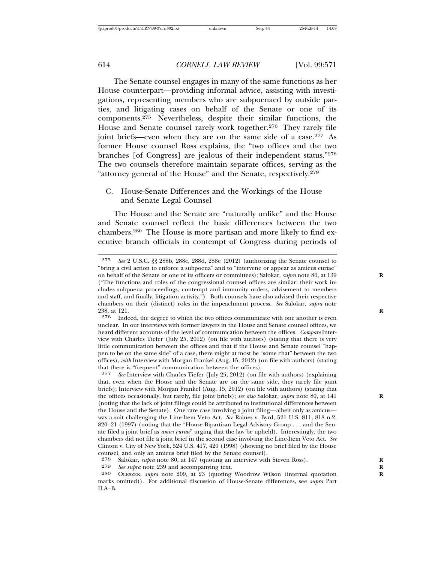The Senate counsel engages in many of the same functions as her House counterpart—providing informal advice, assisting with investigations, representing members who are subpoenaed by outside parties, and litigating cases on behalf of the Senate or one of its components.275 Nevertheless, despite their similar functions, the House and Senate counsel rarely work together.276 They rarely file joint briefs—even when they are on the same side of a case.<sup>277</sup> As former House counsel Ross explains, the "two offices and the two branches [of Congress] are jealous of their independent status."278 The two counsels therefore maintain separate offices, serving as the "attorney general of the House" and the Senate, respectively.279

C. House-Senate Differences and the Workings of the House and Senate Legal Counsel

The House and the Senate are "naturally unlike" and the House and Senate counsel reflect the basic differences between the two chambers.280 The House is more partisan and more likely to find executive branch officials in contempt of Congress during periods of

<sup>275</sup> *See* 2 U.S.C. §§ 288b, 288c, 288d, 288e (2012) (authorizing the Senate counsel to "bring a civil action to enforce a subpoena" and to "intervene or appear as amicus curiae" on behalf of the Senate or one of its officers or committees); Salokar, *supra* note 80, at 139 **R** ("The functions and roles of the congressional counsel offices are similar: their work includes subpoena proceedings, contempt and immunity orders, advisement to members and staff, and finally, litigation activity."). Both counsels have also advised their respective chambers on their (distinct) roles in the impeachment process. *See* Salokar, *supra* note 238, at 121. **R**

<sup>276</sup> Indeed, the degree to which the two offices communicate with one another is even unclear. In our interviews with former lawyers in the House and Senate counsel offices, we heard different accounts of the level of communication between the offices. *Compare* Interview with Charles Tiefer (July 25, 2012) (on file with authors) (stating that there is very little communication between the offices and that if the House and Senate counsel "happen to be on the same side" of a case, there might at most be "some chat" between the two offices), *with* Interview with Morgan Frankel (Aug. 15, 2012) (on file with authors) (stating that there is "frequent" communication between the offices).

<sup>277</sup> *See* Interview with Charles Tiefer (July 25, 2012) (on file with authors) (explaining that, even when the House and the Senate are on the same side, they rarely file joint briefs); Interview with Morgan Frankel (Aug. 15, 2012) (on file with authors) (stating that the offices occasionally, but rarely, file joint briefs); *see also* Salokar, *supra* note 80, at 141 **R** (noting that the lack of joint filings could be attributed to institutional differences between the House and the Senate). One rare case involving a joint filing—albeit only as amicus was a suit challenging the Line-Item Veto Act. *See* Raines v. Byrd, 521 U.S. 811, 818 n.2, 820–21 (1997) (noting that the "House Bipartisan Legal Advisory Group . . . and the Senate filed a joint brief as *amici curiae*" urging that the law be upheld). Interestingly, the two chambers did not file a joint brief in the second case involving the Line-Item Veto Act. *See* Clinton v. City of New York, 524 U.S. 417, 420 (1998) (showing no brief filed by the House counsel, and only an amicus brief filed by the Senate counsel).<br><sup>278</sup> Salokar, *subra* note 80, at 147 (quoting an interview with

<sup>278</sup> Salokar, *supra* note 80, at 147 (quoting an interview with Steven Ross).<br>279 See supra note 239 and accompanying text

See supra note 239 and accompanying text.

<sup>280</sup> OLESZEK, *supra* note 209, at 23 (quoting Woodrow Wilson (internal quotation **R** marks omitted)). For additional discussion of House-Senate differences, see *supra* Part II.A–B.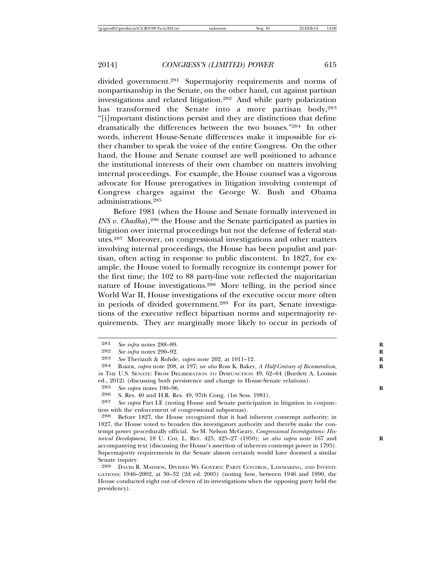divided government.<sup>281</sup> Supermajority requirements and norms of nonpartisanship in the Senate, on the other hand, cut against partisan investigations and related litigation.282 And while party polarization has transformed the Senate into a more partisan body, 283 "[i]mportant distinctions persist and they are distinctions that define dramatically the differences between the two houses."284 In other words, inherent House-Senate differences make it impossible for either chamber to speak the voice of the entire Congress. On the other hand, the House and Senate counsel are well positioned to advance the institutional interests of their own chamber on matters involving internal proceedings. For example, the House counsel was a vigorous advocate for House prerogatives in litigation involving contempt of Congress charges against the George W. Bush and Obama administrations.285

Before 1981 (when the House and Senate formally intervened in *INS v. Chadha*),<sup>286</sup> the House and the Senate participated as parties in litigation over internal proceedings but not the defense of federal statutes.287 Moreover, on congressional investigations and other matters involving internal proceedings, the House has been populist and partisan, often acting in response to public discontent. In 1827, for example, the House voted to formally recognize its contempt power for the first time; the 102 to 88 party-line vote reflected the majoritarian nature of House investigations.288 More telling, in the period since World War II, House investigations of the executive occur more often in periods of divided government.289 For its part, Senate investigations of the executive reflect bipartisan norms and supermajority requirements. They are marginally more likely to occur in periods of

ed., 2012) (discussing both persistence and change in House-Senate relations).<br> $\frac{285}{8}$ 

<sup>281</sup> *See infra* notes 288–89. **R**

<sup>282</sup> *See infra* notes 290–92.<br>283 *See* Theriault & Rohde

<sup>283</sup> *See* Theriault & Rohde, *supra* note 202, at 1011–12. **R**

BAKER, *supra* note 208, at 197; *see also* Ross K. Baker, *A Half-Century of Bicameralism*, *in* THE U.S. SENATE: FROM DELIBERATION TO DYSFUNCTION 49, 62–64 (Burdett A. Loomis

<sup>285</sup> *See supra* notes 190–96. **R**

<sup>286</sup> S. Res. 40 and H.R. Res. 49, 97th Cong. (1st Sess. 1981).<br>287 See subra Part LE (poting House and Senate participation

See supra Part I.E (noting House and Senate participation in litigation in conjunction with the enforcement of congressional subpoenas).

<sup>288</sup> Before 1827, the House recognized that it had inherent contempt authority; in 1827, the House voted to broaden this investigatory authority and thereby make the contempt power procedurally official. *See* M. Nelson McGeary, *Congressional Investigations: Historical Development*, 18 U. CHI. L. REV. 425, 425–27 (1950); *see also supra* note 167 and **R** accompanying text (discussing the House's assertion of inherent contempt power in 1795). Supermajority requirements in the Senate almost certainly would have doomed a similar Senate inquiry.

<sup>289</sup> DAVID R. MAYHEW, DIVIDED WE GOVERN: PARTY CONTROL, LAWMAKING, AND INVESTI-GATIONS: 1946–2002, at 30–32 (2d ed. 2005) (noting how, between 1946 and 1990, the House conducted eight out of eleven of its investigations when the opposing party held the presidency).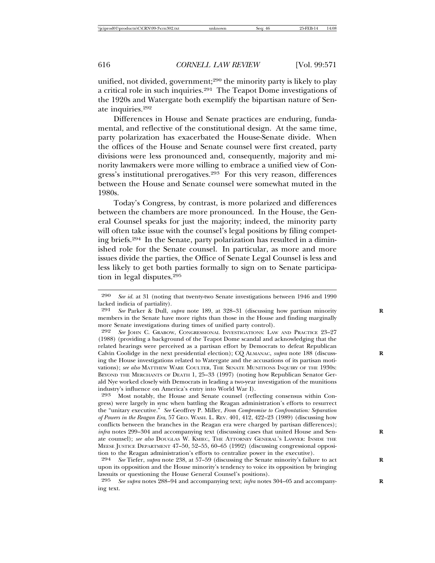unified, not divided, government;<sup>290</sup> the minority party is likely to play a critical role in such inquiries.<sup>291</sup> The Teapot Dome investigations of the 1920s and Watergate both exemplify the bipartisan nature of Senate inquiries.292

Differences in House and Senate practices are enduring, fundamental, and reflective of the constitutional design. At the same time, party polarization has exacerbated the House-Senate divide. When the offices of the House and Senate counsel were first created, party divisions were less pronounced and, consequently, majority and minority lawmakers were more willing to embrace a unified view of Congress's institutional prerogatives.293 For this very reason, differences between the House and Senate counsel were somewhat muted in the 1980s.

Today's Congress, by contrast, is more polarized and differences between the chambers are more pronounced. In the House, the General Counsel speaks for just the majority; indeed, the minority party will often take issue with the counsel's legal positions by filing competing briefs.294 In the Senate, party polarization has resulted in a diminished role for the Senate counsel. In particular, as more and more issues divide the parties, the Office of Senate Legal Counsel is less and less likely to get both parties formally to sign on to Senate participation in legal disputes.295

<sup>290</sup> *See id.* at 31 (noting that twenty-two Senate investigations between 1946 and 1990 lacked indicia of partiality).<br>291 See Parker & Dull

See Parker & Dull, *supra* note 189, at 328–31 (discussing how partisan minority members in the Senate have more rights than those in the House and finding marginally more Senate investigations during times of unified party control).

<sup>292</sup> *See* JOHN C. GRABOW, CONGRESSIONAL INVESTIGATIONS: LAW AND PRACTICE 23–27 (1988) (providing a background of the Teapot Dome scandal and acknowledging that the related hearings were perceived as a partisan effort by Democrats to defeat Republican Calvin Coolidge in the next presidential election); CQ ALMANAC, *supra* note 188 (discussing the House investigations related to Watergate and the accusations of its partisan motivations); *see also* MATTHEW WARE COULTER, THE SENATE MUNITIONS INQUIRY OF THE 1930S: BEYOND THE MERCHANTS OF DEATH 1, 25–33 (1997) (noting how Republican Senator Gerald Nye worked closely with Democrats in leading a two-year investigation of the munitions industry's influence on America's entry into World War I).

<sup>293</sup> Most notably, the House and Senate counsel (reflecting consensus within Congress) were largely in sync when battling the Reagan administration's efforts to resurrect the "unitary executive." *See* Geoffrey P. Miller, *From Compromise to Confrontation: Separation of Powers in the Reagan Era*, 57 GEO. WASH. L. REV. 401, 412, 422–23 (1989) (discussing how conflicts between the branches in the Reagan era were charged by partisan differences); *infra* notes 299–304 and accompanying text (discussing cases that united House and Senate counsel); *see also* DOUGLAS W. KMIEC, THE ATTORNEY GENERAL'S LAWYER: INSIDE THE MEESE JUSTICE DEPARTMENT 47–50, 52–55, 60–65 (1992) (discussing congressional opposition to the Reagan administration's efforts to centralize power in the executive).

<sup>294</sup> *See* Tiefer, *supra* note 238, at 57–59 (discussing the Senate minority's failure to act **R** upon its opposition and the House minority's tendency to voice its opposition by bringing lawsuits or questioning the House General Counsel's positions).

<sup>295</sup> *See supra* notes 288–94 and accompanying text; *infra* notes 304–05 and accompany- **R** ing text.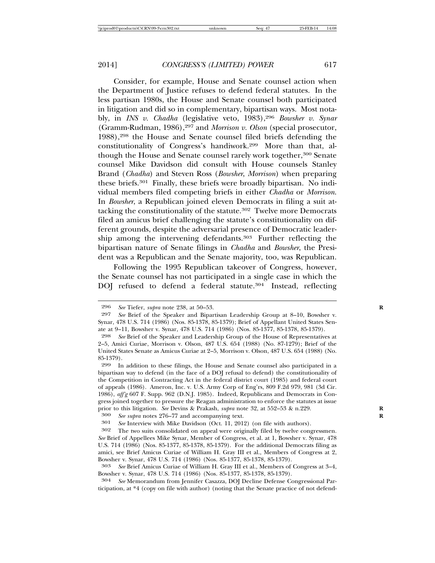Consider, for example, House and Senate counsel action when the Department of Justice refuses to defend federal statutes. In the less partisan 1980s, the House and Senate counsel both participated in litigation and did so in complementary, bipartisan ways. Most notably, in *INS v. Chadha* (legislative veto, 1983),296 *Bowsher v. Synar* (Gramm-Rudman, 1986),297 and *Morrison v. Olson* (special prosecutor, 1988),298 the House and Senate counsel filed briefs defending the constitutionality of Congress's handiwork.299 More than that, although the House and Senate counsel rarely work together,<sup>300</sup> Senate counsel Mike Davidson did consult with House counsels Stanley Brand (*Chadha*) and Steven Ross (*Bowsher*, *Morrison*) when preparing these briefs.301 Finally, these briefs were broadly bipartisan. No individual members filed competing briefs in either *Chadha* or *Morrison*. In *Bowsher*, a Republican joined eleven Democrats in filing a suit attacking the constitutionality of the statute.<sup>302</sup> Twelve more Democrats filed an amicus brief challenging the statute's constitutionality on different grounds, despite the adversarial presence of Democratic leadership among the intervening defendants.<sup>303</sup> Further reflecting the bipartisan nature of Senate filings in *Chadha* and *Bowsher*, the President was a Republican and the Senate majority, too, was Republican.

Following the 1995 Republican takeover of Congress, however, the Senate counsel has not participated in a single case in which the DOJ refused to defend a federal statute.<sup>304</sup> Instead, reflecting

300 *See supra* notes 276–77 and accompanying text.<br>301 *See Interview with Mike Davidson (Oct.* 11, 2015)

301 *See* Interview with Mike Davidson (Oct. 11, 2012) (on file with authors).

304 *See* Memorandum from Jennifer Casazza, DOJ Decline Defense Congressional Participation, at \*4 (copy on file with author) (noting that the Senate practice of not defend-

<sup>296</sup> *See* Tiefer, *supra* note 238, at 50–53.<br>297 *See* Brief of the Speaker and Bipar

See Brief of the Speaker and Bipartisan Leadership Group at 8-10, Bowsher v. Synar, 478 U.S. 714 (1986) (Nos. 85-1378, 85-1379); Brief of Appellant United States Senate at 9–11, Bowsher v. Synar, 478 U.S. 714 (1986) (Nos. 85-1377, 85-1378, 85-1379).

<sup>298</sup> *See* Brief of the Speaker and Leadership Group of the House of Representatives at 2–5, Amici Curiae, Morrison v. Olson, 487 U.S. 654 (1988) (No. 87-1279); Brief of the United States Senate as Amicus Curiae at 2–5, Morrison v. Olson, 487 U.S. 654 (1988) (No. 85-1379).

<sup>299</sup> In addition to these filings, the House and Senate counsel also participated in a bipartisan way to defend (in the face of a DOJ refusal to defend) the constitutionality of the Competition in Contracting Act in the federal district court (1985) and federal court of appeals (1986). Ameron, Inc. v. U.S. Army Corp of Eng'rs, 809 F.2d 979, 981 (3d Cir. 1986), *aff'g* 607 F. Supp. 962 (D.N.J. 1985). Indeed, Republicans and Democrats in Congress joined together to pressure the Reagan administration to enforce the statutes at issue prior to this litigation. *See* Devins & Prakash, *supra* note 32, at 552–53 & n.229.<br><sup>300</sup> *See subra* notes 276–77 and accompanying text.

The two suits consolidated on appeal were originally filed by twelve congressmen. *See* Brief of Appellees Mike Synar, Member of Congress, et al. at 1, Bowsher v. Synar, 478 U.S. 714 (1986) (Nos. 85-1377, 85-1378, 85-1379). For the additional Democrats filing as amici, see Brief Amicus Curiae of William H. Gray III et al., Members of Congress at 2, Bowsher v. Synar, 478 U.S. 714 (1986) (Nos. 85-1377, 85-1378, 85-1379).

<sup>303</sup> *See* Brief Amicus Curiae of William H. Gray III et al., Members of Congress at 3–4, Bowsher v. Synar, 478 U.S. 714 (1986) (Nos. 85-1377, 85-1378, 85-1379).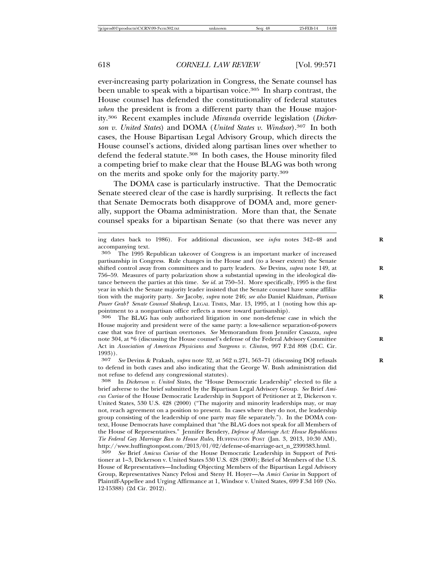ever-increasing party polarization in Congress, the Senate counsel has been unable to speak with a bipartisan voice.<sup>305</sup> In sharp contrast, the House counsel has defended the constitutionality of federal statutes *when* the president is from a different party than the House majority.306 Recent examples include *Miranda* override legislation (*Dickerson v. United States*) and DOMA (*United States v. Windsor*).307 In both cases, the House Bipartisan Legal Advisory Group, which directs the House counsel's actions, divided along partisan lines over whether to defend the federal statute.<sup>308</sup> In both cases, the House minority filed a competing brief to make clear that the House BLAG was both wrong on the merits and spoke only for the majority party.309

The DOMA case is particularly instructive. That the Democratic Senate steered clear of the case is hardly surprising. It reflects the fact that Senate Democrats both disapprove of DOMA and, more generally, support the Obama administration. More than that, the Senate counsel speaks for a bipartisan Senate (so that there was never any

306 The BLAG has only authorized litigation in one non-defense case in which the House majority and president were of the same party: a low-salience separation-of-powers case that was free of partisan overtones. *See* Memorandum from Jennifer Casazza*, supra* note 304, at \*6 (discussing the House counsel's defense of the Federal Advisory Committee **R** Act in *Association of American Physicians and Surgeons v. Clinton*, 997 F.2d 898 (D.C. Cir. 1993)).

307 *See* Devins & Prakash, *supra* note 32, at 562 n.271, 563–71 (discussing DOJ refusals **R** to defend in both cases and also indicating that the George W. Bush administration did not refuse to defend any congressional statutes).<br><sup>308</sup> In *Dickerson v. United States*, the "House I

308 In *Dickerson v. United States*, the "House Democratic Leadership" elected to file a brief adverse to the brief submitted by the Bipartisan Legal Advisory Group. *See* Brief *Amicus Curiae* of the House Democratic Leadership in Support of Petitioner at 2, Dickerson v. United States, 530 U.S. 428 (2000) ("The majority and minority leaderships may, or may not, reach agreement on a position to present. In cases where they do not, the leadership group consisting of the leadership of one party may file separately."). In the DOMA context, House Democrats have complained that "the BLAG does not speak for all Members of the House of Representatives." Jennifer Bendery, *Defense of Marriage Act: House Republicans Tie Federal Gay Marriage Ban to House Rules*, HUFFINGTON POST (Jan. 3, 2013, 10:30 AM), http://www.huffingtonpost.com/2013/01/02/defense-of-marriage-act\_n\_2399383.html.<br>309 See Brief Amicus Curiae of the House Democratic Leadership in Support of Pe

309 *See* Brief *Amicus Curiae* of the House Democratic Leadership in Support of Petitioner at 1–3, Dickerson v. United States 530 U.S. 428 (2000); Brief of Members of the U.S. House of Representatives—Including Objecting Members of the Bipartisan Legal Advisory Group, Representatives Nancy Pelosi and Steny H. Hoyer—As *Amici Curiae* in Support of Plaintiff-Appellee and Urging Affirmance at 1, Windsor v. United States, 699 F.3d 169 (No. 12-15388) (2d Cir. 2012).

ing dates back to 1986). For additional discussion, see *infra* notes 342–48 and **R** accompanying text.

<sup>305</sup> The 1995 Republican takeover of Congress is an important marker of increased partisanship in Congress. Rule changes in the House and (to a lesser extent) the Senate shifted control away from committees and to party leaders. *See* Devins, *supra* note 149, at **R** 756–59. Measures of party polarization show a substantial upswing in the ideological distance between the parties at this time. *See id.* at 750–51. More specifically, 1995 is the first year in which the Senate majority leader insisted that the Senate counsel have some affiliation with the majority party. See Jacoby, *supra* note 246; see also Daniel Klaidman, *Partisan Power Grab? Senate Counsel Shakeup*, LEGAL TIMES, Mar. 13, 1995, at 1 (noting how this appointment to a nonpartisan office reflects a move toward partisanship).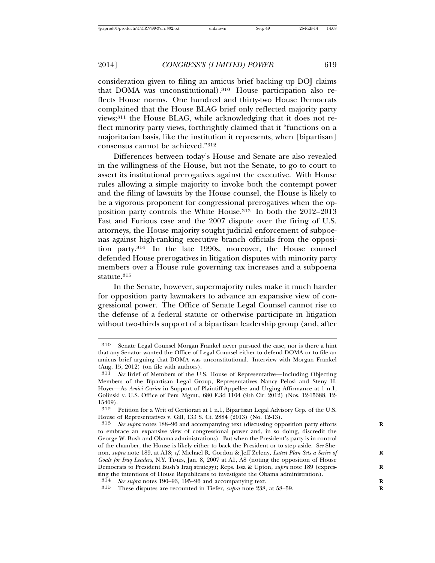consideration given to filing an amicus brief backing up DOJ claims that DOMA was unconstitutional).310 House participation also reflects House norms. One hundred and thirty-two House Democrats complained that the House BLAG brief only reflected majority party views;311 the House BLAG, while acknowledging that it does not reflect minority party views, forthrightly claimed that it "functions on a majoritarian basis, like the institution it represents, when [bipartisan] consensus cannot be achieved."312

Differences between today's House and Senate are also revealed in the willingness of the House, but not the Senate, to go to court to assert its institutional prerogatives against the executive. With House rules allowing a simple majority to invoke both the contempt power and the filing of lawsuits by the House counsel, the House is likely to be a vigorous proponent for congressional prerogatives when the opposition party controls the White House.313 In both the 2012–2013 Fast and Furious case and the 2007 dispute over the firing of U.S. attorneys, the House majority sought judicial enforcement of subpoenas against high-ranking executive branch officials from the opposition party.314 In the late 1990s, moreover, the House counsel defended House prerogatives in litigation disputes with minority party members over a House rule governing tax increases and a subpoena statute.<sup>315</sup>

In the Senate, however, supermajority rules make it much harder for opposition party lawmakers to advance an expansive view of congressional power. The Office of Senate Legal Counsel cannot rise to the defense of a federal statute or otherwise participate in litigation without two-thirds support of a bipartisan leadership group (and, after

<sup>310</sup> Senate Legal Counsel Morgan Frankel never pursued the case, nor is there a hint that any Senator wanted the Office of Legal Counsel either to defend DOMA or to file an amicus brief arguing that DOMA was unconstitutional. Interview with Morgan Frankel (Aug. 15, 2012) (on file with authors).<br> $311$  See Brief of Members of the U

See Brief of Members of the U.S. House of Representative—Including Objecting Members of the Bipartisan Legal Group, Representatives Nancy Pelosi and Steny H. Hoyer—As *Amici Curiae* in Support of Plaintiff-Appellee and Urging Affirmance at 1 n.1, Golinski v. U.S. Office of Pers. Mgmt., 680 F.3d 1104 (9th Cir. 2012) (Nos. 12-15388, 12- 15409).

<sup>312</sup> Petition for a Writ of Certiorari at 1 n.1, Bipartisan Legal Advisory Grp. of the U.S. House of Representatives v. Gill, 133 S. Ct. 2884 (2013) (No. 12-13).

<sup>313</sup> *See supra* notes 188–96 and accompanying text (discussing opposition party efforts **R** to embrace an expansive view of congressional power and, in so doing, discredit the George W. Bush and Obama administrations). But when the President's party is in control of the chamber, the House is likely either to back the President or to step aside. S*ee* Shenon, *supra* note 189, at A18; *cf.* Michael R. Gordon & Jeff Zeleny, *Latest Plan Sets a Series of* **R** *Goals for Iraq Leaders*, N.Y. TIMES, Jan. 8, 2007 at A1, A8 (noting the opposition of House Democrats to President Bush's Iraq strategy); Reps. Issa & Upton, *supra* note 189 (expressing the intentions of House Republicans to investigate the Obama administration).

<sup>314</sup> *See supra* notes 190–93, 195–96 and accompanying text. **R**

<sup>315</sup> These disputes are recounted in Tiefer, *supra* note 238, at 58–59. **R**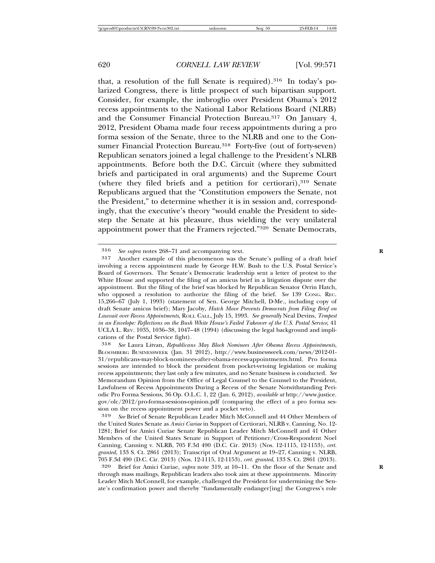that, a resolution of the full Senate is required).316 In today's polarized Congress, there is little prospect of such bipartisan support. Consider, for example, the imbroglio over President Obama's 2012 recess appointments to the National Labor Relations Board (NLRB) and the Consumer Financial Protection Bureau.<sup>317</sup> On January 4, 2012, President Obama made four recess appointments during a pro forma session of the Senate, three to the NLRB and one to the Consumer Financial Protection Bureau.<sup>318</sup> Forty-five (out of forty-seven) Republican senators joined a legal challenge to the President's NLRB appointments. Before both the D.C. Circuit (where they submitted briefs and participated in oral arguments) and the Supreme Court (where they filed briefs and a petition for certiorari),<sup>319</sup> Senate Republicans argued that the "Constitution empowers the Senate, not the President," to determine whether it is in session and, correspondingly, that the executive's theory "would enable the President to sidestep the Senate at his pleasure, thus wielding the very unilateral appointment power that the Framers rejected."320 Senate Democrats,

<sup>316</sup> *See supra* notes 268–71 and accompanying text. **R**

<sup>317</sup> Another example of this phenomenon was the Senate's pulling of a draft brief involving a recess appointment made by George H.W. Bush to the U.S. Postal Service's Board of Governors. The Senate's Democratic leadership sent a letter of protest to the White House and supported the filing of an amicus brief in a litigation dispute over the appointment. But the filing of the brief was blocked by Republican Senator Orrin Hatch, who opposed a resolution to authorize the filing of the brief. *See* 139 CONG. REC. 15,266–67 (July 1, 1993) (statement of Sen. George Mitchell, D-Me., including copy of draft Senate amicus brief); Mary Jacoby, *Hatch Move Prevents Democrats from Filing Brief on Lawsuit over Recess Appointments*, ROLL CALL, July 15, 1993. *See generally* Neal Devins, *Tempest in an Envelope: Reflections on the Bush White House's Failed Takeover of the U.S. Postal Service*, 41 UCLA L. REV. 1035, 1036–38, 1047–48 (1994) (discussing the legal background and implications of the Postal Service fight).

<sup>318</sup> *See* Laura Litvan, *Republicans May Block Nominees After Obama Recess Appointments*, BLOOMBERG BUSINESSWEEK (Jan. 31 2012), http://www.businessweek.com/news/2012-01- 31/republicans-may-block-nominees-after-obama-recess-appointments.html. Pro forma sessions are intended to block the president from pocket-vetoing legislation or making recess appointments; they last only a few minutes, and no Senate business is conducted. *See* Memorandum Opinion from the Office of Legal Counsel to the Counsel to the President, Lawfulness of Recess Appointments During a Recess of the Senate Notwithstanding Periodic Pro Forma Sessions, 36 Op. O.L.C. 1, 22 (Jan. 6, 2012), *available at* http://www.justice. gov/olc/2012/pro-forma-sessions-opinion.pdf (comparing the effect of a pro forma session on the recess appointment power and a pocket veto).

<sup>319</sup> *See* Brief of Senate Republican Leader Mitch McConnell and 44 Other Members of the United States Senate as *Amici Curiae* in Support of Certiorari, NLRB v. Canning, No. 12- 1281; Brief for Amici Curiae Senate Republican Leader Mitch McConnell and 41 Other Members of the United States Senate in Support of Petitioner/Cross-Respondent Noel Canning, Canning v. NLRB, 705 F.3d 490 (D.C. Cir. 2013) (Nos. 12-1115, 12-1153), *cert. granted*, 133 S. Ct. 2861 (2013); Transcript of Oral Argument at 19–27, Canning v. NLRB, 705 F.3d 490 (D.C. Cir. 2013) (Nos. 12-1115, 12-1153), *cert. granted*, 133 S. Ct. 2861 (2013).

<sup>320</sup> Brief for Amici Curiae, *supra* note 319, at 10–11. On the floor of the Senate and **R** through mass mailings, Republican leaders also took aim at these appointments. Minority Leader Mitch McConnell, for example, challenged the President for undermining the Senate's confirmation power and thereby "fundamentally endanger[ing] the Congress's role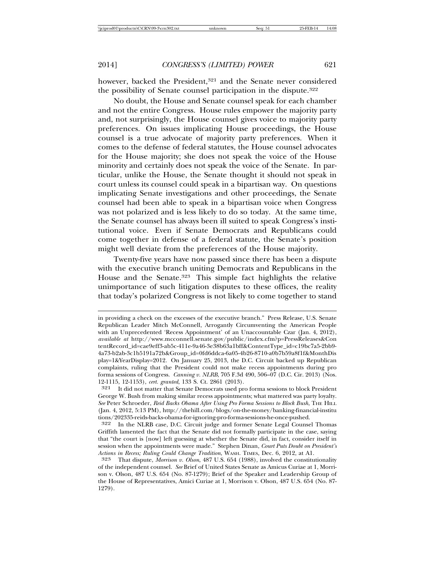however, backed the President,<sup>321</sup> and the Senate never considered the possibility of Senate counsel participation in the dispute.322

No doubt, the House and Senate counsel speak for each chamber and not the entire Congress. House rules empower the majority party and, not surprisingly, the House counsel gives voice to majority party preferences. On issues implicating House proceedings, the House counsel is a true advocate of majority party preferences. When it comes to the defense of federal statutes, the House counsel advocates for the House majority; she does not speak the voice of the House minority and certainly does not speak the voice of the Senate. In particular, unlike the House, the Senate thought it should not speak in court unless its counsel could speak in a bipartisan way. On questions implicating Senate investigations and other proceedings, the Senate counsel had been able to speak in a bipartisan voice when Congress was not polarized and is less likely to do so today. At the same time, the Senate counsel has always been ill suited to speak Congress's institutional voice. Even if Senate Democrats and Republicans could come together in defense of a federal statute, the Senate's position might well deviate from the preferences of the House majority.

Twenty-five years have now passed since there has been a dispute with the executive branch uniting Democrats and Republicans in the House and the Senate.<sup>323</sup> This simple fact highlights the relative unimportance of such litigation disputes to these offices, the reality that today's polarized Congress is not likely to come together to stand

in providing a check on the excesses of the executive branch." Press Release, U.S. Senate Republican Leader Mitch McConnell, Arrogantly Circumventing the American People with an Unprecedented 'Recess Appointment' of an Unaccountable Czar (Jan. 4, 2012), *available at* http://www.mcconnell.senate.gov/public/index.cfm?p=PressReleases&Con tentRecord\_id=cae9eff3-ab5c-411e-9a46-3e38b63a1bff&ContentType\_id=c19bc7a5-2bb9- 4a73-b2ab-3c1b5191a72b&Group\_id=0fd6ddca-6a05-4b26-8710-a0b7b59a8f1f&MonthDis play=1&YearDisplay=2012. On January 25, 2013, the D.C. Circuit backed up Republican complaints, ruling that the President could not make recess appointments during pro forma sessions of Congress. *Canning v. NLRB*, 705 F.3d 490, 506–07 (D.C. Cir. 2013) (Nos. 12-1115, 12-1153), *cert. granted*, 133 S. Ct. 2861 (2013).

<sup>321</sup> It did not matter that Senate Democrats used pro forma sessions to block President George W. Bush from making similar recess appointments; what mattered was party loyalty. *See* Peter Schroeder, *Reid Backs Obama After Using Pro Forma Sessions to Block Bush*, THE HILL (Jan. 4, 2012, 5:13 PM), http://thehill.com/blogs/on-the-money/banking-financial-institu tions/202335-reids-backs-obama-for-ignoring-pro-forma-sessions-he-once-pushed.

<sup>322</sup> In the NLRB case, D.C. Circuit judge and former Senate Legal Counsel Thomas Griffith lamented the fact that the Senate did not formally participate in the case, saying that "the court is [now] left guessing at whether the Senate did, in fact, consider itself in session when the appointments were made." Stephen Dinan, *Court Puts Doubt on President's Actions in Recess; Ruling Could Change Tradition*, WASH. TIMES, Dec. 6, 2012, at A1.

<sup>323</sup> That dispute, *Morrison v. Olson*, 487 U.S. 654 (1988), involved the constitutionality of the independent counsel. *See* Brief of United States Senate as Amicus Curiae at 1, Morrison v. Olson, 487 U.S. 654 (No. 87-1279); Brief of the Speaker and Leadership Group of the House of Representatives, Amici Curiae at 1, Morrison v. Olson, 487 U.S. 654 (No. 87- 1279).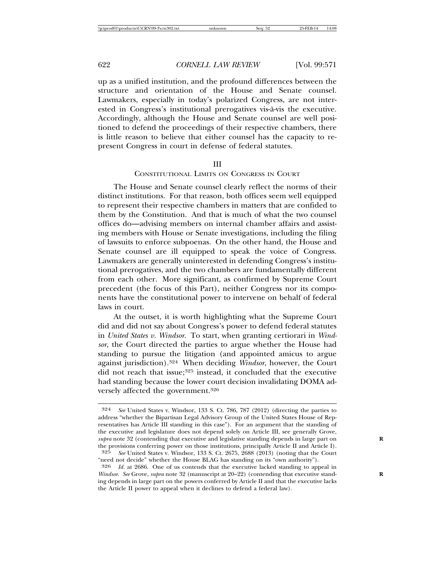up as a unified institution, and the profound differences between the structure and orientation of the House and Senate counsel. Lawmakers, especially in today's polarized Congress, are not interested in Congress's institutional prerogatives vis-a-vis the executive. ` Accordingly, although the House and Senate counsel are well positioned to defend the proceedings of their respective chambers, there is little reason to believe that either counsel has the capacity to represent Congress in court in defense of federal statutes.

#### III

#### CONSTITUTIONAL LIMITS ON CONGRESS IN COURT

The House and Senate counsel clearly reflect the norms of their distinct institutions. For that reason, both offices seem well equipped to represent their respective chambers in matters that are confided to them by the Constitution. And that is much of what the two counsel offices do—advising members on internal chamber affairs and assisting members with House or Senate investigations, including the filing of lawsuits to enforce subpoenas. On the other hand, the House and Senate counsel are ill equipped to speak the voice of Congress. Lawmakers are generally uninterested in defending Congress's institutional prerogatives, and the two chambers are fundamentally different from each other. More significant, as confirmed by Supreme Court precedent (the focus of this Part), neither Congress nor its components have the constitutional power to intervene on behalf of federal laws in court.

At the outset, it is worth highlighting what the Supreme Court did and did not say about Congress's power to defend federal statutes in *United States v. Windsor*. To start, when granting certiorari in *Windsor*, the Court directed the parties to argue whether the House had standing to pursue the litigation (and appointed amicus to argue against jurisdiction).324 When deciding *Windsor*, however, the Court did not reach that issue;<sup>325</sup> instead, it concluded that the executive had standing because the lower court decision invalidating DOMA adversely affected the government.326

<sup>324</sup> *See* United States v. Windsor, 133 S. Ct. 786, 787 (2012) (directing the parties to address "whether the Bipartisan Legal Advisory Group of the United States House of Representatives has Article III standing in this case"). For an argument that the standing of the executive and legislature does not depend solely on Article III, see generally Grove, *supra* note 32 (contending that executive and legislative standing depends in large part on **R** the provisions conferring power on those institutions, principally Article II and Article I).<br>  $325 \text{ S/e}$  United States v Windsor 133 S Ct 2675 2688 (2013) (noting that the Court 325 *See* United States v. Windsor, 133 S. Ct. 2675, 2688 (2013) (noting that the Court

<sup>&</sup>quot;need not decide" whether the House BLAG has standing on its "own authority"). 326 *Id.* at 2686. One of us contends that the executive lacked standing to appeal in

*Windsor. See* Grove, *supra* note 32 (manuscript at 20–22) (contending that executive standing depends in large part on the powers conferred by Article II and that the executive lacks the Article II power to appeal when it declines to defend a federal law).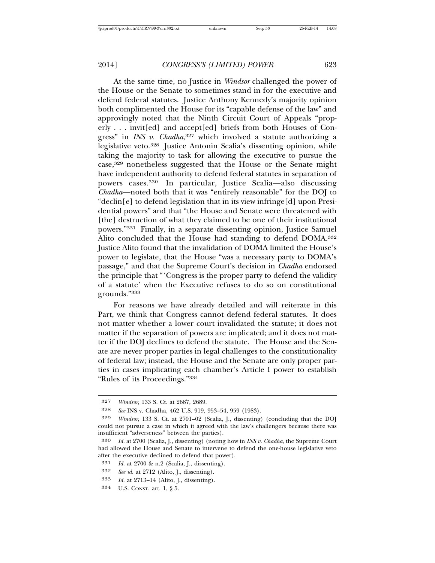At the same time, no Justice in *Windsor* challenged the power of the House or the Senate to sometimes stand in for the executive and defend federal statutes. Justice Anthony Kennedy's majority opinion both complimented the House for its "capable defense of the law" and approvingly noted that the Ninth Circuit Court of Appeals "properly . . . invit[ed] and accept[ed] briefs from both Houses of Congress" in *INS v. Chadha*, 327 which involved a statute authorizing a legislative veto.<sup>328</sup> Justice Antonin Scalia's dissenting opinion, while taking the majority to task for allowing the executive to pursue the case,329 nonetheless suggested that the House or the Senate might have independent authority to defend federal statutes in separation of powers cases.330 In particular, Justice Scalia—also discussing *Chadha*—noted both that it was "entirely reasonable" for the DOJ to "declin[e] to defend legislation that in its view infringe[d] upon Presidential powers" and that "the House and Senate were threatened with [the] destruction of what they claimed to be one of their institutional powers."331 Finally, in a separate dissenting opinion, Justice Samuel Alito concluded that the House had standing to defend DOMA.332 Justice Alito found that the invalidation of DOMA limited the House's power to legislate, that the House "was a necessary party to DOMA's passage," and that the Supreme Court's decision in *Chadha* endorsed the principle that "'Congress is the proper party to defend the validity of a statute' when the Executive refuses to do so on constitutional grounds."333

For reasons we have already detailed and will reiterate in this Part, we think that Congress cannot defend federal statutes. It does not matter whether a lower court invalidated the statute; it does not matter if the separation of powers are implicated; and it does not matter if the DOJ declines to defend the statute. The House and the Senate are never proper parties in legal challenges to the constitutionality of federal law; instead, the House and the Senate are only proper parties in cases implicating each chamber's Article I power to establish "Rules of its Proceedings."334

334 U.S. CONST. art. 1, § 5.

<sup>327</sup> *Windsor*, 133 S. Ct. at 2687, 2689.

<sup>328</sup> *See* INS v. Chadha, 462 U.S. 919, 953–54, 959 (1983).

<sup>329</sup> *Windsor*, 133 S. Ct. at 2701–02 (Scalia, J., dissenting) (concluding that the DOJ could not pursue a case in which it agreed with the law's challengers because there was insufficient "adverseness" between the parties).

<sup>330</sup> *Id.* at 2700 (Scalia, J., dissenting) (noting how in *INS v. Chadha*, the Supreme Court had allowed the House and Senate to intervene to defend the one-house legislative veto after the executive declined to defend that power).

<sup>331</sup> *Id.* at 2700 & n.2 (Scalia, J., dissenting).

<sup>332</sup> *See id.* at 2712 (Alito, J., dissenting).

<sup>333</sup> *Id.* at 2713–14 (Alito, J., dissenting).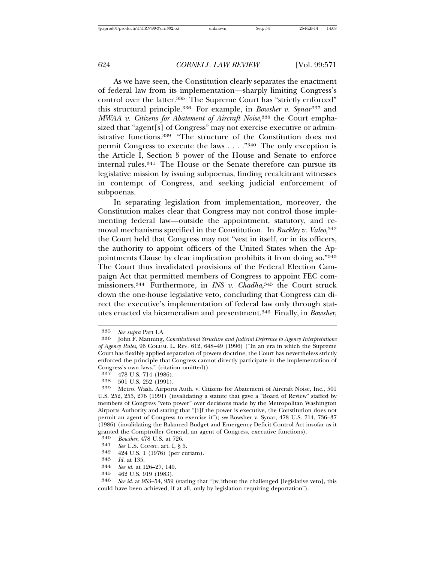As we have seen, the Constitution clearly separates the enactment of federal law from its implementation—sharply limiting Congress's control over the latter.<sup>335</sup> The Supreme Court has "strictly enforced" this structural principle.<sup>336</sup> For example, in *Bowsher v. Synar*<sup>337</sup> and *MWAA v. Citizens for Abatement of Aircraft Noise*, 338 the Court emphasized that "agent[s] of Congress" may not exercise executive or administrative functions.339 "The structure of the Constitution does not permit Congress to execute the laws . . . ."340 The only exception is the Article I, Section 5 power of the House and Senate to enforce internal rules.341 The House or the Senate therefore can pursue its legislative mission by issuing subpoenas, finding recalcitrant witnesses in contempt of Congress, and seeking judicial enforcement of subpoenas.

In separating legislation from implementation, moreover, the Constitution makes clear that Congress may not control those implementing federal law—outside the appointment, statutory, and removal mechanisms specified in the Constitution. In *Buckley v. Valeo*, 342 the Court held that Congress may not "vest in itself, or in its officers, the authority to appoint officers of the United States when the Appointments Clause by clear implication prohibits it from doing so."343 The Court thus invalidated provisions of the Federal Election Campaign Act that permitted members of Congress to appoint FEC commissioners.344 Furthermore, in *INS v. Chadha*, 345 the Court struck down the one-house legislative veto, concluding that Congress can direct the executive's implementation of federal law only through statutes enacted via bicameralism and presentment.346 Finally, in *Bowsher*,

<sup>345</sup> 462 U.S. 919 (1983). <sup>346</sup> *See id.* at 953–54, 959 (stating that "[w]ithout the challenged [legislative veto], this could have been achieved, if at all, only by legislation requiring deportation").

<sup>335</sup> *See supra* Part I.A. <sup>336</sup> John F. Manning, *Constitutional Structure and Judicial Deference to Agency Interpretations of Agency Rules*, 96 COLUM. L. REV. 612, 648–49 (1996) ("In an era in which the Supreme Court has flexibly applied separation of powers doctrine, the Court has nevertheless strictly enforced the principle that Congress cannot directly participate in the implementation of Congress's own laws." (citation omitted)).<br> $337 - 478$  U.S.  $714$  (1986)

<sup>337</sup> 478 U.S. 714 (1986). <sup>338</sup> 501 U.S. 252 (1991). <sup>339</sup> Metro. Wash. Airports Auth. v. Citizens for Abatement of Aircraft Noise, Inc., 501 U.S. 252, 255, 276 (1991) (invalidating a statute that gave a "Board of Review" staffed by members of Congress "veto power" over decisions made by the Metropolitan Washington Airports Authority and stating that "[i]f the power is executive, the Constitution does not permit an agent of Congress to exercise it"); *see* Bowsher v. Synar, 478 U.S. 714, 736–37 (1986) (invalidating the Balanced Budget and Emergency Deficit Control Act insofar as it granted the Comptroller General, an agent of Congress, executive functions).<br>340 Bowsher 478 U.S. at 726

<sup>340</sup> *Bowsher*, 478 U.S. at 726.

<sup>341</sup> *See* U.S. CONST. art. I, § 5.

<sup>342</sup> 424 U.S. 1 (1976) (per curiam). <sup>343</sup> *Id.* at 135. <sup>344</sup> *See id.* at 126–27, 140.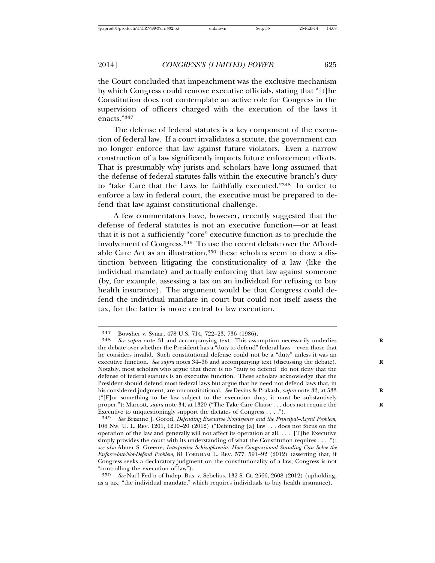the Court concluded that impeachment was the exclusive mechanism by which Congress could remove executive officials, stating that "[t]he Constitution does not contemplate an active role for Congress in the supervision of officers charged with the execution of the laws it enacts."347

The defense of federal statutes is a key component of the execution of federal law. If a court invalidates a statute, the government can no longer enforce that law against future violators. Even a narrow construction of a law significantly impacts future enforcement efforts. That is presumably why jurists and scholars have long assumed that the defense of federal statutes falls within the executive branch's duty to "take Care that the Laws be faithfully executed."348 In order to enforce a law in federal court, the executive must be prepared to defend that law against constitutional challenge.

A few commentators have, however, recently suggested that the defense of federal statutes is not an executive function—or at least that it is not a sufficiently "core" executive function as to preclude the involvement of Congress.349 To use the recent debate over the Affordable Care Act as an illustration,<sup>350</sup> these scholars seem to draw a distinction between litigating the constitutionality of a law (like the individual mandate) and actually enforcing that law against someone (by, for example, assessing a tax on an individual for refusing to buy health insurance). The argument would be that Congress could defend the individual mandate in court but could not itself assess the tax, for the latter is more central to law execution.

350 *See* Nat'l Fed'n of Indep. Bus. v. Sebelius, 132 S. Ct. 2566, 2608 (2012) (upholding, as a tax, "the individual mandate," which requires individuals to buy health insurance).

<sup>347</sup> Bowsher v. Synar, 478 U.S. 714, 722–23, 736 (1986). <sup>348</sup> *See supra* note 31 and accompanying text. This assumption necessarily underlies **<sup>R</sup>** the debate over whether the President has a "duty to defend" federal laws—even those that he considers invalid. Such constitutional defense could not be a "duty" unless it was an executive function. See supra notes 34-36 and accompanying text (discussing the debate). Notably, most scholars who argue that there is no "duty to defend" do not deny that the defense of federal statutes is an executive function. These scholars acknowledge that the President should defend most federal laws but argue that he need not defend laws that, in his considered judgment, are unconstitutional. *See* Devins & Prakash, *supra* note 32, at 533 **R**  $("[F]$ or something to be law subject to the execution duty, it must be substantively proper."); Marcott, *supra* note 34, at 1320 ("The Take Care Clause . . . does not require the **R** Executive to unquestioningly support the dictates of Congress . . . .").

<sup>349</sup> *See* Brianne J. Gorod, *Defending Executive Nondefense and the Principal–Agent Problem*, 106 NW. U. L. REV. 1201, 1219–20 (2012) ("Defending [a] law . . . does not focus on the operation of the law and generally will not affect its operation at all. . . . [T]he Executive simply provides the court with its understanding of what the Constitution requires  $\dots$ ."); *see also* Abner S. Greene, *Interpretive Schizophrenia: How Congressional Standing Can Solve the Enforce-but-Not-Defend Problem*, 81 FORDHAM L. REV. 577, 591–92 (2012) (asserting that, if Congress seeks a declaratory judgment on the constitutionality of a law, Congress is not "controlling the execution of law").<br> $350 \text{ See Nat'l Fed'n of Inden. Bus}$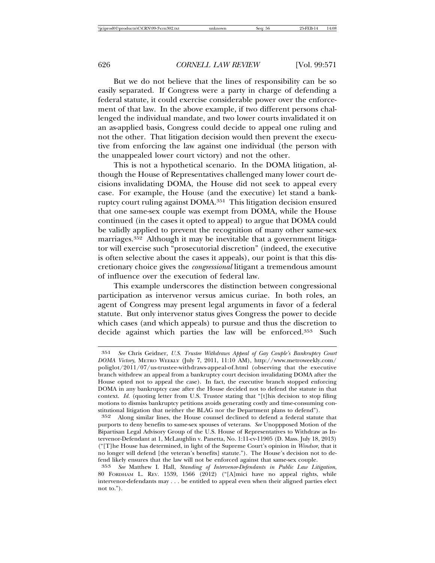But we do not believe that the lines of responsibility can be so easily separated. If Congress were a party in charge of defending a federal statute, it could exercise considerable power over the enforcement of that law. In the above example, if two different persons challenged the individual mandate, and two lower courts invalidated it on an as-applied basis, Congress could decide to appeal one ruling and not the other. That litigation decision would then prevent the executive from enforcing the law against one individual (the person with the unappealed lower court victory) and not the other.

This is not a hypothetical scenario. In the DOMA litigation, although the House of Representatives challenged many lower court decisions invalidating DOMA, the House did not seek to appeal every case. For example, the House (and the executive) let stand a bankruptcy court ruling against DOMA.351 This litigation decision ensured that one same-sex couple was exempt from DOMA, while the House continued (in the cases it opted to appeal) to argue that DOMA could be validly applied to prevent the recognition of many other same-sex marriages.<sup>352</sup> Although it may be inevitable that a government litigator will exercise such "prosecutorial discretion" (indeed, the executive is often selective about the cases it appeals), our point is that this discretionary choice gives the *congressional* litigant a tremendous amount of influence over the execution of federal law.

This example underscores the distinction between congressional participation as intervenor versus amicus curiae. In both roles, an agent of Congress may present legal arguments in favor of a federal statute. But only intervenor status gives Congress the power to decide which cases (and which appeals) to pursue and thus the discretion to decide against which parties the law will be enforced.353 Such

<sup>351</sup> *See* Chris Geidner, *U.S. Trustee Withdraws Appeal of Gay Couple's Bankruptcy Court DOMA Victory*, METRO WEEKLY (July 7, 2011, 11:10 AM), http://www.metroweekly.com/ poliglot/2011/07/us-trustee-withdraws-appeal-of.html (observing that the executive branch withdrew an appeal from a bankruptcy court decision invalidating DOMA after the House opted not to appeal the case). In fact, the executive branch stopped enforcing DOMA in any bankruptcy case after the House decided not to defend the statute in that context. *Id.* (quoting letter from U.S. Trustee stating that "[t]his decision to stop filing motions to dismiss bankruptcy petitions avoids generating costly and time-consuming constitutional litigation that neither the BLAG nor the Department plans to defend").

<sup>352</sup> Along similar lines, the House counsel declined to defend a federal statute that purports to deny benefits to same-sex spouses of veterans. *See* Unoppposed Motion of the Bipartisan Legal Advisory Group of the U.S. House of Representatives to Withdraw as Intervenor-Defendant at 1, McLaughlin v. Panetta, No. 1:11-cv-11905 (D. Mass. July 18, 2013) ("[T]he House has determined, in light of the Supreme Court's opinion in *Windsor*, that it no longer will defend [the veteran's benefits] statute."). The House's decision not to defend likely ensures that the law will not be enforced against that same-sex couple.

<sup>353</sup> *See* Matthew I. Hall, *Standing of Intervenor-Defendants in Public Law Litigation*, 80 FORDHAM L. REV. 1539, 1566 (2012) ("[A]mici have no appeal rights, while intervenor-defendants may . . . be entitled to appeal even when their aligned parties elect not to.").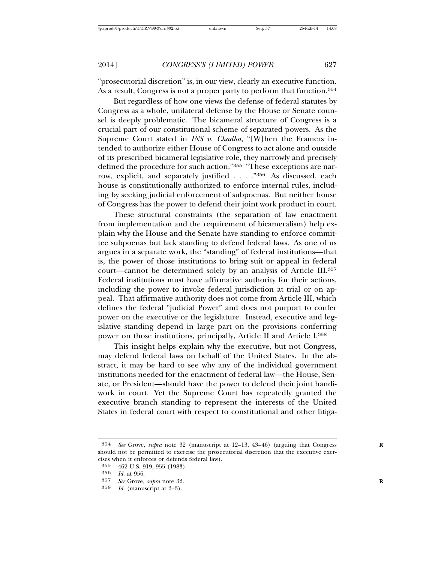"prosecutorial discretion" is, in our view, clearly an executive function. As a result, Congress is not a proper party to perform that function.<sup>354</sup>

But regardless of how one views the defense of federal statutes by Congress as a whole, unilateral defense by the House or Senate counsel is deeply problematic. The bicameral structure of Congress is a crucial part of our constitutional scheme of separated powers. As the Supreme Court stated in *INS v. Chadha*, "[W]hen the Framers intended to authorize either House of Congress to act alone and outside of its prescribed bicameral legislative role, they narrowly and precisely defined the procedure for such action."355 "These exceptions are narrow, explicit, and separately justified . . . ."356 As discussed, each house is constitutionally authorized to enforce internal rules, including by seeking judicial enforcement of subpoenas. But neither house of Congress has the power to defend their joint work product in court.

These structural constraints (the separation of law enactment from implementation and the requirement of bicameralism) help explain why the House and the Senate have standing to enforce committee subpoenas but lack standing to defend federal laws. As one of us argues in a separate work, the "standing" of federal institutions—that is, the power of those institutions to bring suit or appeal in federal court—cannot be determined solely by an analysis of Article III.357 Federal institutions must have affirmative authority for their actions, including the power to invoke federal jurisdiction at trial or on appeal. That affirmative authority does not come from Article III, which defines the federal "judicial Power" and does not purport to confer power on the executive or the legislature. Instead, executive and legislative standing depend in large part on the provisions conferring power on those institutions, principally, Article II and Article I.358

This insight helps explain why the executive, but not Congress, may defend federal laws on behalf of the United States. In the abstract, it may be hard to see why any of the individual government institutions needed for the enactment of federal law—the House, Senate, or President—should have the power to defend their joint handiwork in court. Yet the Supreme Court has repeatedly granted the executive branch standing to represent the interests of the United States in federal court with respect to constitutional and other litiga-

<sup>354</sup> *See* Grove, *supra* note 32 (manuscript at 12–13, 43–46) (arguing that Congress **R** should not be permitted to exercise the prosecutorial discretion that the executive exercises when it enforces or defends federal law).<br>355 462 U.S. 919, 955 (1983).

<sup>355</sup> 462 U.S. 919, 955 (1983).

<sup>356</sup> *Id.* at 956.

<sup>357</sup> *See* Grove, *supra* note 32.<br>358 *Id* (manuscript at  $9-3$ )

*Id.* (manuscript at 2–3).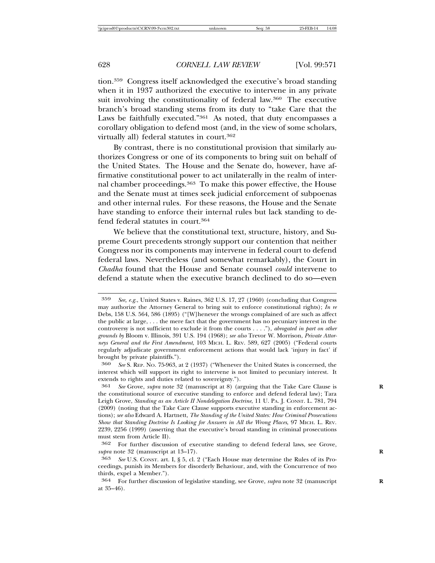tion.359 Congress itself acknowledged the executive's broad standing when it in 1937 authorized the executive to intervene in any private suit involving the constitutionality of federal law.<sup>360</sup> The executive branch's broad standing stems from its duty to "take Care that the Laws be faithfully executed."361 As noted, that duty encompasses a corollary obligation to defend most (and, in the view of some scholars, virtually all) federal statutes in court.362

By contrast, there is no constitutional provision that similarly authorizes Congress or one of its components to bring suit on behalf of the United States. The House and the Senate do, however, have affirmative constitutional power to act unilaterally in the realm of internal chamber proceedings.363 To make this power effective, the House and the Senate must at times seek judicial enforcement of subpoenas and other internal rules. For these reasons, the House and the Senate have standing to enforce their internal rules but lack standing to defend federal statutes in court.364

We believe that the constitutional text, structure, history, and Supreme Court precedents strongly support our contention that neither Congress nor its components may intervene in federal court to defend federal laws. Nevertheless (and somewhat remarkably), the Court in *Chadha* found that the House and Senate counsel *could* intervene to defend a statute when the executive branch declined to do so—even

<sup>359</sup> *See, e.g.*, United States v. Raines, 362 U.S. 17, 27 (1960) (concluding that Congress may authorize the Attorney General to bring suit to enforce constitutional rights); *In re* Debs, 158 U.S. 564, 586 (1895) ("[W]henever the wrongs complained of are such as affect the public at large, . . . the mere fact that the government has no pecuniary interest in the controversy is not sufficient to exclude it from the courts . . . ."), *abrogated in part on other grounds by* Bloom v. Illinois, 391 U.S. 194 (1968); *see also* Trevor W. Morrison, *Private Attorneys General and the First Amendment*, 103 MICH. L. REV. 589, 627 (2005) ("Federal courts regularly adjudicate government enforcement actions that would lack 'injury in fact' if brought by private plaintiffs.").

<sup>360</sup> *See* S. REP. NO. 75-963, at 2 (1937) ("Whenever the United States is concerned, the interest which will support its right to intervene is not limited to pecuniary interest. It extends to rights and duties related to sovereignty.").

<sup>361</sup> *See* Grove, *supra* note 32 (manuscript at 8) (arguing that the Take Care Clause is **R** the constitutional source of executive standing to enforce and defend federal law); Tara Leigh Grove, *Standing as an Article II Nondelegation Doctrine*, 11 U. PA. J. CONST. L. 781, 794 (2009) (noting that the Take Care Clause supports executive standing in enforcement actions); *see also* Edward A. Hartnett, *The Standing of the United States: How Criminal Prosecutions Show that Standing Doctrine Is Looking for Answers in All the Wrong Places*, 97 MICH. L. REV. 2239, 2256 (1999) (asserting that the executive's broad standing in criminal prosecutions must stem from Article II).

<sup>362</sup> For further discussion of executive standing to defend federal laws, see Grove, *supra* note 32 (manuscript at 13–17). **R**

<sup>363</sup> *See* U.S. CONST. art. I, § 5, cl. 2 ("Each House may determine the Rules of its Proceedings, punish its Members for disorderly Behaviour, and, with the Concurrence of two thirds, expel a Member.").

<sup>364</sup> For further discussion of legislative standing, see Grove, *supra* note 32 (manuscript **R** at 35–46).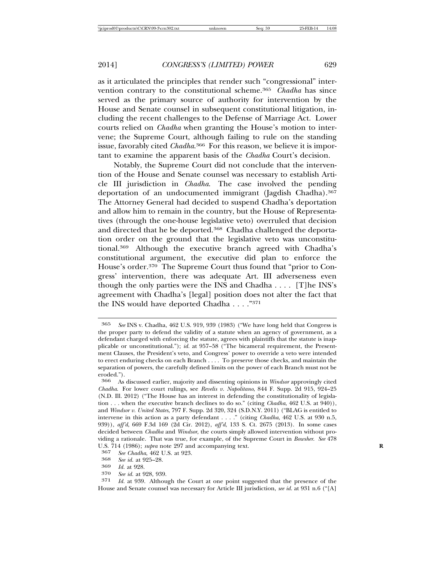as it articulated the principles that render such "congressional" intervention contrary to the constitutional scheme.365 *Chadha* has since served as the primary source of authority for intervention by the House and Senate counsel in subsequent constitutional litigation, including the recent challenges to the Defense of Marriage Act. Lower courts relied on *Chadha* when granting the House's motion to intervene; the Supreme Court, although failing to rule on the standing issue, favorably cited *Chadha*. 366 For this reason, we believe it is important to examine the apparent basis of the *Chadha* Court's decision.

Notably, the Supreme Court did not conclude that the intervention of the House and Senate counsel was necessary to establish Article III jurisdiction in *Chadha*. The case involved the pending deportation of an undocumented immigrant (Jagdish Chadha).367 The Attorney General had decided to suspend Chadha's deportation and allow him to remain in the country, but the House of Representatives (through the one-house legislative veto) overruled that decision and directed that he be deported.<sup>368</sup> Chadha challenged the deportation order on the ground that the legislative veto was unconstitutional.369 Although the executive branch agreed with Chadha's constitutional argument, the executive did plan to enforce the House's order.370 The Supreme Court thus found that "prior to Congress' intervention, there was adequate Art. III adverseness even though the only parties were the INS and Chadha . . . . [T]he INS's agreement with Chadha's [legal] position does not alter the fact that the INS would have deported Chadha . . . ."371

371 *Id.* at 939. Although the Court at one point suggested that the presence of the House and Senate counsel was necessary for Article III jurisdiction, *see id.* at 931 n.6 ("[A]

<sup>365</sup> *See* INS v. Chadha, 462 U.S. 919, 939 (1983) ("We have long held that Congress is the proper party to defend the validity of a statute when an agency of government, as a defendant charged with enforcing the statute, agrees with plaintiffs that the statute is inapplicable or unconstitutional."); *id.* at 957–58 ("The bicameral requirement, the Presentment Clauses, the President's veto, and Congress' power to override a veto were intended to erect enduring checks on each Branch . . . . To preserve those checks, and maintain the separation of powers, the carefully defined limits on the power of each Branch must not be eroded.").

<sup>366</sup> As discussed earlier, majority and dissenting opinions in *Windsor* approvingly cited *Chadha*. For lower court rulings, see *Revelis v. Napolitano*, 844 F. Supp. 2d 915, 924–25 (N.D. Ill. 2012) ("The House has an interest in defending the constitutionality of legislation . . . when the executive branch declines to do so." (citing *Chadha*, 462 U.S. at 940)), and *Windsor v. United States*, 797 F. Supp. 2d 320, 324 (S.D.N.Y. 2011) ("BLAG is entitled to intervene in this action as a party defendant . . . ." (citing *Chadha*, 462 U.S. at 930 n.5, 939)), *aff'd*, 669 F.3d 169 (2d Cir. 2012), *aff'd*, 133 S. Ct. 2675 (2013). In some cases decided between *Chadha* and *Windsor*, the courts simply allowed intervention without providing a rationale. That was true, for example, of the Supreme Court in *Bowsher*. *See* 478 U.S. 714 (1986); *supra* note 297 and accompanying text.<br><sup>367</sup> *See Chadha* 469 U.S. at 993

<sup>367</sup> *See Chadha*, 462 U.S. at 923. <sup>368</sup> *See id.* at 925–28. <sup>369</sup> *Id.* at 928.

See id. at 928, 939.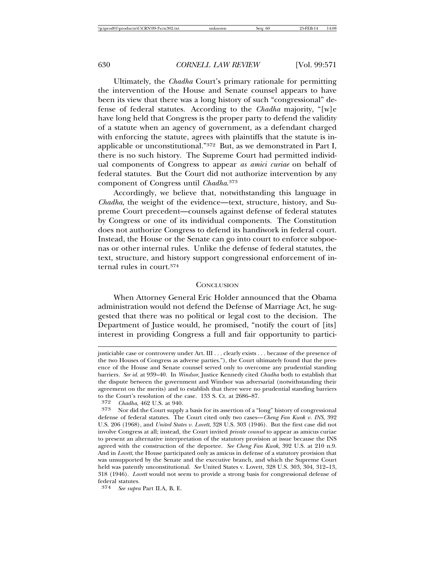Ultimately, the *Chadha* Court's primary rationale for permitting the intervention of the House and Senate counsel appears to have been its view that there was a long history of such "congressional" defense of federal statutes. According to the *Chadha* majority, "[w]e have long held that Congress is the proper party to defend the validity of a statute when an agency of government, as a defendant charged with enforcing the statute, agrees with plaintiffs that the statute is inapplicable or unconstitutional."372 But, as we demonstrated in Part I, there is no such history. The Supreme Court had permitted individual components of Congress to appear *as amici curiae* on behalf of federal statutes. But the Court did not authorize intervention by any component of Congress until *Chadha*. 373

Accordingly, we believe that, notwithstanding this language in *Chadha*, the weight of the evidence—text, structure, history, and Supreme Court precedent—counsels against defense of federal statutes by Congress or one of its individual components. The Constitution does not authorize Congress to defend its handiwork in federal court. Instead, the House or the Senate can go into court to enforce subpoenas or other internal rules. Unlike the defense of federal statutes, the text, structure, and history support congressional enforcement of internal rules in court.374

#### **CONCLUSION**

When Attorney General Eric Holder announced that the Obama administration would not defend the Defense of Marriage Act, he suggested that there was no political or legal cost to the decision. The Department of Justice would, he promised, "notify the court of [its] interest in providing Congress a full and fair opportunity to partici-

justiciable case or controversy under Art. III . . . clearly exists . . . because of the presence of the two Houses of Congress as adverse parties."), the Court ultimately found that the presence of the House and Senate counsel served only to overcome any prudential standing barriers. *See id.* at 939–40. In *Windsor*, Justice Kennedy cited *Chadha* both to establish that the dispute between the government and Windsor was adversarial (notwithstanding their agreement on the merits) and to establish that there were no prudential standing barriers to the Court's resolution of the case. 133 S. Ct. at 2686–87.

<sup>372</sup> *Chadha*, 462 U.S. at 940.

<sup>373</sup> Nor did the Court supply a basis for its assertion of a "long" history of congressional defense of federal statutes. The Court cited only two cases—*Cheng Fan Kwok v. INS*, 392 U.S. 206 (1968), and *United States v. Lovett*, 328 U.S. 303 (1946). But the first case did not involve Congress at all; instead, the Court invited *private counsel* to appear as amicus curiae to present an alternative interpretation of the statutory provision at issue because the INS agreed with the construction of the deportee. *See Cheng Fan Kwok*, 392 U.S. at 210 n.9. And in *Lovett*, the House participated only as amicus in defense of a statutory provision that was unsupported by the Senate and the executive branch, and which the Supreme Court held was patently unconstitutional. *See* United States v. Lovett, 328 U.S. 303, 304, 312–13, 318 (1946). *Lovett* would not seem to provide a strong basis for congressional defense of federal statutes.

<sup>374</sup> *See supra* Part II.A, B, E.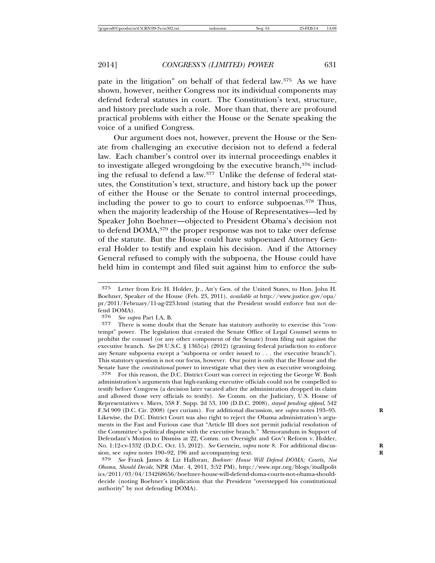pate in the litigation" on behalf of that federal law.375 As we have shown, however, neither Congress nor its individual components may defend federal statutes in court. The Constitution's text, structure, and history preclude such a role. More than that, there are profound practical problems with either the House or the Senate speaking the voice of a unified Congress.

Our argument does not, however, prevent the House or the Senate from challenging an executive decision not to defend a federal law. Each chamber's control over its internal proceedings enables it to investigate alleged wrongdoing by the executive branch,376 including the refusal to defend a law.377 Unlike the defense of federal statutes, the Constitution's text, structure, and history back up the power of either the House or the Senate to control internal proceedings, including the power to go to court to enforce subpoenas.378 Thus, when the majority leadership of the House of Representatives—led by Speaker John Boehner—objected to President Obama's decision not to defend DOMA,379 the proper response was not to take over defense of the statute. But the House could have subpoenaed Attorney General Holder to testify and explain his decision. And if the Attorney General refused to comply with the subpoena, the House could have held him in contempt and filed suit against him to enforce the sub-

376 *See supra* Part I.A, B.

<sup>375</sup> Letter from Eric H. Holder, Jr., Att'y Gen. of the United States, to Hon. John H. Boehner, Speaker of the House (Feb. 23, 2011), *available at* http://www.justice.gov/opa/ pr/2011/February/11-ag-223.html (stating that the President would enforce but not defend DOMA).<br>376 See sub

There is some doubt that the Senate has statutory authority to exercise this "contempt" power. The legislation that created the Senate Office of Legal Counsel seems to prohibit the counsel (or any other component of the Senate) from filing suit against the executive branch. *See* 28 U.S.C. § 1365(a) (2012) (granting federal jurisdiction to enforce any Senate subpoena except a "subpoena or order issued to . . . the executive branch"). This statutory question is not our focus, however. Our point is only that the House and the Senate have the *constitutional* power to investigate what they view as executive wrongdoing.

<sup>378</sup> For this reason, the D.C. District Court was correct in rejecting the George W. Bush administration's arguments that high-ranking executive officials could not be compelled to testify before Congress (a decision later vacated after the administration dropped its claim and allowed those very officials to testify). *See* Comm. on the Judiciary, U.S. House of Representatives v. Miers, 558 F. Supp. 2d 53, 100 (D.D.C. 2008), *stayed pending appeal*, 542 F.3d 909 (D.C. Cir. 2008) (per curiam). For additional discussion, see *supra* notes 193–95. **R** Likewise, the D.C. District Court was also right to reject the Obama administration's arguments in the Fast and Furious case that "Article III does not permit judicial resolution of the Committee's political dispute with the executive branch." Memorandum in Support of Defendant's Motion to Dismiss at 22, Comm. on Oversight and Gov't Reform v. Holder, No. 1:12-cv-1332 (D.D.C. Oct. 15, 2012). See Gerstein, *supra* note 8. For additional discussion, see *supra* notes 190–92, 196 and accompanying text. **R**

<sup>379</sup> *See* Frank James & Liz Halloran, *Boehner: House Will Defend DOMA; Courts, Not Obama, Should Decide*, NPR (Mar. 4, 2011, 3:52 PM), http://www.npr.org/blogs/itsallpolit ics/2011/03/04/134268656/boehner-house-will-defend-doma-courts-not-obama-shoulddecide (noting Boehner's implication that the President "overstepped his constitutional authority" by not defending DOMA).